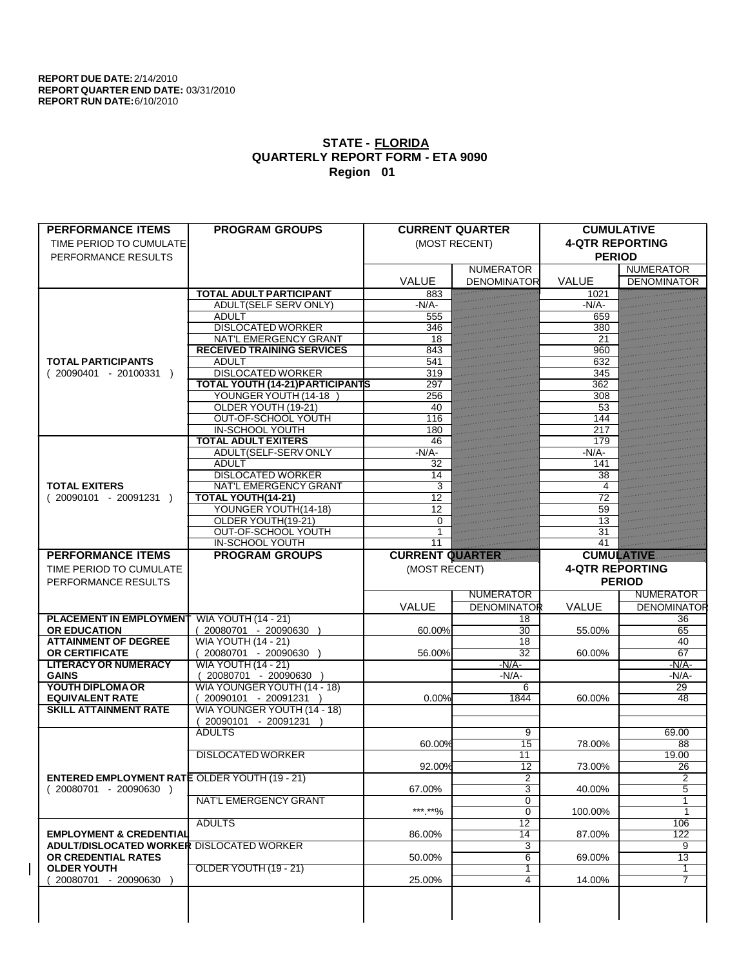| <b>PERFORMANCE ITEMS</b>                             | <b>PROGRAM GROUPS</b>                              |                        | <b>CURRENT QUARTER</b>   | <b>CUMULATIVE</b>      |                          |
|------------------------------------------------------|----------------------------------------------------|------------------------|--------------------------|------------------------|--------------------------|
| TIME PERIOD TO CUMULATE                              |                                                    |                        | (MOST RECENT)            | <b>4-QTR REPORTING</b> |                          |
| PERFORMANCE RESULTS                                  |                                                    |                        |                          | <b>PERIOD</b>          |                          |
|                                                      |                                                    |                        | <b>NUMERATOR</b>         |                        | <b>NUMERATOR</b>         |
|                                                      |                                                    | <b>VALUE</b>           | <b>DENOMINATOR</b>       | <b>VALUE</b>           | <b>DENOMINATOR</b>       |
|                                                      | <b>TOTAL ADULT PARTICIPANT</b>                     | 883                    |                          | 1021                   |                          |
|                                                      | <b>ADULT(SELF SERV ONLY)</b>                       | $-N/A$                 |                          | $-N/A$                 |                          |
|                                                      | <b>ADULT</b>                                       | 555                    |                          | 659                    |                          |
|                                                      | <b>DISLOCATED WORKER</b>                           | 346                    |                          | 380                    |                          |
|                                                      | <b>NAT'L EMERGENCY GRANT</b>                       | 18                     |                          | 21                     |                          |
|                                                      | <b>RECEIVED TRAINING SERVICES</b>                  | 843                    |                          | 960                    |                          |
| <b>TOTAL PARTICIPANTS</b>                            | <b>ADULT</b>                                       | 541                    |                          | 632                    |                          |
| $(20090401 - 20100331)$                              | <b>DISLOCATED WORKER</b>                           | 319                    |                          | 345                    |                          |
|                                                      | <b>TOTAL YOUTH (14-21) PARTICIPANTS</b>            | 297                    |                          | 362                    |                          |
|                                                      | YOUNGER YOUTH (14-18                               | 256                    |                          | 308                    |                          |
|                                                      | OLDER YOUTH (19-21)                                | 40                     |                          | 53                     |                          |
|                                                      | OUT-OF-SCHOOL YOUTH                                | 116                    |                          | 144                    |                          |
|                                                      | <b>IN-SCHOOL YOUTH</b>                             | 180                    |                          | 217                    |                          |
|                                                      | <b>TOTAL ADULT EXITERS</b>                         | 46                     |                          | 179                    |                          |
|                                                      | ADULT(SELF-SERV ONLY                               | $-N/A$ -               |                          | $-N/A$                 |                          |
|                                                      | <b>ADULT</b>                                       | 32                     |                          | 141                    |                          |
|                                                      | <b>DISLOCATED WORKER</b>                           | 14                     |                          | 38                     |                          |
| <b>TOTAL EXITERS</b>                                 | <b>NAT'L EMERGENCY GRANT</b>                       | 3                      |                          | 4                      |                          |
| $(20090101 - 20091231)$                              | <b>TOTAL YOUTH(14-21)</b>                          | 12                     |                          | 72                     |                          |
|                                                      | YOUNGER YOUTH(14-18)                               | 12                     |                          | 59                     |                          |
|                                                      | OLDER YOUTH(19-21)                                 | $\Omega$               |                          | 13                     |                          |
|                                                      | OUT-OF-SCHOOL YOUTH                                |                        |                          | 31                     |                          |
|                                                      | <b>IN-SCHOOL YOUTH</b>                             | 11                     |                          | 41                     |                          |
| <b>PERFORMANCE ITEMS</b>                             | <b>PROGRAM GROUPS</b>                              | <b>CURRENT QUARTER</b> |                          | <b>CUMULATIVE</b>      |                          |
| TIME PERIOD TO CUMULATE                              |                                                    | (MOST RECENT)          |                          | <b>4-QTR REPORTING</b> |                          |
|                                                      |                                                    |                        |                          |                        |                          |
|                                                      |                                                    |                        |                          |                        |                          |
| PERFORMANCE RESULTS                                  |                                                    |                        |                          |                        | <b>PERIOD</b>            |
|                                                      |                                                    |                        | <b>NUMERATOR</b>         |                        | <b>NUMERATOR</b>         |
| <b>PLACEMENT IN EMPLOYMENT</b>                       |                                                    | VALUE                  | <b>DENOMINATOR</b><br>18 | <b>VALUE</b>           | <b>DENOMINATOR</b><br>36 |
| <b>OR EDUCATION</b>                                  | <b>WIA YOUTH (14 - 21)</b>                         | 60.00%                 | 30                       | 55.00%                 | 65                       |
| <b>ATTAINMENT OF DEGREE</b>                          | (20080701 - 20090630                               |                        | 18                       |                        | 40                       |
| <b>OR CERTIFICATE</b>                                | <b>WIA YOUTH (14 - 21)</b>                         | 56.00%                 | $\overline{32}$          | 60.00%                 | $\overline{67}$          |
| <b>LITERACY OR NUMERACY</b>                          | $(20080701 - 20090630)$                            |                        | $-N/A$                   |                        | $-N/A$ -                 |
| <b>GAINS</b>                                         | <b>WIA YOUTH (14 - 21)</b>                         |                        | $-N/A$ -                 |                        | -N/A-                    |
| YOUTH DIPLOMA OR                                     | 20080701 - 20090630<br>WIA YOUNGER YOUTH (14 - 18) |                        | 6                        |                        | 29                       |
| <b>EQUIVALENT RATE</b>                               | 20090101 - 20091231 )                              | 0.00%                  | 1844                     | 60.00%                 | 48                       |
| <b>SKILL ATTAINMENT RATE</b>                         | WIA YOUNGER YOUTH (14 - 18)                        |                        |                          |                        |                          |
|                                                      | 20090101 - 20091231                                |                        |                          |                        |                          |
|                                                      | <b>ADULTS</b>                                      |                        | 9                        |                        | 69.00                    |
|                                                      |                                                    | 60.00%                 | 15                       | 78.00%                 | 88                       |
|                                                      | <b>DISLOCATED WORKER</b>                           |                        | 11                       |                        | 19.00                    |
|                                                      |                                                    | 92.00%                 | $\overline{12}$          | 73.00%                 | $\overline{26}$          |
| <b>ENTERED EMPLOYMENT RATE OLDER YOUTH (19 - 21)</b> |                                                    |                        | 2                        |                        | $\overline{2}$           |
| $(20080701 - 20090630)$                              |                                                    | 67.00%                 | 3                        | 40.00%                 | 5                        |
|                                                      | <b>NAT'L EMERGENCY GRANT</b>                       |                        | 0                        |                        |                          |
|                                                      |                                                    | ***.**%                | $\overline{0}$           | 100.00%                | 1                        |
|                                                      | <b>ADULTS</b>                                      |                        | 12                       |                        | 106                      |
| <b>EMPLOYMENT &amp; CREDENTIAL</b>                   |                                                    | 86.00%                 | 14                       | 87.00%                 | $\overline{122}$         |
| ADULT/DISLOCATED WORKER DISLOCATED WORKER            |                                                    |                        | 3                        |                        | 9                        |
| OR CREDENTIAL RATES                                  |                                                    | 50.00%                 | 6                        | 69.00%                 | 13                       |
| <b>OLDER YOUTH</b>                                   | OLDER YOUTH (19 - 21)                              |                        | $\overline{1}$           |                        | $\overline{1}$           |
| 20080701 - 20090630                                  |                                                    | 25.00%                 | 4                        | 14.00%                 | $\overline{\tau}$        |
|                                                      |                                                    |                        |                          |                        |                          |
|                                                      |                                                    |                        |                          |                        |                          |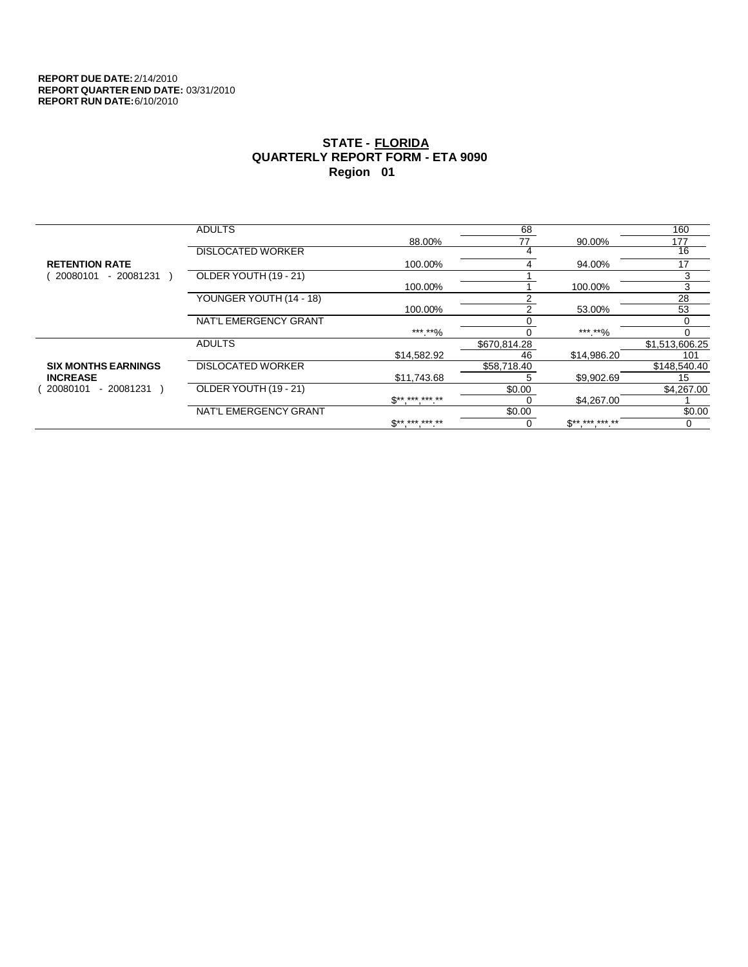|                            | <b>ADULTS</b>            |                          | 68           |                     | 160            |
|----------------------------|--------------------------|--------------------------|--------------|---------------------|----------------|
|                            |                          | 88.00%                   | 77           | 90.00%              | 177            |
|                            | <b>DISLOCATED WORKER</b> |                          |              |                     | 16             |
| <b>RETENTION RATE</b>      |                          | 100.00%                  |              | 94.00%              | 17             |
| 20080101<br>- 20081231     | OLDER YOUTH (19 - 21)    |                          |              |                     | 3              |
|                            |                          | 100.00%                  |              | 100.00%             | 3              |
|                            | YOUNGER YOUTH (14 - 18)  |                          |              |                     | 28             |
|                            |                          | 100.00%                  |              | 53.00%              | 53             |
|                            | NAT'L EMERGENCY GRANT    |                          |              |                     | 0              |
|                            |                          | *** **%                  |              | ***.**%             | 0              |
|                            | <b>ADULTS</b>            |                          | \$670,814.28 |                     | \$1,513,606.25 |
|                            |                          | \$14,582.92              | 46           | \$14,986.20         | 101            |
| <b>SIX MONTHS EARNINGS</b> | <b>DISLOCATED WORKER</b> |                          | \$58,718.40  |                     | \$148,540.40   |
| <b>INCREASE</b>            |                          | \$11.743.68              |              | \$9,902.69          | 15             |
| $-20081231$<br>20080101    | OLDER YOUTH (19 - 21)    |                          | \$0.00       |                     | \$4,267.00     |
|                            |                          | $\mathbb{S}^{*********}$ |              | \$4,267.00          |                |
|                            | NAT'L EMERGENCY GRANT    |                          | \$0.00       |                     | \$0.00         |
|                            |                          | $S*********$             |              | $S^{**}$ *** *** ** | 0              |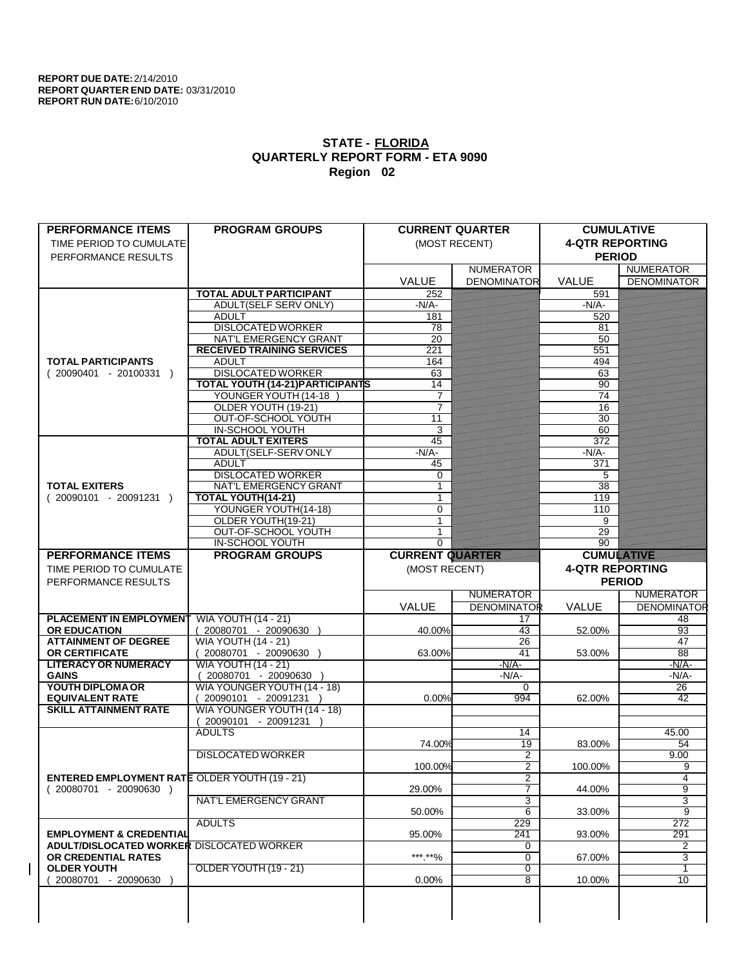| <b>PERFORMANCE ITEMS</b>                                                        | <b>PROGRAM GROUPS</b>                                               |                        | <b>CURRENT QUARTER</b>           | <b>CUMULATIVE</b>      |                    |
|---------------------------------------------------------------------------------|---------------------------------------------------------------------|------------------------|----------------------------------|------------------------|--------------------|
| TIME PERIOD TO CUMULATE                                                         |                                                                     |                        | (MOST RECENT)                    | <b>4-QTR REPORTING</b> |                    |
| PERFORMANCE RESULTS                                                             |                                                                     |                        |                                  | <b>PERIOD</b>          |                    |
|                                                                                 |                                                                     |                        | <b>NUMERATOR</b>                 |                        | <b>NUMERATOR</b>   |
|                                                                                 |                                                                     | <b>VALUE</b>           | <b>DENOMINATOR</b>               | <b>VALUE</b>           | <b>DENOMINATOR</b> |
|                                                                                 | <b>TOTAL ADULT PARTICIPANT</b>                                      | 252                    |                                  | 591                    |                    |
|                                                                                 | <b>ADULT(SELF SERV ONLY)</b>                                        | $-N/A$ -               |                                  | $-N/A$                 |                    |
|                                                                                 | <b>ADULT</b>                                                        | 181                    |                                  | 520                    |                    |
|                                                                                 | <b>DISLOCATED WORKER</b>                                            | 78                     |                                  | 81                     |                    |
|                                                                                 | NAT'L EMERGENCY GRANT                                               | $\overline{20}$        |                                  | 50                     |                    |
|                                                                                 | <b>RECEIVED TRAINING SERVICES</b>                                   | 221                    |                                  | 551                    |                    |
| <b>TOTAL PARTICIPANTS</b>                                                       | <b>ADULT</b>                                                        | 164                    |                                  | 494                    |                    |
| $(20090401 - 20100331)$                                                         | <b>DISLOCATED WORKER</b><br><b>TOTAL YOUTH (14-21) PARTICIPANTS</b> | 63<br>14               |                                  | 63<br>90               |                    |
|                                                                                 | YOUNGER YOUTH (14-18                                                |                        |                                  | 74                     |                    |
|                                                                                 | OLDER YOUTH (19-21)                                                 | 7                      |                                  | 16                     |                    |
|                                                                                 | OUT-OF-SCHOOL YOUTH                                                 | $\overline{11}$        |                                  | 30                     |                    |
|                                                                                 | <b>IN-SCHOOL YOUTH</b>                                              | 3                      |                                  | 60                     |                    |
|                                                                                 | <b>TOTAL ADULT EXITERS</b>                                          | 45                     |                                  | 372                    |                    |
|                                                                                 | ADULT(SELF-SERV ONLY                                                | $-N/A$                 |                                  | $-N/A$                 |                    |
|                                                                                 | <b>ADULT</b>                                                        | 45                     |                                  | 371                    |                    |
|                                                                                 | <b>DISLOCATED WORKER</b>                                            | 0                      |                                  | 5                      |                    |
| <b>TOTAL EXITERS</b>                                                            | NAT'L EMERGENCY GRANT                                               |                        |                                  | 38                     |                    |
| $(20090101 - 20091231)$                                                         | <b>TOTAL YOUTH(14-21)</b>                                           |                        |                                  | 119                    |                    |
|                                                                                 | YOUNGER YOUTH(14-18)                                                | $\Omega$               |                                  | 110                    |                    |
|                                                                                 | OLDER YOUTH(19-21)                                                  |                        |                                  | 9                      |                    |
|                                                                                 | OUT-OF-SCHOOL YOUTH                                                 |                        |                                  | 29                     |                    |
|                                                                                 | IN-SCHOOL YOUTH                                                     | $\Omega$               |                                  | 90                     |                    |
| <b>PERFORMANCE ITEMS</b>                                                        | <b>PROGRAM GROUPS</b>                                               | <b>CURRENT QUARTER</b> |                                  | <b>CUMULATIVE</b>      |                    |
| TIME PERIOD TO CUMULATE                                                         |                                                                     | (MOST RECENT)          |                                  | <b>4-QTR REPORTING</b> |                    |
|                                                                                 |                                                                     |                        |                                  |                        |                    |
| PERFORMANCE RESULTS                                                             |                                                                     |                        |                                  |                        | <b>PERIOD</b>      |
|                                                                                 |                                                                     |                        | <b>NUMERATOR</b>                 |                        | <b>NUMERATOR</b>   |
|                                                                                 |                                                                     | VALUE                  | <b>DENOMINATOR</b>               | VALUE                  | <b>DENOMINATOR</b> |
| <b>PLACEMENT IN EMPLOYMENT</b>                                                  | <b>WIA YOUTH (14 - 21)</b>                                          |                        | 17                               |                        | 48                 |
| <b>OR EDUCATION</b>                                                             | (20080701 - 20090630                                                | 40.00%                 | 43                               | 52.00%                 | 93                 |
| <b>ATTAINMENT OF DEGREE</b>                                                     | <b>WIA YOUTH (14 - 21)</b>                                          |                        | 26                               |                        | 47                 |
| <b>OR CERTIFICATE</b>                                                           | $(20080701 - 20090630)$                                             | 63.00%                 | 41                               | 53.00%                 | $\overline{88}$    |
| <b>LITERACY OR NUMERACY</b>                                                     | <b>WIA YOUTH (14 - 21)</b>                                          |                        | $-N/A$ -                         |                        | $-N/A$ -           |
| <b>GAINS</b>                                                                    | $(20080701 - 20090630)$                                             |                        | $-N/A-$                          |                        | $-N/A$ -           |
| YOUTH DIPLOMA OR                                                                | WIA YOUNGER YOUTH (14 - 18)                                         |                        | 0                                |                        | 26                 |
| <b>EQUIVALENT RATE</b>                                                          | 20090101 - 20091231 )                                               | 0.00%                  | 994                              | 62.00%                 | $\overline{42}$    |
| <b>SKILL ATTAINMENT RATE</b>                                                    | WIA YOUNGER YOUTH (14 - 18)                                         |                        |                                  |                        |                    |
|                                                                                 | 20090101 - 20091231                                                 |                        |                                  |                        |                    |
|                                                                                 | <b>ADULTS</b>                                                       |                        | 14                               |                        | 45.00              |
|                                                                                 |                                                                     | 74.00%                 | $\overline{19}$                  | 83.00%                 | 54                 |
|                                                                                 | <b>DISLOCATED WORKER</b>                                            |                        | 2                                |                        | 9.00               |
|                                                                                 |                                                                     | 100.00%                | $\overline{2}$<br>$\overline{2}$ | 100.00%                | 9<br>4             |
| <b>ENTERED EMPLOYMENT RATE OLDER YOUTH (19 - 21)</b><br>$(20080701 - 20090630)$ |                                                                     | 29.00%                 | 7                                | 44.00%                 | 9                  |
|                                                                                 | <b>NAT'L EMERGENCY GRANT</b>                                        |                        | 3                                |                        | 3                  |
|                                                                                 |                                                                     | 50.00%                 | 6                                | 33.00%                 | 9                  |
|                                                                                 | <b>ADULTS</b>                                                       |                        | 229                              |                        | 272                |
| <b>EMPLOYMENT &amp; CREDENTIAL</b>                                              |                                                                     | 95.00%                 | 241                              | 93.00%                 | 291                |
| <b>ADULT/DISLOCATED WORKER DISLOCATED WORKER</b>                                |                                                                     |                        | 0                                |                        | 2                  |
| OR CREDENTIAL RATES                                                             |                                                                     | ***.**%                | 0                                | 67.00%                 | 3                  |
| <b>OLDER YOUTH</b>                                                              | OLDER YOUTH (19 - 21)                                               |                        | $\overline{0}$                   |                        | 1                  |
| 20080701 - 20090630                                                             |                                                                     | 0.00%                  | $\overline{8}$                   | 10.00%                 | $\overline{10}$    |
|                                                                                 |                                                                     |                        |                                  |                        |                    |
|                                                                                 |                                                                     |                        |                                  |                        |                    |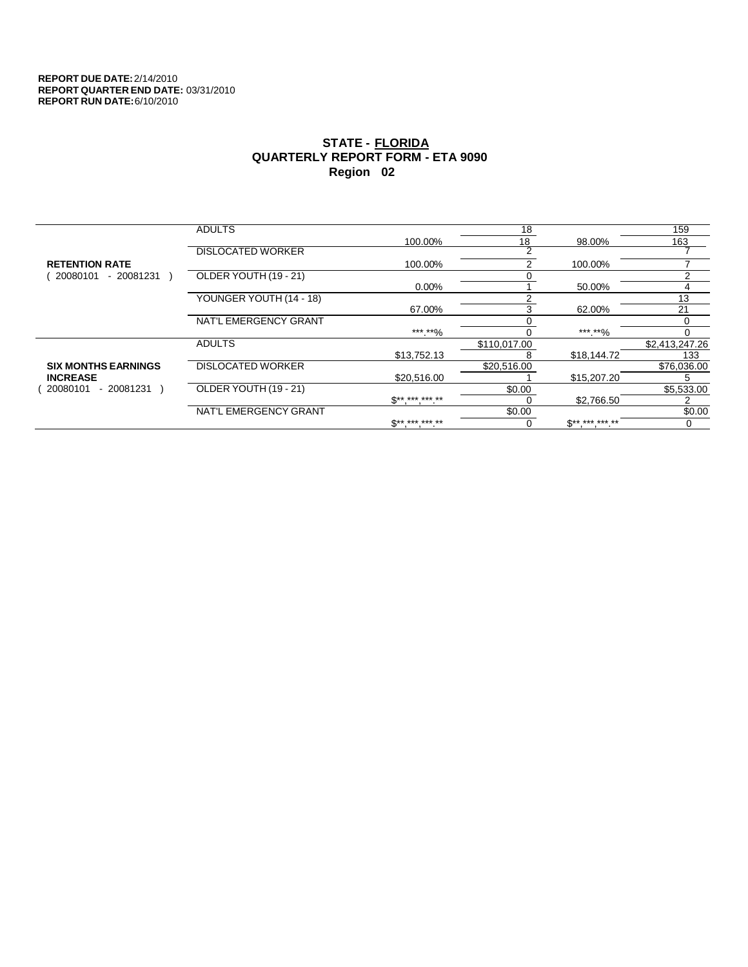|                            | <b>ADULTS</b>            |                          | 18            |                          | 159            |
|----------------------------|--------------------------|--------------------------|---------------|--------------------------|----------------|
|                            |                          | 100.00%                  | 18            | 98.00%                   | 163            |
|                            | <b>DISLOCATED WORKER</b> |                          | 2             |                          |                |
| <b>RETENTION RATE</b>      |                          | 100.00%                  | $\mathcal{P}$ | 100.00%                  |                |
| 20080101<br>- 20081231     | OLDER YOUTH (19 - 21)    |                          |               |                          | っ              |
|                            |                          | $0.00\%$                 |               | 50.00%                   | 4              |
|                            | YOUNGER YOUTH (14 - 18)  |                          |               |                          | 13             |
|                            |                          | 67.00%                   | 3             | 62.00%                   | 21             |
|                            | NAT'L EMERGENCY GRANT    |                          |               |                          | $\Omega$       |
|                            |                          | *** **%                  |               | ***.**%                  | 0              |
|                            | <b>ADULTS</b>            |                          | \$110,017.00  |                          | \$2,413,247.26 |
|                            |                          | \$13,752.13              |               | \$18,144.72              | 133            |
| <b>SIX MONTHS EARNINGS</b> | <b>DISLOCATED WORKER</b> |                          | \$20,516.00   |                          | \$76,036.00    |
| <b>INCREASE</b>            |                          | \$20,516.00              |               | \$15,207.20              | 5.             |
| - 20081231<br>20080101     | OLDER YOUTH (19 - 21)    |                          | \$0.00        |                          | \$5,533.00     |
|                            |                          | $S^{******}$             |               | \$2,766.50               |                |
|                            | NAT'L EMERGENCY GRANT    |                          | \$0.00        |                          | \$0.00         |
|                            |                          | $\mathbb{S}^{*********}$ |               | $\mathbb{S}^{*********}$ |                |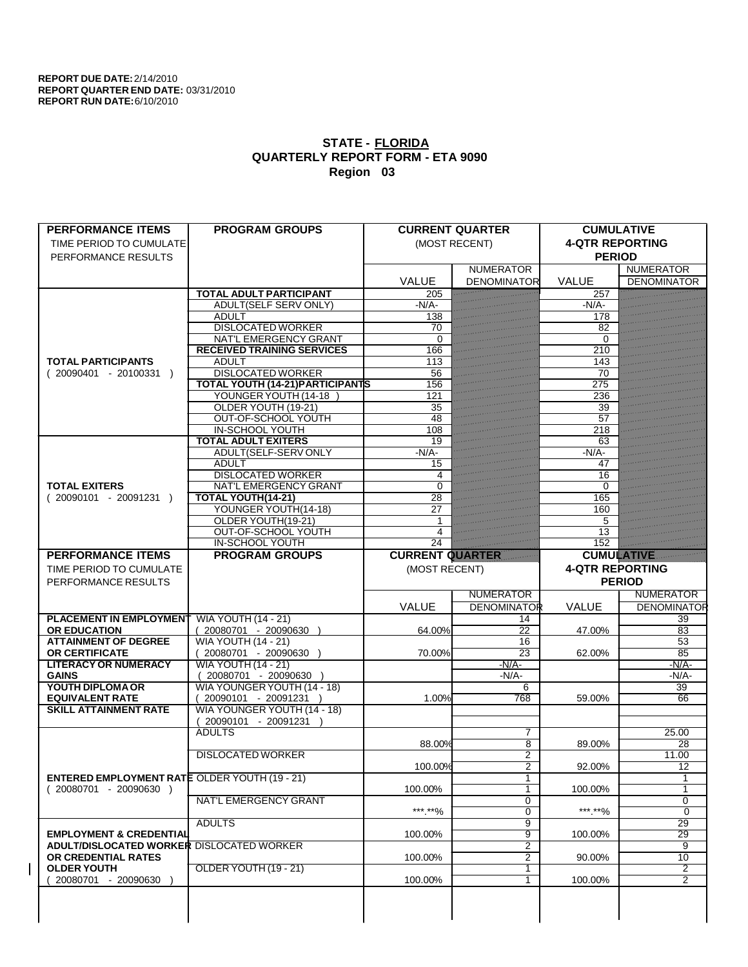| <b>PERFORMANCE ITEMS</b>                             | <b>PROGRAM GROUPS</b>                   |                        | <b>CURRENT QUARTER</b> | <b>CUMULATIVE</b>      |                    |
|------------------------------------------------------|-----------------------------------------|------------------------|------------------------|------------------------|--------------------|
| TIME PERIOD TO CUMULATE                              |                                         |                        | (MOST RECENT)          | <b>4-QTR REPORTING</b> |                    |
| PERFORMANCE RESULTS                                  |                                         |                        |                        | <b>PERIOD</b>          |                    |
|                                                      |                                         |                        | <b>NUMERATOR</b>       |                        | <b>NUMERATOR</b>   |
|                                                      |                                         | <b>VALUE</b>           | <b>DENOMINATOR</b>     | <b>VALUE</b>           | <b>DENOMINATOR</b> |
|                                                      | <b>TOTAL ADULT PARTICIPANT</b>          | 205                    |                        | 257                    |                    |
|                                                      | <b>ADULT(SELF SERV ONLY)</b>            | $-N/A$ -               |                        | $-N/A$ -               |                    |
|                                                      | <b>ADULT</b>                            | 138                    |                        | 178                    |                    |
|                                                      | <b>DISLOCATED WORKER</b>                | 70                     |                        | 82                     |                    |
|                                                      | NAT'L EMERGENCY GRANT                   | $\Omega$               |                        | $\Omega$               |                    |
|                                                      | <b>RECEIVED TRAINING SERVICES</b>       | 166                    |                        | 210                    |                    |
| <b>TOTAL PARTICIPANTS</b>                            | <b>ADULT</b>                            | 113                    |                        | 143                    |                    |
| $(20090401 - 20100331)$                              | <b>DISLOCATED WORKER</b>                | 56                     |                        | 70                     |                    |
|                                                      | <b>TOTAL YOUTH (14-21) PARTICIPANTS</b> | 156                    |                        | 275                    |                    |
|                                                      | YOUNGER YOUTH (14-18                    | 121                    |                        | 236                    |                    |
|                                                      | OLDER YOUTH (19-21)                     | 35                     |                        | 39                     |                    |
|                                                      | OUT-OF-SCHOOL YOUTH                     | 48                     |                        | 57                     |                    |
|                                                      | <b>IN-SCHOOL YOUTH</b>                  | 108                    |                        | 218                    |                    |
|                                                      | <b>TOTAL ADULT EXITERS</b>              | 19                     |                        | 63                     |                    |
|                                                      | ADULT(SELF-SERV ONLY                    | $-N/A$                 |                        | $-N/A$ -               |                    |
|                                                      | <b>ADULT</b>                            | 15                     |                        | 47                     |                    |
|                                                      | <b>DISLOCATED WORKER</b>                | 4                      |                        | 16                     |                    |
| <b>TOTAL EXITERS</b>                                 | <b>NAT'L EMERGENCY GRANT</b>            | $\Omega$               |                        | 0                      |                    |
| $(20090101 - 20091231)$                              | <b>TOTAL YOUTH(14-21)</b>               | 28                     |                        | 165                    |                    |
|                                                      | YOUNGER YOUTH(14-18)                    | 27                     |                        | 160                    |                    |
|                                                      | OLDER YOUTH(19-21)                      |                        |                        | 5                      |                    |
|                                                      | OUT-OF-SCHOOL YOUTH                     | 4                      |                        | 13                     |                    |
|                                                      | <b>IN-SCHOOL YOUTH</b>                  | 24                     |                        | 152                    |                    |
| <b>PERFORMANCE ITEMS</b>                             | <b>PROGRAM GROUPS</b>                   | <b>CURRENT QUARTER</b> |                        | <b>CUMULATIVE</b>      |                    |
|                                                      |                                         |                        |                        |                        |                    |
| TIME PERIOD TO CUMULATE                              |                                         | (MOST RECENT)          |                        | <b>4-QTR REPORTING</b> |                    |
|                                                      |                                         |                        |                        |                        |                    |
| PERFORMANCE RESULTS                                  |                                         |                        |                        |                        | <b>PERIOD</b>      |
|                                                      |                                         |                        | <b>NUMERATOR</b>       |                        | <b>NUMERATOR</b>   |
|                                                      |                                         | VALUE                  | <b>DENOMINATOR</b>     | <b>VALUE</b>           | <b>DENOMINATOR</b> |
| <b>PLACEMENT IN EMPLOYMENT</b>                       | <b>WIA YOUTH (14 - 21)</b>              |                        | 14                     |                        | 39                 |
| <b>OR EDUCATION</b>                                  | (20080701 - 20090630                    | 64.00%                 | $\overline{22}$        | 47.00%                 | 83                 |
| <b>ATTAINMENT OF DEGREE</b>                          | <b>WIA YOUTH (14 - 21)</b>              |                        | 16                     |                        | 53                 |
| <b>OR CERTIFICATE</b>                                | $(20080701 - 20090630)$                 | 70.00%                 | $\overline{23}$        | 62.00%                 | $\overline{85}$    |
| <b>LITERACY OR NUMERACY</b>                          | <b>WIA YOUTH (14 - 21)</b>              |                        | $-N/A$                 |                        | $-N/A$ -           |
| <b>GAINS</b>                                         | 20080701 - 20090630                     |                        | $-N/A$ -               |                        | -N/A-              |
| YOUTH DIPLOMA OR                                     | WIA YOUNGER YOUTH (14 - 18)             |                        | 6                      |                        | 39                 |
| <b>EQUIVALENT RATE</b>                               | 20090101 - 20091231 )                   | 1.00%                  | 768                    | 59.00%                 | 66                 |
| <b>SKILL ATTAINMENT RATE</b>                         | WIA YOUNGER YOUTH (14 - 18)             |                        |                        |                        |                    |
|                                                      | 20090101 - 20091231                     |                        |                        |                        |                    |
|                                                      | <b>ADULTS</b>                           |                        | 7                      |                        | 25.00              |
|                                                      |                                         | 88.00%                 | $\overline{8}$         | 89.00%                 | 28                 |
|                                                      | <b>DISLOCATED WORKER</b>                |                        | $\overline{2}$         |                        | 11.00              |
|                                                      |                                         | 100.00%                | $\overline{2}$         | 92.00%                 | 12                 |
| <b>ENTERED EMPLOYMENT RATE OLDER YOUTH (19 - 21)</b> |                                         |                        | $\mathbf{1}$           |                        | 1                  |
| $(20080701 - 20090630)$                              |                                         | 100.00%                | $\overline{1}$         | 100.00%                | 1                  |
|                                                      | <b>NAT'L EMERGENCY GRANT</b>            |                        | 0                      |                        | $\overline{0}$     |
|                                                      |                                         | ***.**%                | $\overline{0}$         | ***.**%                | $\overline{0}$     |
|                                                      | <b>ADULTS</b>                           |                        | 9                      |                        | 29                 |
| <b>EMPLOYMENT &amp; CREDENTIAL</b>                   |                                         | 100.00%                | 9                      | 100.00%                | $\overline{29}$    |
| ADULT/DISLOCATED WORKER DISLOCATED WORKER            |                                         |                        | 2                      |                        | 9                  |
| OR CREDENTIAL RATES                                  |                                         | 100.00%                | 2                      | 90.00%                 | 10                 |
| <b>OLDER YOUTH</b>                                   | OLDER YOUTH (19 - 21)                   |                        | $\overline{1}$         |                        | $\overline{2}$     |
| 20080701 - 20090630                                  |                                         | 100.00%                | 1                      | 100.00%                | $\overline{2}$     |
|                                                      |                                         |                        |                        |                        |                    |
|                                                      |                                         |                        |                        |                        |                    |
|                                                      |                                         |                        |                        |                        |                    |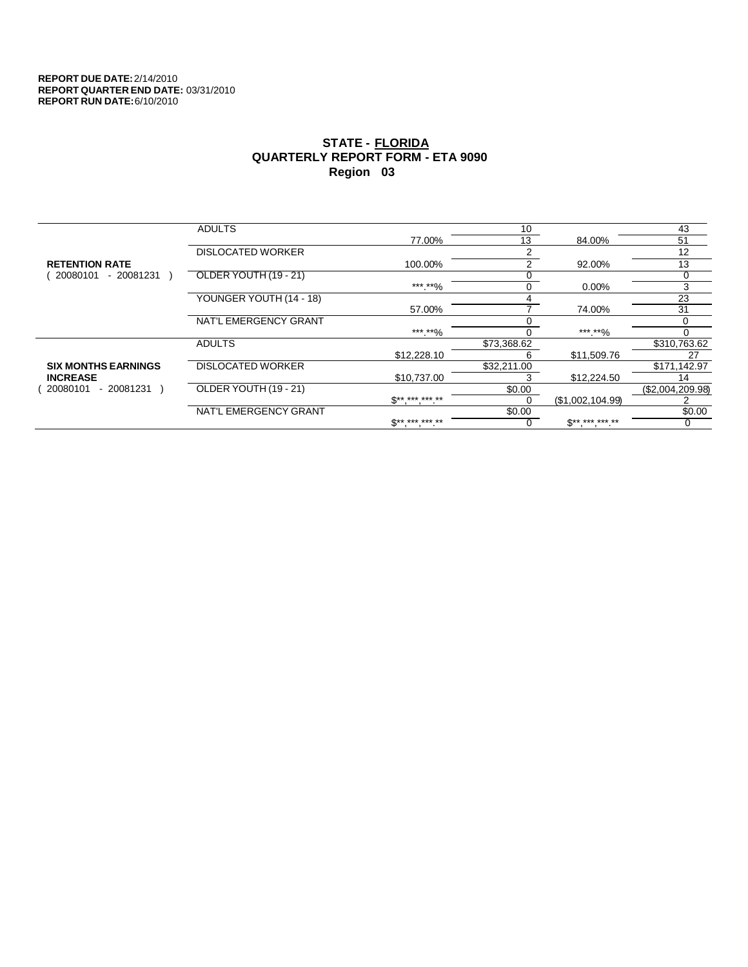|                            | <b>ADULTS</b>            |                          | 10          |                          | 43               |
|----------------------------|--------------------------|--------------------------|-------------|--------------------------|------------------|
|                            |                          | 77.00%                   | 13          | 84.00%                   | 51               |
|                            | <b>DISLOCATED WORKER</b> |                          | っ           |                          | 12               |
| <b>RETENTION RATE</b>      |                          | 100.00%                  | 2           | 92.00%                   | 13               |
| 20080101<br>- 20081231     | OLDER YOUTH (19 - 21)    |                          |             |                          |                  |
|                            |                          | ***.**%                  | 0           | $0.00\%$                 | 3                |
|                            | YOUNGER YOUTH (14 - 18)  |                          |             |                          | 23               |
|                            |                          | 57.00%                   |             | 74.00%                   | 31               |
|                            | NAT'L EMERGENCY GRANT    |                          |             |                          |                  |
|                            |                          | *** **%                  |             | *** **%                  |                  |
|                            | <b>ADULTS</b>            |                          | \$73,368.62 |                          | \$310,763.62     |
|                            |                          | \$12,228.10              | 6           | \$11,509.76              | 27               |
| <b>SIX MONTHS EARNINGS</b> | <b>DISLOCATED WORKER</b> |                          | \$32,211.00 |                          | \$171,142.97     |
| <b>INCREASE</b>            |                          | \$10.737.00              |             | \$12,224.50              | 14               |
| - 20081231<br>20080101     | OLDER YOUTH (19 - 21)    |                          | \$0.00      |                          | (\$2,004,209.98) |
|                            |                          | $\mathbb{S}^{*********}$ | 0           | (\$1,002,104.99)         |                  |
|                            | NAT'L EMERGENCY GRANT    |                          | \$0.00      |                          | \$0.00           |
|                            |                          | <b>C** *** *** **</b>    |             | $\mathbb{S}^{*********}$ |                  |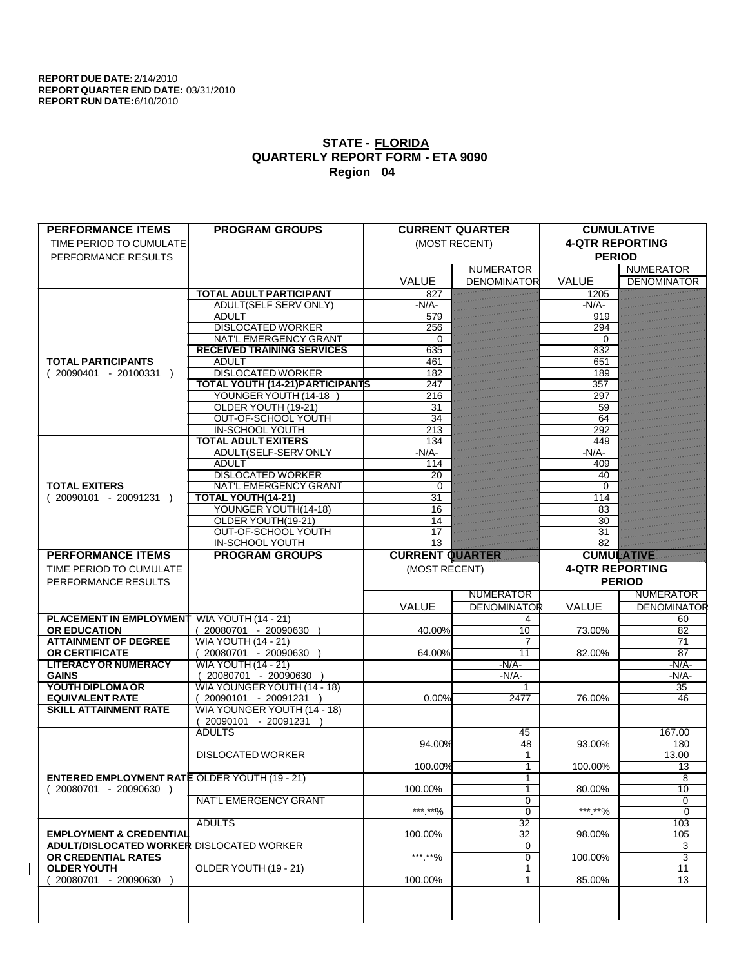| <b>PERFORMANCE ITEMS</b>                             | <b>PROGRAM GROUPS</b>                                  |                         | <b>CURRENT QUARTER</b> | <b>CUMULATIVE</b>      |                       |
|------------------------------------------------------|--------------------------------------------------------|-------------------------|------------------------|------------------------|-----------------------|
| TIME PERIOD TO CUMULATE                              |                                                        |                         | (MOST RECENT)          | <b>4-QTR REPORTING</b> |                       |
| PERFORMANCE RESULTS                                  |                                                        |                         |                        | <b>PERIOD</b>          |                       |
|                                                      |                                                        |                         | <b>NUMERATOR</b>       |                        | <b>NUMERATOR</b>      |
|                                                      |                                                        | <b>VALUE</b>            | <b>DENOMINATOR</b>     | <b>VALUE</b>           | <b>DENOMINATOR</b>    |
|                                                      | <b>TOTAL ADULT PARTICIPANT</b>                         | 827                     |                        | 1205                   |                       |
|                                                      | ADULT(SELF SERV ONLY)                                  | $-N/A$                  |                        | $-N/A$ -               |                       |
|                                                      | <b>ADULT</b><br><b>DISLOCATED WORKER</b>               | 579<br>$\overline{256}$ |                        | 919<br>294             |                       |
|                                                      | NAT'L EMERGENCY GRANT                                  | 0                       |                        | 0                      |                       |
|                                                      | <b>RECEIVED TRAINING SERVICES</b>                      | 635                     |                        | 832                    |                       |
| <b>TOTAL PARTICIPANTS</b>                            | <b>ADULT</b>                                           | 461                     |                        | 651                    |                       |
| $(20090401 - 20100331)$                              | <b>DISLOCATED WORKER</b>                               | 182                     |                        | 189                    |                       |
|                                                      | <b>TOTAL YOUTH (14-21) PARTICIPANTS</b>                | 247                     |                        | 357                    |                       |
|                                                      | YOUNGER YOUTH (14-18                                   | 216                     |                        | 297                    |                       |
|                                                      | OLDER YOUTH (19-21)                                    | 31                      |                        | 59                     |                       |
|                                                      | OUT-OF-SCHOOL YOUTH                                    | $\overline{34}$         |                        | 64                     |                       |
|                                                      | <b>IN-SCHOOL YOUTH</b><br><b>TOTAL ADULT EXITERS</b>   | 213                     |                        | 292                    |                       |
|                                                      | ADULT(SELF-SERV ONLY                                   | 134<br>$-N/A$ -         |                        | 449<br>$-N/A$ -        |                       |
|                                                      | <b>ADULT</b>                                           | 114                     |                        | 409                    |                       |
|                                                      | <b>DISLOCATED WORKER</b>                               | 20                      |                        | 40                     |                       |
| <b>TOTAL EXITERS</b>                                 | <b>NAT'L EMERGENCY GRANT</b>                           | $\Omega$                |                        | $\Omega$               |                       |
| $(20090101 - 20091231)$                              | <b>TOTAL YOUTH(14-21)</b>                              | 31                      |                        | 114                    |                       |
|                                                      | YOUNGER YOUTH(14-18)                                   | 16                      |                        | 83                     |                       |
|                                                      | OLDER YOUTH(19-21)                                     | 14                      |                        | $\overline{30}$        |                       |
|                                                      | OUT-OF-SCHOOL YOUTH                                    | 17                      |                        | 31                     |                       |
|                                                      | <b>IN-SCHOOL YOUTH</b>                                 | $\overline{13}$         |                        | 82                     |                       |
| <b>PERFORMANCE ITEMS</b>                             | <b>PROGRAM GROUPS</b>                                  | <b>CURRENT QUARTER</b>  |                        | <b>CUMULATIVE</b>      |                       |
| TIME PERIOD TO CUMULATE                              |                                                        | (MOST RECENT)           |                        | <b>4-QTR REPORTING</b> |                       |
|                                                      |                                                        |                         |                        |                        |                       |
| PERFORMANCE RESULTS                                  |                                                        |                         |                        |                        | <b>PERIOD</b>         |
|                                                      |                                                        |                         | <b>NUMERATOR</b>       |                        | <b>NUMERATOR</b>      |
|                                                      |                                                        | VALUE                   | <b>DENOMINATOR</b>     | <b>VALUE</b>           |                       |
| <b>PLACEMENT IN EMPLOYMENT</b>                       | <b>WIA YOUTH (14 - 21)</b>                             |                         | 4                      |                        | 60                    |
| <b>OR EDUCATION</b>                                  | (20080701 - 20090630                                   | 40.00%                  | 10                     | 73.00%                 | $\overline{82}$       |
| <b>ATTAINMENT OF DEGREE</b>                          | <b>WIA YOUTH (14 - 21)</b>                             |                         | 7                      |                        | 71                    |
| <b>OR CERTIFICATE</b>                                | $(20080701 - 20090630)$                                | 64.00%                  | 11                     | 82.00%                 | $\overline{87}$       |
| <b>LITERACY OR NUMERACY</b>                          | <b>WIA YOUTH (14 - 21)</b>                             |                         | $-N/A$                 |                        | $-N/A$ -              |
| <b>GAINS</b>                                         | 20080701 - 20090630 )                                  |                         | -N/A-<br>1             |                        | $-N/A$ -              |
| YOUTH DIPLOMA OR<br><b>EQUIVALENT RATE</b>           | WIA YOUNGER YOUTH (14 - 18)                            | 0.00%                   | 2477                   | 76.00%                 | $\overline{35}$<br>46 |
| <b>SKILL ATTAINMENT RATE</b>                         | $(20090101 - 20091231)$<br>WIA YOUNGER YOUTH (14 - 18) |                         |                        |                        |                       |
|                                                      | (20090101 - 20091231                                   |                         |                        |                        |                       |
|                                                      | <b>ADULTS</b>                                          |                         | 45                     |                        | 167.00                |
|                                                      |                                                        | 94.00%                  | 48                     | 93.00%                 | 180                   |
|                                                      | <b>DISLOCATED WORKER</b>                               |                         | 1                      |                        | 13.00                 |
|                                                      |                                                        | 100.00%                 | $\overline{1}$         | 100.00%                | 13                    |
| <b>ENTERED EMPLOYMENT RATE OLDER YOUTH (19 - 21)</b> |                                                        |                         | $\mathbf{1}$           |                        | 8                     |
| $(20080701 - 20090630)$                              |                                                        | 100.00%                 | 1                      | 80.00%                 | 10                    |
|                                                      | <b>NAT'L EMERGENCY GRANT</b>                           |                         | 0<br>$\overline{0}$    |                        | 0<br>$\overline{0}$   |
|                                                      | <b>ADULTS</b>                                          | ***.**%                 |                        | ***.**%                | 103                   |
| <b>EMPLOYMENT &amp; CREDENTIAL</b>                   |                                                        | 100.00%                 | 32<br>32               | 98.00%                 | 105                   |
| <b>ADULT/DISLOCATED WORKER DISLOCATED WORKER</b>     |                                                        |                         | 0                      |                        | 3                     |
| OR CREDENTIAL RATES                                  |                                                        | ***.**%                 | 0                      | 100.00%                | 3                     |
| <b>OLDER YOUTH</b>                                   | OLDER YOUTH (19 - 21)                                  |                         | 1                      |                        | $\overline{11}$       |
| 20080701 - 20090630                                  |                                                        | 100.00%                 | 1                      | 85.00%                 | $\overline{13}$       |
|                                                      |                                                        |                         |                        |                        |                       |
|                                                      |                                                        |                         |                        |                        | <b>DENOMINATOR</b>    |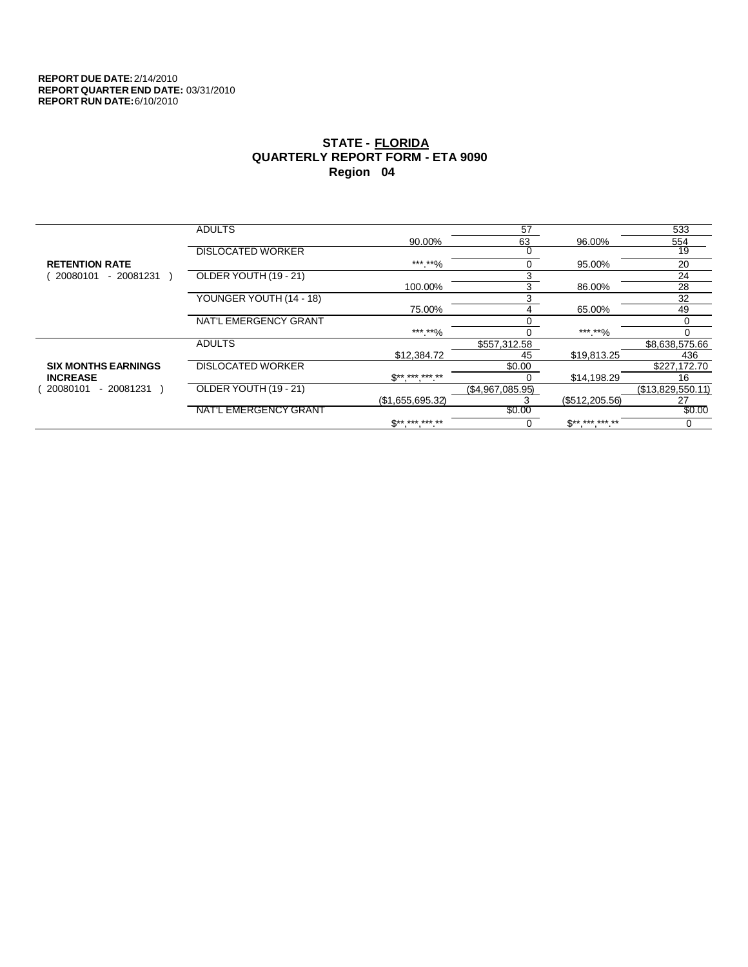|                            | <b>ADULTS</b>            |                  | 57               |                | 533               |
|----------------------------|--------------------------|------------------|------------------|----------------|-------------------|
|                            |                          | 90.00%           | 63               | 96.00%         | 554               |
|                            | <b>DISLOCATED WORKER</b> |                  |                  |                | 19                |
| <b>RETENTION RATE</b>      |                          | *** **%          | 0                | 95.00%         | 20                |
| - 20081231<br>20080101     | OLDER YOUTH (19 - 21)    |                  | 3                |                | 24                |
|                            |                          | 100.00%          | 3                | 86.00%         | 28                |
|                            | YOUNGER YOUTH (14 - 18)  |                  | 3                |                | 32                |
|                            |                          | 75.00%           | 4                | 65.00%         | 49                |
|                            | NAT'L EMERGENCY GRANT    |                  |                  |                |                   |
|                            |                          | ***.**%          |                  | ***.**%        |                   |
|                            | <b>ADULTS</b>            |                  | \$557,312.58     |                | \$8,638,575.66    |
|                            |                          | \$12,384.72      | 45               | \$19,813.25    | 436               |
| <b>SIX MONTHS EARNINGS</b> | <b>DISLOCATED WORKER</b> |                  | \$0.00           |                | \$227,172.70      |
| <b>INCREASE</b>            |                          | $S^{*********}$  |                  | \$14,198.29    | 16                |
| 20080101<br>- 20081231     | OLDER YOUTH (19 - 21)    |                  | (\$4,967,085.95) |                | (\$13,829,550.11) |
|                            |                          | (\$1,655,695.32) |                  | (\$512,205.56) | 27                |
|                            | NAT'L EMERGENCY GRANT    |                  | \$0.00           |                | \$0.00            |
|                            |                          | $S^{*********}$  | 0                | $S*********$   | 0                 |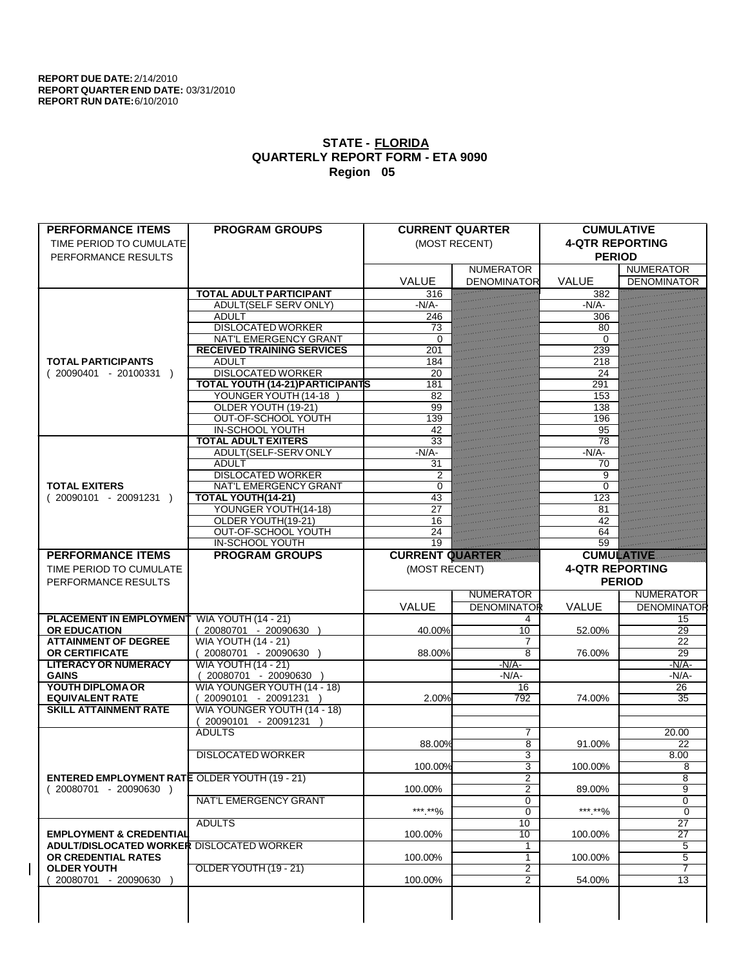| <b>PERFORMANCE ITEMS</b>                              | <b>PROGRAM GROUPS</b>                                 |                        | <b>CURRENT QUARTER</b> | <b>CUMULATIVE</b>      |                                   |
|-------------------------------------------------------|-------------------------------------------------------|------------------------|------------------------|------------------------|-----------------------------------|
| TIME PERIOD TO CUMULATE                               |                                                       |                        | (MOST RECENT)          | <b>4-QTR REPORTING</b> |                                   |
| PERFORMANCE RESULTS                                   |                                                       |                        |                        | <b>PERIOD</b>          |                                   |
|                                                       |                                                       |                        | <b>NUMERATOR</b>       |                        | <b>NUMERATOR</b>                  |
|                                                       | <b>TOTAL ADULT PARTICIPANT</b>                        | <b>VALUE</b>           | <b>DENOMINATOR</b>     | <b>VALUE</b><br>382    | <b>DENOMINATOR</b>                |
|                                                       | ADULT(SELF SERV ONLY)                                 | 316<br>$-N/A$          |                        | $-N/A$ -               |                                   |
|                                                       | <b>ADULT</b>                                          | 246                    |                        | 306                    |                                   |
|                                                       | <b>DISLOCATED WORKER</b>                              | 73                     |                        | 80                     |                                   |
|                                                       | NAT'L EMERGENCY GRANT                                 | $\Omega$               |                        | 0                      |                                   |
|                                                       | <b>RECEIVED TRAINING SERVICES</b>                     | 201                    |                        | 239                    |                                   |
| <b>TOTAL PARTICIPANTS</b>                             | <b>ADULT</b>                                          | 184                    |                        | 218                    |                                   |
| $(20090401 - 20100331)$                               | <b>DISLOCATED WORKER</b>                              | 20                     |                        | 24                     |                                   |
|                                                       | <b>TOTAL YOUTH (14-21) PARTICIPANTS</b>               | 181                    |                        | 291                    |                                   |
|                                                       | YOUNGER YOUTH (14-18                                  | 82                     |                        | 153                    |                                   |
|                                                       | OLDER YOUTH (19-21)                                   | 99                     |                        | 138                    |                                   |
|                                                       | OUT-OF-SCHOOL YOUTH                                   | 139                    |                        | 196                    |                                   |
|                                                       | <b>IN-SCHOOL YOUTH</b>                                | 42                     |                        | 95                     |                                   |
|                                                       | <b>TOTAL ADULT EXITERS</b>                            | $\overline{33}$        |                        | 78                     |                                   |
|                                                       | ADULT(SELF-SERV ONLY                                  | $-N/A$ -               |                        | $-N/A$ -               |                                   |
|                                                       | <b>ADULT</b><br><b>DISLOCATED WORKER</b>              | 31<br>$\overline{2}$   |                        | 70                     |                                   |
| <b>TOTAL EXITERS</b>                                  | <b>NAT'L EMERGENCY GRANT</b>                          | $\Omega$               |                        | 9<br>0                 |                                   |
| $(20090101 - 20091231)$                               | <b>TOTAL YOUTH(14-21)</b>                             | 43                     |                        | 123                    |                                   |
|                                                       | YOUNGER YOUTH(14-18)                                  | 27                     |                        | 81                     |                                   |
|                                                       | OLDER YOUTH(19-21)                                    | 16                     |                        | 42                     |                                   |
|                                                       | OUT-OF-SCHOOL YOUTH                                   | 24                     |                        | 64                     |                                   |
|                                                       | <b>IN-SCHOOL YOUTH</b>                                | 19                     |                        | 59                     |                                   |
| <b>PERFORMANCE ITEMS</b>                              | <b>PROGRAM GROUPS</b>                                 | <b>CURRENT QUARTER</b> |                        | <b>CUMULATIVE</b>      |                                   |
| TIME PERIOD TO CUMULATE                               |                                                       | (MOST RECENT)          |                        | <b>4-QTR REPORTING</b> |                                   |
|                                                       |                                                       |                        |                        |                        |                                   |
|                                                       |                                                       |                        |                        |                        |                                   |
| PERFORMANCE RESULTS                                   |                                                       |                        |                        |                        | <b>PERIOD</b>                     |
|                                                       |                                                       |                        | <b>NUMERATOR</b>       |                        | <b>NUMERATOR</b>                  |
|                                                       |                                                       | VALUE                  | <b>DENOMINATOR</b>     | <b>VALUE</b>           | <b>DENOMINATOR</b>                |
| <b>PLACEMENT IN EMPLOYMENT</b><br><b>OR EDUCATION</b> | <b>WIA YOUTH (14 - 21)</b><br>(20080701 - 20090630    | 40.00%                 | 4<br>10                | 52.00%                 | 15<br>29                          |
| <b>ATTAINMENT OF DEGREE</b>                           |                                                       |                        | 7                      |                        | 22                                |
| <b>OR CERTIFICATE</b>                                 | <b>WIA YOUTH (14 - 21)</b><br>$(20080701 - 20090630)$ | 88.00%                 | $\overline{8}$         | 76.00%                 | $\overline{29}$                   |
| <b>LITERACY OR NUMERACY</b>                           | <b>WIA YOUTH (14 - 21)</b>                            |                        | $-N/A$ -               |                        | $-N/A$ -                          |
| <b>GAINS</b>                                          | 20080701 - 20090630 )                                 |                        | -N/A-                  |                        | $-N/A$ -                          |
| YOUTH DIPLOMA OR                                      | WIA YOUNGER YOUTH (14 - 18)                           |                        | 16                     |                        | 26                                |
| <b>EQUIVALENT RATE</b>                                | $(20090101 - 20091231)$                               | 2.00%                  | 792                    | 74.00%                 | 35                                |
| <b>SKILL ATTAINMENT RATE</b>                          | WIA YOUNGER YOUTH (14 - 18)                           |                        |                        |                        |                                   |
|                                                       | (20090101 - 20091231                                  |                        |                        |                        |                                   |
|                                                       | <b>ADULTS</b>                                         |                        | 7                      |                        | 20.00                             |
|                                                       |                                                       | 88.00%                 | $\overline{8}$         | 91.00%                 | 22                                |
|                                                       | <b>DISLOCATED WORKER</b>                              |                        | 3                      |                        | 8.00                              |
|                                                       |                                                       | 100.00%                | 3                      | 100.00%                | 8                                 |
| <b>ENTERED EMPLOYMENT RATE OLDER YOUTH (19 - 21)</b>  |                                                       |                        | 2                      |                        | 8                                 |
| $(20080701 - 20090630)$                               |                                                       | 100.00%                | $\overline{2}$         | 89.00%                 | $\overline{9}$                    |
|                                                       | <b>NAT'L EMERGENCY GRANT</b>                          |                        | 0                      |                        | 0                                 |
|                                                       |                                                       | ***.**%                | $\overline{0}$         | ***.**%                | $\mathbf 0$                       |
| <b>EMPLOYMENT &amp; CREDENTIAL</b>                    | <b>ADULTS</b>                                         | 100.00%                | 10<br>10               | 100.00%                | $\overline{27}$                   |
| <b>ADULT/DISLOCATED WORKER DISLOCATED WORKER</b>      |                                                       |                        | 1                      |                        | $\overline{27}$<br>$\overline{5}$ |
| OR CREDENTIAL RATES                                   |                                                       | 100.00%                | 1                      | 100.00%                | 5                                 |
| <b>OLDER YOUTH</b>                                    | OLDER YOUTH (19 - 21)                                 |                        | $\overline{2}$         |                        | 7                                 |
| 20080701 - 20090630                                   |                                                       | 100.00%                | $\overline{2}$         | 54.00%                 | 13                                |
|                                                       |                                                       |                        |                        |                        |                                   |
|                                                       |                                                       |                        |                        |                        |                                   |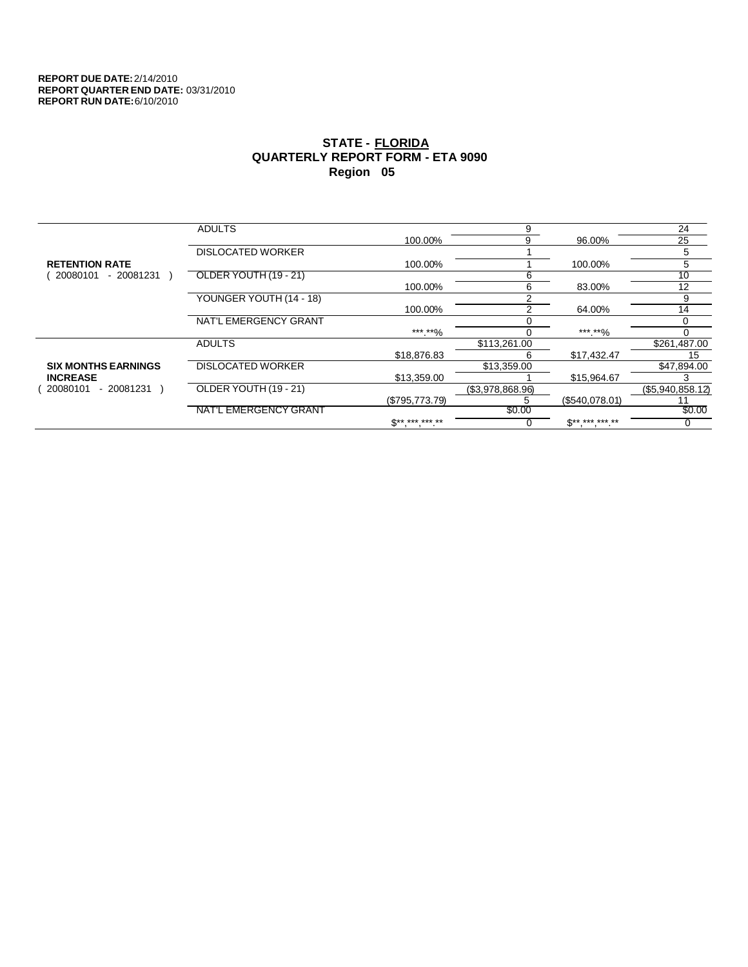|                            | <b>ADULTS</b>            |                               | 9               |                | 24               |
|----------------------------|--------------------------|-------------------------------|-----------------|----------------|------------------|
|                            |                          | 100.00%                       | 9               | 96.00%         | 25               |
|                            | <b>DISLOCATED WORKER</b> |                               |                 |                | 5                |
| <b>RETENTION RATE</b>      |                          | 100.00%                       |                 | 100.00%        | 5                |
| 20080101<br>$-20081231$    | OLDER YOUTH (19 - 21)    |                               | b               |                | $10^{-}$         |
|                            |                          | 100.00%                       | 6               | 83.00%         | 12               |
|                            | YOUNGER YOUTH (14 - 18)  |                               |                 |                | 9                |
|                            |                          | 100.00%                       | 2               | 64.00%         | 14               |
|                            | NAT'L EMERGENCY GRANT    |                               |                 |                |                  |
|                            |                          | ***.**%                       |                 | ***.**%        |                  |
|                            | <b>ADULTS</b>            |                               | \$113,261.00    |                | \$261,487.00     |
|                            |                          | \$18,876.83                   | ь               | \$17,432.47    | 15               |
| <b>SIX MONTHS EARNINGS</b> | <b>DISLOCATED WORKER</b> |                               | \$13,359.00     |                | \$47,894.00      |
| <b>INCREASE</b>            |                          | \$13,359.00                   |                 | \$15,964.67    |                  |
| - 20081231<br>20080101     | OLDER YOUTH (19 - 21)    |                               | (S3.978.868.96) |                | (\$5,940,858.12) |
|                            |                          | (\$795,773.79)                |                 | (\$540,078.01) |                  |
|                            | NAT'L EMERGENCY GRANT    |                               | \$0.00          |                | \$0.00           |
|                            |                          | $\mathbb{S}^{***}$ *** *** ** |                 | $S*********$   |                  |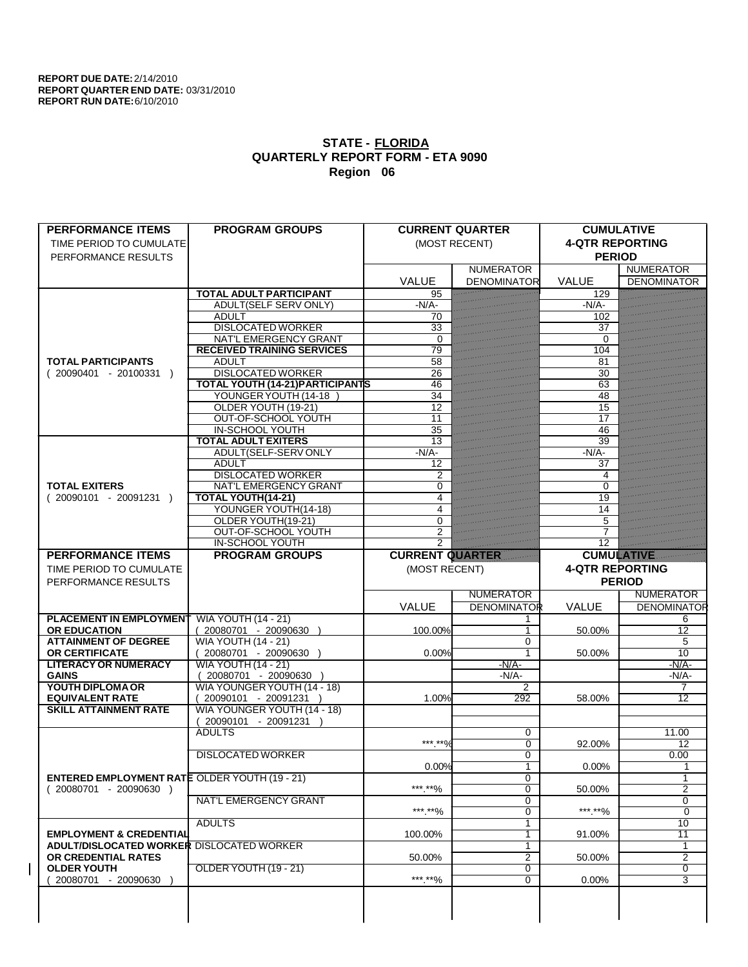| <b>PERFORMANCE ITEMS</b>                             | <b>PROGRAM GROUPS</b>                                           |                        | <b>CURRENT QUARTER</b> | <b>CUMULATIVE</b>      |                     |
|------------------------------------------------------|-----------------------------------------------------------------|------------------------|------------------------|------------------------|---------------------|
| TIME PERIOD TO CUMULATE                              |                                                                 |                        | (MOST RECENT)          | <b>4-QTR REPORTING</b> |                     |
| PERFORMANCE RESULTS                                  |                                                                 |                        |                        | <b>PERIOD</b>          |                     |
|                                                      |                                                                 |                        | <b>NUMERATOR</b>       |                        | <b>NUMERATOR</b>    |
|                                                      |                                                                 | <b>VALUE</b>           | <b>DENOMINATOR</b>     | <b>VALUE</b>           | <b>DENOMINATOR</b>  |
|                                                      | <b>TOTAL ADULT PARTICIPANT</b>                                  | 95                     |                        | 129                    |                     |
|                                                      | <b>ADULT(SELF SERV ONLY)</b>                                    | $-N/A$                 |                        | $-N/A$ -               |                     |
|                                                      | <b>ADULT</b>                                                    | 70                     |                        | 102                    |                     |
|                                                      | <b>DISLOCATED WORKER</b>                                        | 33                     |                        | 37                     |                     |
|                                                      | NAT'L EMERGENCY GRANT                                           | $\Omega$               |                        | $\Omega$               |                     |
|                                                      | <b>RECEIVED TRAINING SERVICES</b>                               | 79                     |                        | 104                    |                     |
| <b>TOTAL PARTICIPANTS</b>                            | <b>ADULT</b>                                                    | 58                     |                        | 81                     |                     |
| $(20090401 - 20100331)$                              | <b>DISLOCATED WORKER</b>                                        | 26                     |                        | 30                     |                     |
|                                                      | <b>TOTAL YOUTH (14-21) PARTICIPANTS</b><br>YOUNGER YOUTH (14-18 | 46<br>34               |                        | 63                     |                     |
|                                                      | OLDER YOUTH (19-21)                                             | 12                     |                        | 48<br>15               |                     |
|                                                      | OUT-OF-SCHOOL YOUTH                                             | $\overline{11}$        |                        | 17                     |                     |
|                                                      | <b>IN-SCHOOL YOUTH</b>                                          | 35                     |                        | 46                     |                     |
|                                                      | <b>TOTAL ADULT EXITERS</b>                                      | 13                     |                        | 39                     |                     |
|                                                      | ADULT(SELF-SERV ONLY                                            | $-N/A$ -               |                        | $-N/A$                 |                     |
|                                                      | <b>ADULT</b>                                                    | 12                     |                        | 37                     |                     |
|                                                      | <b>DISLOCATED WORKER</b>                                        | 2                      |                        | 4                      |                     |
| <b>TOTAL EXITERS</b>                                 | <b>NAT'L EMERGENCY GRANT</b>                                    | $\Omega$               |                        | 0                      |                     |
| $(20090101 - 20091231)$                              | <b>TOTAL YOUTH(14-21)</b>                                       | 4                      |                        | 19                     |                     |
|                                                      | YOUNGER YOUTH(14-18)                                            | 4                      |                        | 14                     |                     |
|                                                      | OLDER YOUTH(19-21)                                              | $\Omega$               |                        | 5                      |                     |
|                                                      | OUT-OF-SCHOOL YOUTH                                             | $\overline{2}$         |                        |                        |                     |
|                                                      | <b>IN-SCHOOL YOUTH</b>                                          | $\overline{2}$         |                        | $\overline{12}$        |                     |
| <b>PERFORMANCE ITEMS</b>                             | <b>PROGRAM GROUPS</b>                                           | <b>CURRENT QUARTER</b> |                        | <b>CUMULATIVE</b>      |                     |
| TIME PERIOD TO CUMULATE                              |                                                                 | (MOST RECENT)          |                        | <b>4-QTR REPORTING</b> |                     |
|                                                      |                                                                 |                        |                        |                        | <b>PERIOD</b>       |
| PERFORMANCE RESULTS                                  |                                                                 |                        |                        |                        |                     |
|                                                      |                                                                 |                        | <b>NUMERATOR</b>       |                        | <b>NUMERATOR</b>    |
|                                                      |                                                                 | VALUE                  | <b>DENOMINATOR</b>     | <b>VALUE</b>           | <b>DENOMINATOR</b>  |
| <b>PLACEMENT IN EMPLOYMENT</b>                       | <b>WIA YOUTH (14 - 21)</b>                                      |                        | 1                      |                        | 6                   |
| <b>OR EDUCATION</b>                                  | (20080701 - 20090630                                            | 100.00%                | 1                      | 50.00%                 | $\overline{12}$     |
| <b>ATTAINMENT OF DEGREE</b>                          | <b>WIA YOUTH (14 - 21)</b>                                      |                        | $\Omega$               |                        | 5                   |
| <b>OR CERTIFICATE</b>                                | $(20080701 - 20090630)$                                         | 0.00%                  | $\overline{1}$         | 50.00%                 | 10                  |
| <b>LITERACY OR NUMERACY</b>                          | <b>WIA YOUTH (14 - 21)</b>                                      |                        | $-N/A$ -               |                        | $-N/A$              |
| <b>GAINS</b>                                         | 20080701 - 20090630                                             |                        | $-N/A$ -               |                        | $-N/A$              |
| YOUTH DIPLOMA OR                                     | WIA YOUNGER YOUTH (14 - 18)                                     |                        | 2                      |                        | 7                   |
| <b>EQUIVALENT RATE</b>                               | 20090101 - 20091231 )                                           | 1.00%                  | 292                    | 58.00%                 | $\overline{12}$     |
| <b>SKILL ATTAINMENT RATE</b>                         | WIA YOUNGER YOUTH (14 - 18)                                     |                        |                        |                        |                     |
|                                                      | 20090101 - 20091231                                             |                        |                        |                        |                     |
|                                                      | <b>ADULTS</b>                                                   |                        | 0                      |                        | 11.00               |
|                                                      |                                                                 | *** **0/               | $\overline{0}$         | 92.00%                 | 12                  |
|                                                      | <b>DISLOCATED WORKER</b>                                        |                        | $\overline{0}$         |                        | 0.00                |
|                                                      |                                                                 | 0.00%                  | $\overline{1}$         | 0.00%                  |                     |
| <b>ENTERED EMPLOYMENT RATE OLDER YOUTH (19 - 21)</b> |                                                                 |                        | 0<br>$\overline{0}$    | 50.00%                 | 1<br>$\overline{2}$ |
| $(20080701 - 20090630)$                              | <b>NAT'L EMERGENCY GRANT</b>                                    | ***.**%                | 0                      |                        | 0                   |
|                                                      |                                                                 | ***.**%                | $\overline{0}$         | ***.**%                | $\overline{0}$      |
|                                                      | <b>ADULTS</b>                                                   |                        | 1                      |                        | 10                  |
| <b>EMPLOYMENT &amp; CREDENTIAL</b>                   |                                                                 | 100.00%                | 1                      | 91.00%                 | $\overline{11}$     |
| ADULT/DISLOCATED WORKER DISLOCATED WORKER            |                                                                 |                        | 1                      |                        | 1                   |
| OR CREDENTIAL RATES                                  |                                                                 | 50.00%                 | 2                      | 50.00%                 | $\overline{2}$      |
| <b>OLDER YOUTH</b>                                   | OLDER YOUTH (19 - 21)                                           |                        | $\overline{0}$         |                        | $\overline{0}$      |
| 20080701 - 20090630                                  |                                                                 | *** **%                | $\overline{0}$         | 0.00%                  | 3                   |
|                                                      |                                                                 |                        |                        |                        |                     |
|                                                      |                                                                 |                        |                        |                        |                     |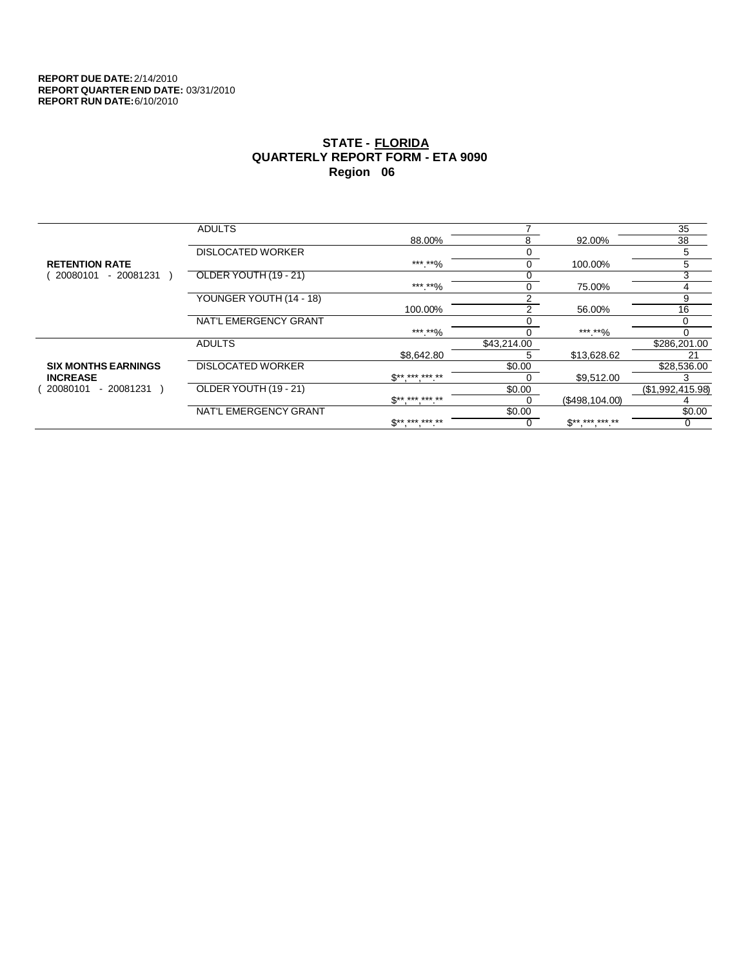|                            | <b>ADULTS</b>            |                          |             |                          | 35               |
|----------------------------|--------------------------|--------------------------|-------------|--------------------------|------------------|
|                            |                          | 88.00%                   | 8           | 92.00%                   | 38               |
|                            | <b>DISLOCATED WORKER</b> |                          |             |                          | 5                |
| <b>RETENTION RATE</b>      |                          | ***.**%                  | 0           | 100.00%                  | 5                |
| 20080101<br>- 20081231     | OLDER YOUTH (19 - 21)    |                          |             |                          | 3                |
|                            |                          | *** **%                  | 0           | 75.00%                   | 4                |
|                            | YOUNGER YOUTH (14 - 18)  |                          |             |                          | 9                |
|                            |                          | 100.00%                  | 2           | 56.00%                   | 16               |
|                            | NAT'L EMERGENCY GRANT    |                          |             |                          |                  |
|                            |                          | ***.**%                  |             | ***.**%                  |                  |
|                            | <b>ADULTS</b>            |                          | \$43,214.00 |                          | \$286,201.00     |
|                            |                          | \$8,642.80               | :           | \$13,628.62              | 21               |
| <b>SIX MONTHS EARNINGS</b> | <b>DISLOCATED WORKER</b> |                          | \$0.00      |                          | \$28,536.00      |
| <b>INCREASE</b>            |                          | $\mathbb{S}^{*********}$ |             | \$9,512.00               |                  |
| - 20081231<br>20080101     | OLDER YOUTH (19 - 21)    |                          | \$0.00      |                          | (\$1,992,415.98) |
|                            |                          | $S*********$             |             | (\$498,104.00)           |                  |
|                            | NAT'L EMERGENCY GRANT    |                          | \$0.00      |                          | \$0.00           |
|                            |                          | <b>C** *** *** **</b>    |             | $\mathbb{S}^{*********}$ |                  |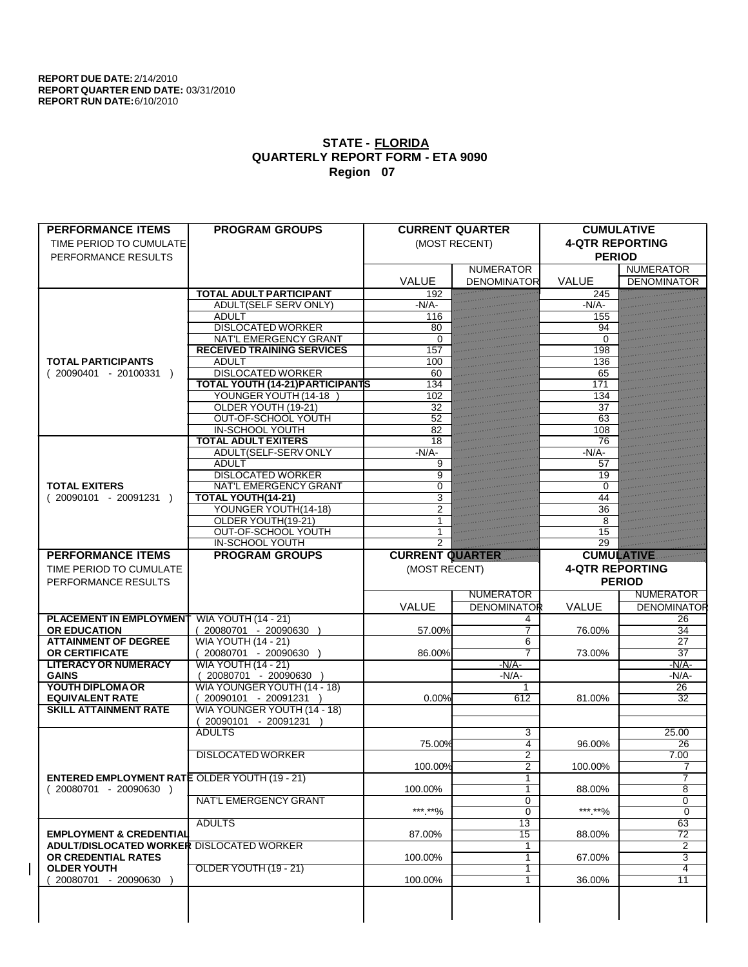| <b>PERFORMANCE ITEMS</b>                               | <b>PROGRAM GROUPS</b>                               |                        | <b>CURRENT QUARTER</b> | <b>CUMULATIVE</b>      |                          |
|--------------------------------------------------------|-----------------------------------------------------|------------------------|------------------------|------------------------|--------------------------|
| TIME PERIOD TO CUMULATE                                |                                                     |                        | (MOST RECENT)          | <b>4-QTR REPORTING</b> |                          |
| PERFORMANCE RESULTS                                    |                                                     |                        |                        | <b>PERIOD</b>          |                          |
|                                                        |                                                     |                        | <b>NUMERATOR</b>       |                        | <b>NUMERATOR</b>         |
|                                                        |                                                     | <b>VALUE</b>           | <b>DENOMINATOR</b>     | <b>VALUE</b>           | <b>DENOMINATOR</b>       |
|                                                        | <b>TOTAL ADULT PARTICIPANT</b>                      | 192                    |                        | 245                    |                          |
|                                                        | ADULT(SELF SERV ONLY)                               | $-N/A$                 |                        | $-N/A$                 |                          |
|                                                        | <b>ADULT</b><br><b>DISLOCATED WORKER</b>            | 116<br>80              |                        | 155                    |                          |
|                                                        | NAT'L EMERGENCY GRANT                               | $\Omega$               |                        | 94<br>0                |                          |
|                                                        | <b>RECEIVED TRAINING SERVICES</b>                   | 157                    |                        | 198                    |                          |
| <b>TOTAL PARTICIPANTS</b>                              | <b>ADULT</b>                                        | 100                    |                        | 136                    |                          |
| $(20090401 - 20100331)$                                | <b>DISLOCATED WORKER</b>                            | 60                     |                        | 65                     |                          |
|                                                        | <b>TOTAL YOUTH (14-21) PARTICIPANTS</b>             | 134                    |                        | 171                    |                          |
|                                                        | YOUNGER YOUTH (14-18                                | 102                    |                        | 134                    |                          |
|                                                        | OLDER YOUTH (19-21)                                 | 32                     |                        | 37                     |                          |
|                                                        | OUT-OF-SCHOOL YOUTH                                 | 52                     |                        | 63                     |                          |
|                                                        | <b>IN-SCHOOL YOUTH</b>                              | 82                     |                        | 108                    |                          |
|                                                        | <b>TOTAL ADULT EXITERS</b>                          | 18<br>$-N/A$ -         |                        | 76<br>$-N/A$ -         |                          |
|                                                        | ADULT(SELF-SERV ONLY<br><b>ADULT</b>                | 9                      |                        | 57                     |                          |
|                                                        | <b>DISLOCATED WORKER</b>                            | 9                      |                        | 19                     |                          |
| <b>TOTAL EXITERS</b>                                   | <b>NAT'L EMERGENCY GRANT</b>                        | $\Omega$               |                        | 0                      |                          |
| $(20090101 - 20091231)$                                | <b>TOTAL YOUTH(14-21)</b>                           | 3                      |                        | 44                     |                          |
|                                                        | YOUNGER YOUTH(14-18)                                |                        |                        | 36                     |                          |
|                                                        | OLDER YOUTH(19-21)                                  |                        |                        | 8                      |                          |
|                                                        | OUT-OF-SCHOOL YOUTH                                 |                        |                        | 15                     |                          |
|                                                        | <b>IN-SCHOOL YOUTH</b>                              | $\overline{2}$         |                        | $\overline{29}$        |                          |
| <b>PERFORMANCE ITEMS</b>                               | <b>PROGRAM GROUPS</b>                               | <b>CURRENT QUARTER</b> |                        | <b>CUMULATIVE</b>      |                          |
| TIME PERIOD TO CUMULATE                                |                                                     | (MOST RECENT)          |                        | <b>4-QTR REPORTING</b> |                          |
|                                                        |                                                     |                        |                        |                        |                          |
| PERFORMANCE RESULTS                                    |                                                     |                        |                        |                        | <b>PERIOD</b>            |
|                                                        |                                                     |                        | <b>NUMERATOR</b>       |                        | <b>NUMERATOR</b>         |
|                                                        |                                                     | VALUE                  | <b>DENOMINATOR</b>     | <b>VALUE</b>           |                          |
| <b>PLACEMENT IN EMPLOYMENT</b>                         | <b>WIA YOUTH (14 - 21)</b>                          |                        | 4                      |                        | <b>DENOMINATOR</b><br>26 |
| <b>OR EDUCATION</b>                                    | (20080701 - 20090630                                | 57.00%                 | 7                      | 76.00%                 | $\overline{34}$          |
| <b>ATTAINMENT OF DEGREE</b>                            | <b>WIA YOUTH (14 - 21)</b>                          |                        | 6                      |                        | 27                       |
| <b>OR CERTIFICATE</b>                                  | $(20080701 - 20090630)$                             | 86.00%                 |                        | 73.00%                 | $\overline{37}$          |
| <b>LITERACY OR NUMERACY</b>                            | <b>WIA YOUTH (14 - 21)</b>                          |                        | $-N/A$ -               |                        | $-N/A$ -                 |
| <b>GAINS</b>                                           | 20080701 - 20090630 )                               |                        | -N/A-                  |                        | $-N/A$ -                 |
| YOUTH DIPLOMA OR                                       | WIA YOUNGER YOUTH (14 - 18)                         |                        |                        |                        | 26                       |
| <b>EQUIVALENT RATE</b><br><b>SKILL ATTAINMENT RATE</b> | $(20090101 - 20091231)$                             | 0.00%                  | 612                    | 81.00%                 | $\overline{32}$          |
|                                                        | WIA YOUNGER YOUTH (14 - 18)<br>(20090101 - 20091231 |                        |                        |                        |                          |
|                                                        | <b>ADULTS</b>                                       |                        | 3                      |                        | 25.00                    |
|                                                        |                                                     | 75.00%                 | $\overline{4}$         | 96.00%                 | 26                       |
|                                                        | <b>DISLOCATED WORKER</b>                            |                        | 2                      |                        | 7.00                     |
|                                                        |                                                     | 100.00%                | $\overline{2}$         | 100.00%                | $\mathbf{I}$             |
| <b>ENTERED EMPLOYMENT RATE OLDER YOUTH (19 - 21)</b>   |                                                     |                        | $\mathbf{1}$           |                        | $\overline{7}$           |
| $(20080701 - 20090630)$                                |                                                     | 100.00%                | 1                      | 88.00%                 | 8                        |
|                                                        | <b>NAT'L EMERGENCY GRANT</b>                        |                        | 0                      |                        | 0                        |
|                                                        | <b>ADULTS</b>                                       | ***.**%                | $\overline{0}$         | ***.**%                | $\overline{0}$<br>63     |
| <b>EMPLOYMENT &amp; CREDENTIAL</b>                     |                                                     | 87.00%                 | 13<br>15               | 88.00%                 | $\overline{72}$          |
| <b>ADULT/DISLOCATED WORKER DISLOCATED WORKER</b>       |                                                     |                        | 1                      |                        | $\overline{2}$           |
| OR CREDENTIAL RATES                                    |                                                     | 100.00%                | 1                      | 67.00%                 | 3                        |
| <b>OLDER YOUTH</b>                                     | OLDER YOUTH (19 - 21)                               |                        | 1                      |                        | 4                        |
| 20080701 - 20090630                                    |                                                     | 100.00%                | 1                      | 36.00%                 | 11                       |
|                                                        |                                                     |                        |                        |                        |                          |
|                                                        |                                                     |                        |                        |                        |                          |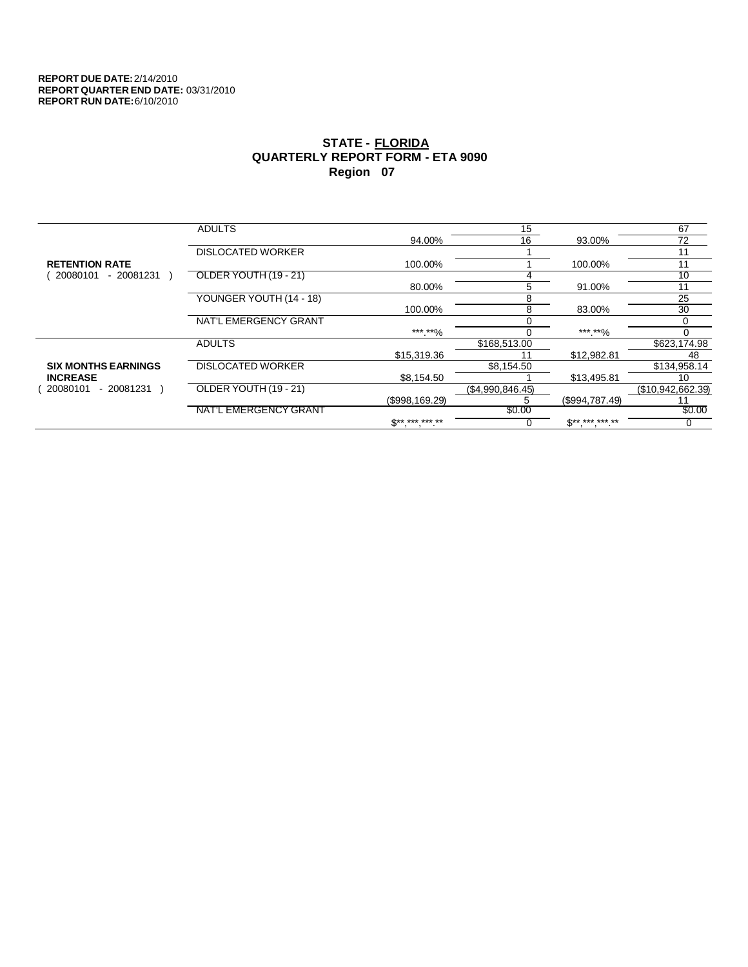|                            | <b>ADULTS</b>            |                               | 15               |                          | 67                |
|----------------------------|--------------------------|-------------------------------|------------------|--------------------------|-------------------|
|                            |                          | 94.00%                        | 16               | 93.00%                   | 72                |
|                            | <b>DISLOCATED WORKER</b> |                               |                  |                          | 11                |
| <b>RETENTION RATE</b>      |                          | 100.00%                       |                  | 100.00%                  | 11                |
| 20080101<br>$-20081231$    | OLDER YOUTH (19 - 21)    |                               |                  |                          | 10                |
|                            |                          | 80.00%                        | 5                | 91.00%                   | 11                |
|                            | YOUNGER YOUTH (14 - 18)  |                               | 8                |                          | 25                |
|                            |                          | 100.00%                       | 8                | 83.00%                   | 30                |
|                            | NAT'L EMERGENCY GRANT    |                               |                  |                          |                   |
|                            |                          | ***.**%                       |                  | ***.**%                  |                   |
|                            | <b>ADULTS</b>            |                               | \$168,513.00     |                          | \$623,174.98      |
|                            |                          | \$15,319.36                   | 11               | \$12.982.81              | 48                |
| <b>SIX MONTHS EARNINGS</b> | <b>DISLOCATED WORKER</b> |                               | \$8,154.50       |                          | \$134,958.14      |
| <b>INCREASE</b>            |                          | \$8,154.50                    |                  | \$13,495.81              | 10                |
| - 20081231<br>20080101     | OLDER YOUTH (19 - 21)    |                               | (\$4,990,846.45) |                          | (\$10,942,662.39) |
|                            |                          | (\$998,169.29)                |                  | (\$994,787.49)           |                   |
|                            | NAT'L EMERGENCY GRANT    |                               | \$0.00           |                          | \$0.00            |
|                            |                          | $\mathbb{S}^{***}$ *** *** ** |                  | $\mathbb{S}^{*********}$ |                   |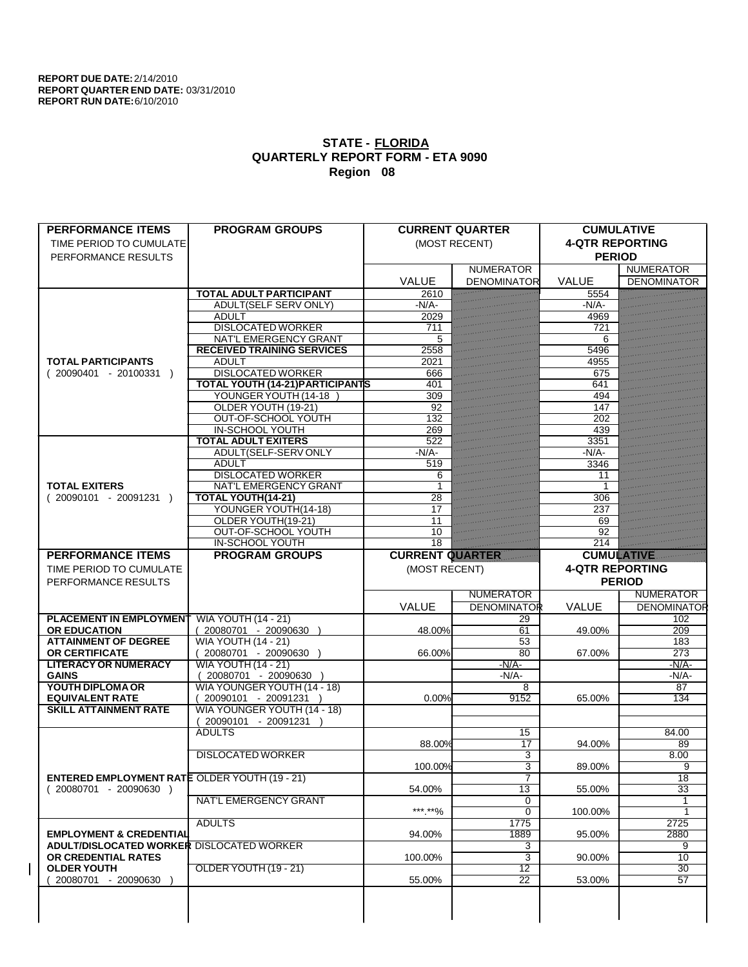| <b>PERFORMANCE ITEMS</b>                                                        | <b>PROGRAM GROUPS</b>                   |                        | <b>CURRENT QUARTER</b>           | <b>CUMULATIVE</b>      |                    |
|---------------------------------------------------------------------------------|-----------------------------------------|------------------------|----------------------------------|------------------------|--------------------|
| TIME PERIOD TO CUMULATE                                                         |                                         |                        | (MOST RECENT)                    | <b>4-QTR REPORTING</b> |                    |
| PERFORMANCE RESULTS                                                             |                                         |                        |                                  | <b>PERIOD</b>          |                    |
|                                                                                 |                                         |                        | <b>NUMERATOR</b>                 |                        | <b>NUMERATOR</b>   |
|                                                                                 |                                         | <b>VALUE</b>           | <b>DENOMINATOR</b>               | <b>VALUE</b>           | <b>DENOMINATOR</b> |
|                                                                                 | <b>TOTAL ADULT PARTICIPANT</b>          | 2610                   |                                  | 5554                   |                    |
|                                                                                 | <b>ADULT(SELF SERV ONLY)</b>            | $-N/A$                 |                                  | $-N/A$                 |                    |
|                                                                                 | <b>ADULT</b>                            | 2029                   |                                  | 4969                   |                    |
|                                                                                 | <b>DISLOCATED WORKER</b>                | 711                    |                                  | 721                    |                    |
|                                                                                 | NAT'L EMERGENCY GRANT                   | 5                      |                                  | 6                      |                    |
|                                                                                 | <b>RECEIVED TRAINING SERVICES</b>       | 2558                   |                                  | 5496                   |                    |
| <b>TOTAL PARTICIPANTS</b>                                                       | <b>ADULT</b>                            | 2021                   |                                  | 4955                   |                    |
| $(20090401 - 20100331)$                                                         | <b>DISLOCATED WORKER</b>                | 666                    |                                  | 675                    |                    |
|                                                                                 | <b>TOTAL YOUTH (14-21) PARTICIPANTS</b> | 401                    |                                  | 641                    |                    |
|                                                                                 | YOUNGER YOUTH (14-18                    | 309                    |                                  | 494                    |                    |
|                                                                                 | OLDER YOUTH (19-21)                     | 92                     |                                  | 147                    |                    |
|                                                                                 | OUT-OF-SCHOOL YOUTH                     | 132                    |                                  | 202                    |                    |
|                                                                                 | <b>IN-SCHOOL YOUTH</b>                  | 269                    |                                  | 439                    |                    |
|                                                                                 | <b>TOTAL ADULT EXITERS</b>              | 522                    |                                  | 3351                   |                    |
|                                                                                 | ADULT(SELF-SERV ONLY                    | $-N/A$ -               |                                  | $-N/A$                 |                    |
|                                                                                 | <b>ADULT</b>                            | 519                    |                                  | 3346                   |                    |
|                                                                                 | <b>DISLOCATED WORKER</b>                | 6                      |                                  | 11                     |                    |
| <b>TOTAL EXITERS</b>                                                            | <b>NAT'L EMERGENCY GRANT</b>            |                        |                                  | 1                      |                    |
| $(20090101 - 20091231)$                                                         | <b>TOTAL YOUTH(14-21)</b>               | 28                     |                                  | 306                    |                    |
|                                                                                 | YOUNGER YOUTH(14-18)                    | 17                     |                                  | 237                    |                    |
|                                                                                 | OLDER YOUTH(19-21)                      | 11                     |                                  | 69                     |                    |
|                                                                                 | OUT-OF-SCHOOL YOUTH                     | 10                     |                                  | 92                     |                    |
|                                                                                 | <b>IN-SCHOOL YOUTH</b>                  | $\overline{18}$        |                                  | $\overline{214}$       |                    |
| <b>PERFORMANCE ITEMS</b>                                                        | <b>PROGRAM GROUPS</b>                   | <b>CURRENT QUARTER</b> |                                  | <b>CUMULATIVE</b>      |                    |
| TIME PERIOD TO CUMULATE                                                         |                                         | (MOST RECENT)          |                                  | <b>4-QTR REPORTING</b> |                    |
|                                                                                 |                                         |                        |                                  |                        |                    |
|                                                                                 |                                         |                        |                                  |                        |                    |
| PERFORMANCE RESULTS                                                             |                                         |                        |                                  |                        | <b>PERIOD</b>      |
|                                                                                 |                                         |                        | <b>NUMERATOR</b>                 |                        | <b>NUMERATOR</b>   |
|                                                                                 |                                         | VALUE                  | <b>DENOMINATOR</b>               | <b>VALUE</b>           | <b>DENOMINATOR</b> |
| <b>PLACEMENT IN EMPLOYMENT</b>                                                  | <b>WIA YOUTH (14 - 21)</b>              |                        | 29                               |                        | 102                |
| <b>OR EDUCATION</b>                                                             | (20080701 - 20090630                    | 48.00%                 | 61                               | 49.00%                 | 209                |
| <b>ATTAINMENT OF DEGREE</b>                                                     | <b>WIA YOUTH (14 - 21)</b>              |                        | 53                               |                        | 183                |
| <b>OR CERTIFICATE</b>                                                           | $(20080701 - 20090630)$                 | 66.00%                 | 80                               | 67.00%                 | $\overline{273}$   |
| <b>LITERACY OR NUMERACY</b>                                                     | <b>WIA YOUTH (14 - 21)</b>              |                        | $-N/A$                           |                        | $-N/A$ -           |
| <b>GAINS</b>                                                                    | 20080701 - 20090630                     |                        | $-N/A-$                          |                        | $-N/A$ -           |
| YOUTH DIPLOMA OR                                                                | WIA YOUNGER YOUTH (14 - 18)             |                        | 8                                |                        | $\overline{87}$    |
| <b>EQUIVALENT RATE</b>                                                          | 20090101 - 20091231 )                   | 0.00%                  | 9152                             | 65.00%                 | 134                |
| <b>SKILL ATTAINMENT RATE</b>                                                    | WIA YOUNGER YOUTH (14 - 18)             |                        |                                  |                        |                    |
|                                                                                 | 20090101 - 20091231                     |                        |                                  |                        |                    |
|                                                                                 | <b>ADULTS</b>                           |                        | 15<br>17                         | 94.00%                 | 84.00<br>89        |
|                                                                                 |                                         | 88.00%                 |                                  |                        |                    |
|                                                                                 | <b>DISLOCATED WORKER</b>                |                        | 3                                |                        | 8.00               |
|                                                                                 |                                         | 100.00%                | $\overline{3}$<br>$\overline{7}$ | 89.00%                 | 9<br>18            |
| <b>ENTERED EMPLOYMENT RATE OLDER YOUTH (19 - 21)</b><br>$(20080701 - 20090630)$ |                                         | 54.00%                 | 13                               | 55.00%                 | 33                 |
|                                                                                 | <b>NAT'L EMERGENCY GRANT</b>            |                        | 0                                |                        |                    |
|                                                                                 |                                         |                        | $\overline{0}$                   | 100.00%                | 1                  |
|                                                                                 | <b>ADULTS</b>                           | ***.**%                | 1775                             |                        | 2725               |
| <b>EMPLOYMENT &amp; CREDENTIAL</b>                                              |                                         | 94.00%                 | 1889                             | 95.00%                 | 2880               |
| <b>ADULT/DISLOCATED WORKER DISLOCATED WORKER</b>                                |                                         |                        | 3                                |                        | 9                  |
| OR CREDENTIAL RATES                                                             |                                         | 100.00%                | 3                                | 90.00%                 | 10                 |
| <b>OLDER YOUTH</b>                                                              | OLDER YOUTH (19 - 21)                   |                        | $\overline{12}$                  |                        | $\overline{30}$    |
| 20080701 - 20090630                                                             |                                         | 55.00%                 | $\overline{22}$                  | 53.00%                 | 57                 |
|                                                                                 |                                         |                        |                                  |                        |                    |
|                                                                                 |                                         |                        |                                  |                        |                    |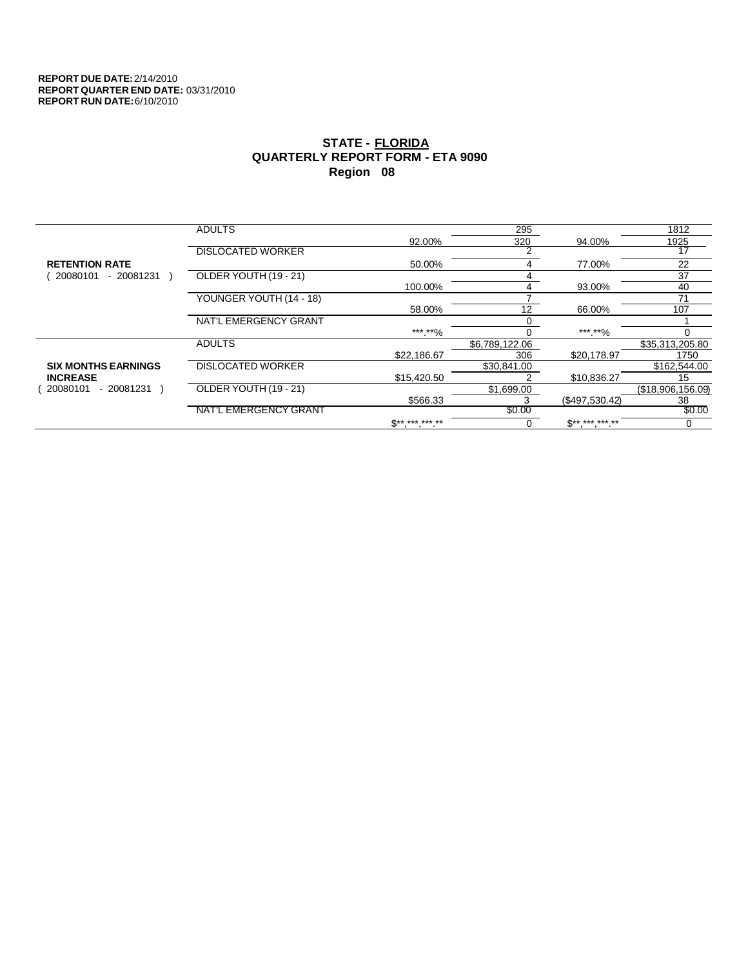|                            | <b>ADULTS</b>            |              | 295            |                            | 1812              |
|----------------------------|--------------------------|--------------|----------------|----------------------------|-------------------|
|                            |                          | 92.00%       | 320            | 94.00%                     | 1925              |
|                            | <b>DISLOCATED WORKER</b> |              | 2              |                            | 17                |
| <b>RETENTION RATE</b>      |                          | 50.00%       | 4              | 77.00%                     | 22                |
| 20080101<br>$-20081231$    | OLDER YOUTH (19 - 21)    |              |                |                            | 37                |
|                            |                          | 100.00%      | 4              | 93.00%                     | 40                |
|                            | YOUNGER YOUTH (14 - 18)  |              |                |                            | 71                |
|                            |                          | 58.00%       | 12             | 66.00%                     | 107               |
|                            | NAT'L EMERGENCY GRANT    |              | 0              |                            |                   |
|                            |                          | ***.**%      |                | ***.**%                    |                   |
|                            | <b>ADULTS</b>            |              | \$6,789,122.06 |                            | \$35,313,205.80   |
|                            |                          | \$22,186.67  | 306            | \$20,178.97                | 1750              |
| <b>SIX MONTHS EARNINGS</b> | <b>DISLOCATED WORKER</b> |              | \$30,841.00    |                            | \$162,544.00      |
| <b>INCREASE</b>            |                          | \$15,420.50  |                | \$10,836.27                | 15                |
| - 20081231<br>20080101     | OLDER YOUTH (19 - 21)    |              | \$1,699.00     |                            | (\$18,906,156.09) |
|                            |                          | \$566.33     |                | (\$497,530.42)             | 38                |
|                            | NAT'L EMERGENCY GRANT    |              | \$0.00         |                            | \$0.00            |
|                            |                          | $S*********$ | 0              | $\mathbb{S}$ ** *** *** ** | 0                 |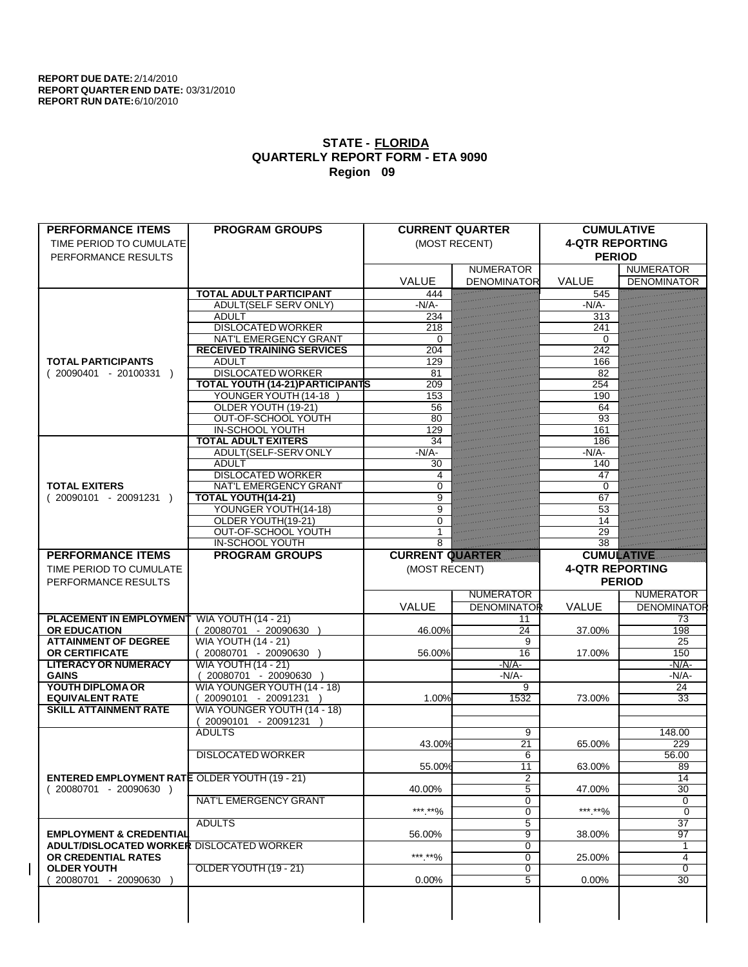| <b>PERFORMANCE ITEMS</b>                             | <b>PROGRAM GROUPS</b>                   |                        | <b>CURRENT QUARTER</b> | <b>CUMULATIVE</b>      |                    |
|------------------------------------------------------|-----------------------------------------|------------------------|------------------------|------------------------|--------------------|
| TIME PERIOD TO CUMULATE                              |                                         |                        | (MOST RECENT)          | <b>4-QTR REPORTING</b> |                    |
| PERFORMANCE RESULTS                                  |                                         |                        |                        | <b>PERIOD</b>          |                    |
|                                                      |                                         |                        | <b>NUMERATOR</b>       |                        | <b>NUMERATOR</b>   |
|                                                      |                                         | <b>VALUE</b>           | <b>DENOMINATOR</b>     | <b>VALUE</b>           | <b>DENOMINATOR</b> |
|                                                      | <b>TOTAL ADULT PARTICIPANT</b>          | 444                    |                        | 545                    |                    |
|                                                      | <b>ADULT(SELF SERV ONLY)</b>            | $-N/A$                 |                        | $-N/A$ -               |                    |
|                                                      | <b>ADULT</b>                            | 234                    |                        | 313                    |                    |
|                                                      | <b>DISLOCATED WORKER</b>                | 218                    |                        | 241                    |                    |
|                                                      | <b>NAT'L EMERGENCY GRANT</b>            | $\Omega$               |                        | $\Omega$               |                    |
|                                                      | <b>RECEIVED TRAINING SERVICES</b>       | 204                    |                        | 242                    |                    |
| <b>TOTAL PARTICIPANTS</b>                            | <b>ADULT</b>                            | 129                    |                        | 166                    |                    |
| $(20090401 - 20100331)$                              | <b>DISLOCATED WORKER</b>                | 81                     |                        | 82                     |                    |
|                                                      | <b>TOTAL YOUTH (14-21) PARTICIPANTS</b> | 209                    |                        | 254                    |                    |
|                                                      | YOUNGER YOUTH (14-18                    | 153                    |                        | 190                    |                    |
|                                                      | OLDER YOUTH (19-21)                     | 56                     |                        | 64                     |                    |
|                                                      | OUT-OF-SCHOOL YOUTH                     | 80                     |                        | 93                     |                    |
|                                                      | <b>IN-SCHOOL YOUTH</b>                  | 129                    |                        | 161                    |                    |
|                                                      | <b>TOTAL ADULT EXITERS</b>              | 34                     |                        | 186                    |                    |
|                                                      | ADULT(SELF-SERV ONLY                    | $-N/A$ -               |                        | $-N/A$ -               |                    |
|                                                      | <b>ADULT</b>                            | 30                     |                        | 140                    |                    |
|                                                      | <b>DISLOCATED WORKER</b>                | 4                      |                        | 47                     |                    |
| <b>TOTAL EXITERS</b>                                 | <b>NAT'L EMERGENCY GRANT</b>            | $\Omega$               |                        | 0                      |                    |
| $(20090101 - 20091231)$                              | <b>TOTAL YOUTH(14-21)</b>               | 9                      |                        | 67                     |                    |
|                                                      | YOUNGER YOUTH(14-18)                    | 9                      |                        | $\overline{53}$        |                    |
|                                                      | OLDER YOUTH(19-21)                      | $\Omega$               |                        | 14                     |                    |
|                                                      | OUT-OF-SCHOOL YOUTH                     |                        |                        | 29                     |                    |
|                                                      | <b>IN-SCHOOL YOUTH</b>                  | 8                      |                        | $\overline{38}$        |                    |
| <b>PERFORMANCE ITEMS</b>                             | <b>PROGRAM GROUPS</b>                   | <b>CURRENT QUARTER</b> |                        | <b>CUMULATIVE</b>      |                    |
|                                                      |                                         |                        |                        | <b>4-QTR REPORTING</b> |                    |
| TIME PERIOD TO CUMULATE                              |                                         | (MOST RECENT)          |                        |                        |                    |
|                                                      |                                         |                        |                        |                        |                    |
| PERFORMANCE RESULTS                                  |                                         |                        |                        |                        | <b>PERIOD</b>      |
|                                                      |                                         |                        | <b>NUMERATOR</b>       |                        | <b>NUMERATOR</b>   |
|                                                      |                                         | VALUE                  | <b>DENOMINATOR</b>     | <b>VALUE</b>           | <b>DENOMINATOR</b> |
| <b>PLACEMENT IN EMPLOYMENT</b>                       | <b>WIA YOUTH (14 - 21)</b>              |                        | 11                     |                        | 73                 |
| <b>OR EDUCATION</b>                                  | (20080701 - 20090630                    | 46.00%                 | $\overline{24}$        | 37.00%                 | 198                |
| <b>ATTAINMENT OF DEGREE</b>                          | <b>WIA YOUTH (14 - 21)</b>              |                        | 9                      |                        | 25                 |
| <b>OR CERTIFICATE</b>                                | $(20080701 - 20090630)$                 | 56.00%                 | 16                     | 17.00%                 | 150                |
| <b>LITERACY OR NUMERACY</b>                          | <b>WIA YOUTH (14 - 21)</b>              |                        | $-N/A$                 |                        | $-N/A$ -           |
| <b>GAINS</b>                                         | 20080701 - 20090630                     |                        | -N/A-                  |                        | $-N/A$ -           |
| YOUTH DIPLOMA OR                                     | WIA YOUNGER YOUTH (14 - 18)             |                        | $\overline{9}$         |                        | 24                 |
| <b>EQUIVALENT RATE</b>                               | 20090101 - 20091231 )                   | 1.00%                  | 1532                   | 73.00%                 | 33                 |
| <b>SKILL ATTAINMENT RATE</b>                         | WIA YOUNGER YOUTH (14 - 18)             |                        |                        |                        |                    |
|                                                      | 20090101 - 20091231                     |                        |                        |                        |                    |
|                                                      | <b>ADULTS</b>                           |                        | 9                      |                        | 148.00             |
|                                                      |                                         | 43.00%                 | $\overline{21}$        | 65.00%                 | 229                |
|                                                      | <b>DISLOCATED WORKER</b>                |                        | 6                      |                        | 56.00              |
|                                                      |                                         | 55.00%                 | $\overline{11}$        | 63.00%                 | 89                 |
| <b>ENTERED EMPLOYMENT RATE OLDER YOUTH (19 - 21)</b> |                                         |                        | 2                      |                        | 14                 |
| $(20080701 - 20090630)$                              |                                         | 40.00%                 | 5                      | 47.00%                 | 30                 |
|                                                      | <b>NAT'L EMERGENCY GRANT</b>            |                        | 0                      |                        | 0                  |
|                                                      |                                         | ***.**%                | $\overline{0}$         | ***.**%                | $\overline{0}$     |
|                                                      | <b>ADULTS</b>                           |                        | 5                      |                        | $\overline{37}$    |
| <b>EMPLOYMENT &amp; CREDENTIAL</b>                   |                                         | 56.00%                 | 9                      | 38.00%                 | $\overline{97}$    |
| ADULT/DISLOCATED WORKER DISLOCATED WORKER            |                                         |                        | 0                      |                        | 1                  |
| OR CREDENTIAL RATES                                  |                                         | ***.**%                | 0                      | 25.00%                 | 4                  |
| <b>OLDER YOUTH</b>                                   | OLDER YOUTH (19 - 21)                   |                        | $\overline{0}$         |                        | $\overline{0}$     |
| 20080701 - 20090630                                  |                                         | $0.00\%$               | $\overline{5}$         | 0.00%                  | 30                 |
|                                                      |                                         |                        |                        |                        |                    |
|                                                      |                                         |                        |                        |                        |                    |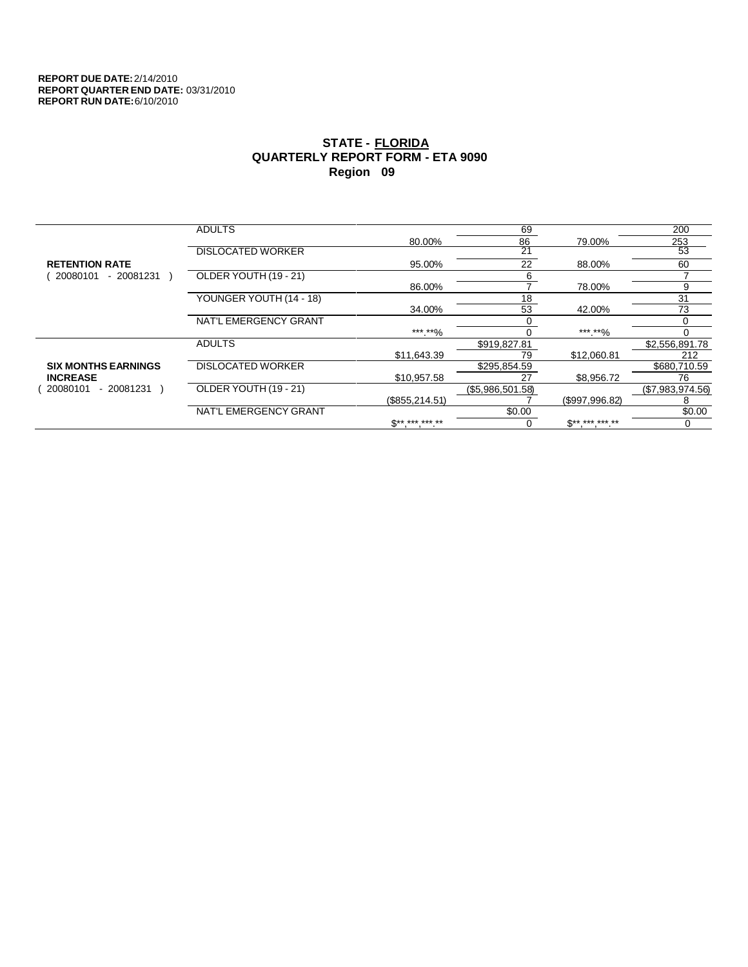|                            | <b>ADULTS</b>            |                 | 69               |                            | 200              |
|----------------------------|--------------------------|-----------------|------------------|----------------------------|------------------|
|                            |                          | 80.00%          | 86               | 79.00%                     | 253              |
|                            | <b>DISLOCATED WORKER</b> |                 | 21               |                            | 53               |
| <b>RETENTION RATE</b>      |                          | 95.00%          | 22               | 88.00%                     | 60               |
| 20080101<br>$-20081231$    | OLDER YOUTH (19 - 21)    |                 | 6                |                            |                  |
|                            |                          | 86.00%          |                  | 78.00%                     | 9                |
|                            | YOUNGER YOUTH (14 - 18)  |                 | 18               |                            | 31               |
|                            |                          | 34.00%          | 53               | 42.00%                     | 73               |
|                            | NAT'L EMERGENCY GRANT    |                 |                  |                            |                  |
|                            |                          | ***.**%         |                  | ***.**%                    |                  |
|                            | <b>ADULTS</b>            |                 | \$919,827.81     |                            | \$2,556,891.78   |
|                            |                          | \$11.643.39     | 79               | \$12,060.81                | 212              |
| <b>SIX MONTHS EARNINGS</b> | <b>DISLOCATED WORKER</b> |                 | \$295,854.59     |                            | \$680,710.59     |
| <b>INCREASE</b>            |                          | \$10,957.58     | 27               | \$8,956.72                 | 76               |
| 20080101<br>- 20081231     | OLDER YOUTH (19 - 21)    |                 | (\$5,986,501.58) |                            | (\$7,983,974.56) |
|                            |                          | (\$855, 214.51) |                  | (\$997,996.82)             | 8                |
|                            | NAT'L EMERGENCY GRANT    |                 | \$0.00           |                            | \$0.00           |
|                            |                          | $S*********$    |                  | $\mathbb{S}$ ** *** *** ** | 0                |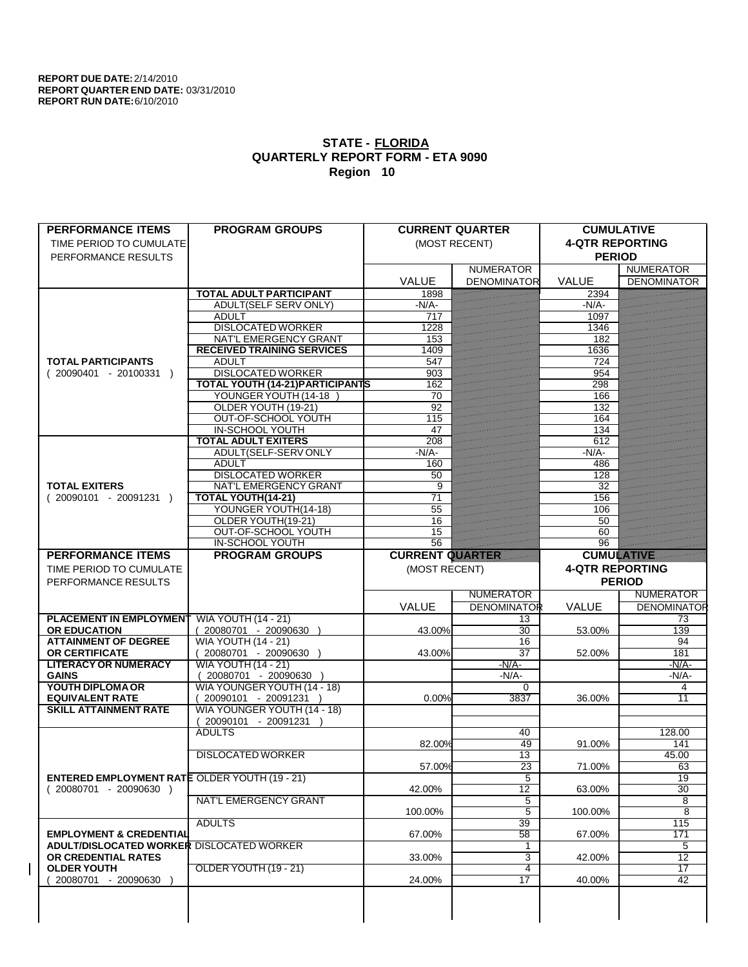| <b>PERFORMANCE ITEMS</b>                                                        | <b>PROGRAM GROUPS</b>                      |                        | <b>CURRENT QUARTER</b> | <b>CUMULATIVE</b>      |                     |
|---------------------------------------------------------------------------------|--------------------------------------------|------------------------|------------------------|------------------------|---------------------|
| TIME PERIOD TO CUMULATE                                                         |                                            |                        | (MOST RECENT)          | <b>4-QTR REPORTING</b> |                     |
| PERFORMANCE RESULTS                                                             |                                            |                        |                        | <b>PERIOD</b>          |                     |
|                                                                                 |                                            |                        | <b>NUMERATOR</b>       |                        | <b>NUMERATOR</b>    |
|                                                                                 |                                            | <b>VALUE</b>           | <b>DENOMINATOR</b>     | <b>VALUE</b>           | <b>DENOMINATOR</b>  |
|                                                                                 | <b>TOTAL ADULT PARTICIPANT</b>             | 1898                   |                        | 2394                   |                     |
|                                                                                 | <b>ADULT(SELF SERV ONLY)</b>               | $-N/A$                 |                        | $-N/A$                 |                     |
|                                                                                 | <b>ADULT</b>                               | 717                    |                        | 1097                   |                     |
|                                                                                 | <b>DISLOCATED WORKER</b>                   | 1228                   |                        | 1346                   |                     |
|                                                                                 | NAT'L EMERGENCY GRANT                      | 153                    |                        | 182                    |                     |
|                                                                                 | <b>RECEIVED TRAINING SERVICES</b>          | 1409                   |                        | 1636                   |                     |
| <b>TOTAL PARTICIPANTS</b>                                                       | <b>ADULT</b>                               | 547                    |                        | 724                    |                     |
| $(20090401 - 20100331)$                                                         | <b>DISLOCATED WORKER</b>                   | 903                    |                        | 954                    |                     |
|                                                                                 | <b>TOTAL YOUTH (14-21) PARTICIPANTS</b>    | 162                    |                        | 298                    |                     |
|                                                                                 | YOUNGER YOUTH (14-18                       | 70                     |                        | 166                    |                     |
|                                                                                 | OLDER YOUTH (19-21)                        | 92                     |                        | 132                    |                     |
|                                                                                 | OUT-OF-SCHOOL YOUTH                        | 115                    |                        | 164                    |                     |
|                                                                                 | <b>IN-SCHOOL YOUTH</b>                     | 47                     |                        | 134                    |                     |
|                                                                                 | <b>TOTAL ADULT EXITERS</b>                 | 208                    |                        | 612                    |                     |
|                                                                                 | ADULT(SELF-SERV ONLY                       | $-N/A$ -               |                        | $-N/A$                 |                     |
|                                                                                 | <b>ADULT</b>                               | 160                    |                        | 486                    |                     |
|                                                                                 | <b>DISLOCATED WORKER</b>                   | 50                     |                        | 128                    |                     |
| <b>TOTAL EXITERS</b>                                                            | <b>NAT'L EMERGENCY GRANT</b>               | 9                      |                        | $\overline{32}$        |                     |
| $(20090101 - 20091231)$                                                         | <b>TOTAL YOUTH(14-21)</b>                  | 71<br>$\overline{55}$  |                        | 156                    |                     |
|                                                                                 | YOUNGER YOUTH(14-18)<br>OLDER YOUTH(19-21) |                        |                        | 106                    |                     |
|                                                                                 | OUT-OF-SCHOOL YOUTH                        | 16<br>15               |                        | 50<br>60               |                     |
|                                                                                 | <b>IN-SCHOOL YOUTH</b>                     | 56                     |                        | $\overline{96}$        |                     |
| <b>PERFORMANCE ITEMS</b>                                                        | <b>PROGRAM GROUPS</b>                      | <b>CURRENT QUARTER</b> |                        | <b>CUMULATIVE</b>      |                     |
|                                                                                 |                                            |                        |                        |                        |                     |
| TIME PERIOD TO CUMULATE                                                         |                                            | (MOST RECENT)          |                        | <b>4-QTR REPORTING</b> |                     |
|                                                                                 |                                            |                        |                        |                        |                     |
| PERFORMANCE RESULTS                                                             |                                            |                        |                        |                        | <b>PERIOD</b>       |
|                                                                                 |                                            |                        | <b>NUMERATOR</b>       |                        | <b>NUMERATOR</b>    |
|                                                                                 |                                            | VALUE                  | <b>DENOMINATOR</b>     | <b>VALUE</b>           | <b>DENOMINATOR</b>  |
| <b>PLACEMENT IN EMPLOYMENT</b>                                                  | <b>WIA YOUTH (14 - 21)</b>                 |                        | 13                     |                        | 73                  |
| <b>OR EDUCATION</b>                                                             | (20080701 - 20090630                       | 43.00%                 | 30                     | 53.00%                 | 139                 |
| <b>ATTAINMENT OF DEGREE</b>                                                     | <b>WIA YOUTH (14 - 21)</b>                 |                        | 16                     |                        | 94                  |
| <b>OR CERTIFICATE</b>                                                           | $(20080701 - 20090630)$                    | 43.00%                 | $\overline{37}$        | 52.00%                 | 181                 |
| <b>LITERACY OR NUMERACY</b>                                                     | <b>WIA YOUTH (14 - 21)</b>                 |                        | $-N/A$ -               |                        | $-N/A$              |
| <b>GAINS</b>                                                                    | 20080701 - 20090630                        |                        | $-N/A$ -               |                        | $-N/A$ -            |
| YOUTH DIPLOMA OR                                                                | WIA YOUNGER YOUTH (14 - 18)                |                        | $\Omega$               |                        | 4                   |
| <b>EQUIVALENT RATE</b>                                                          | 20090101 - 20091231 )                      | 0.00%                  | 3837                   | 36.00%                 | $\overline{11}$     |
| <b>SKILL ATTAINMENT RATE</b>                                                    | WIA YOUNGER YOUTH (14 - 18)                |                        |                        |                        |                     |
|                                                                                 | 20090101 - 20091231                        |                        |                        |                        |                     |
|                                                                                 | <b>ADULTS</b>                              |                        | 40                     |                        | 128.00              |
|                                                                                 |                                            | 82.00%                 | 49                     | 91.00%                 | 141                 |
|                                                                                 | <b>DISLOCATED WORKER</b>                   |                        | 13                     |                        | 45.00               |
|                                                                                 |                                            | 57.00%                 | $\overline{23}$        | 71.00%                 | 63                  |
| <b>ENTERED EMPLOYMENT RATE OLDER YOUTH (19 - 21)</b><br>$(20080701 - 20090630)$ |                                            | 42.00%                 | 5<br>12                | 63.00%                 | 19<br>30            |
|                                                                                 |                                            |                        |                        |                        |                     |
|                                                                                 | <b>NAT'L EMERGENCY GRANT</b>               | 100.00%                | 5<br>5                 | 100.00%                | 8<br>$\overline{8}$ |
|                                                                                 | <b>ADULTS</b>                              |                        | 39                     |                        | 115                 |
| <b>EMPLOYMENT &amp; CREDENTIAL</b>                                              |                                            | 67.00%                 | 58                     | 67.00%                 | 171                 |
| ADULT/DISLOCATED WORKER DISLOCATED WORKER                                       |                                            |                        | 1                      |                        | 5                   |
| OR CREDENTIAL RATES                                                             |                                            | 33.00%                 | 3                      | 42.00%                 | 12                  |
| <b>OLDER YOUTH</b>                                                              | OLDER YOUTH (19 - 21)                      |                        | 4                      |                        | 17                  |
| 20080701 - 20090630                                                             |                                            | 24.00%                 | 17                     | 40.00%                 | $\overline{42}$     |
|                                                                                 |                                            |                        |                        |                        |                     |
|                                                                                 |                                            |                        |                        |                        |                     |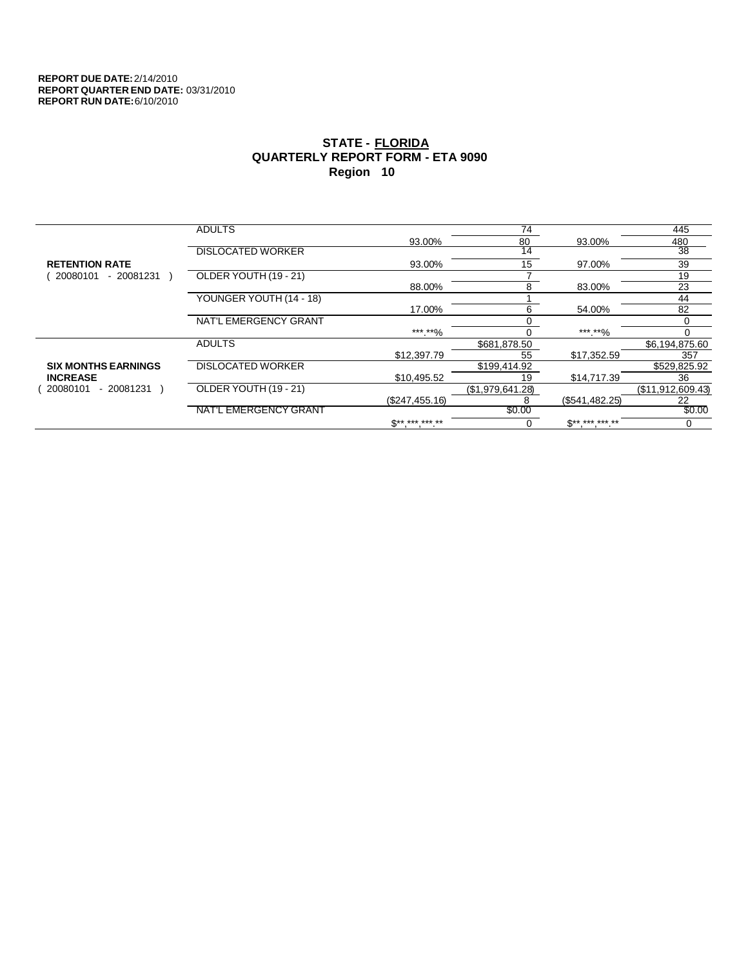|                            | <b>ADULTS</b>            |                          | 74               |                          | 445               |
|----------------------------|--------------------------|--------------------------|------------------|--------------------------|-------------------|
|                            |                          | 93.00%                   | 80               | 93.00%                   | 480               |
|                            | <b>DISLOCATED WORKER</b> |                          | 14               |                          | $\overline{38}$   |
| <b>RETENTION RATE</b>      |                          | 93.00%                   | 15               | 97.00%                   | 39                |
| 20080101<br>- 20081231     | OLDER YOUTH (19 - 21)    |                          |                  |                          | 19                |
|                            |                          | 88.00%                   | 8                | 83.00%                   | 23                |
|                            | YOUNGER YOUTH (14 - 18)  |                          |                  |                          | 44                |
|                            |                          | 17.00%                   | 6                | 54.00%                   | 82                |
|                            | NAT'L EMERGENCY GRANT    |                          |                  |                          |                   |
|                            |                          | *** **%                  |                  | ***.**%                  | 0                 |
|                            | <b>ADULTS</b>            |                          | \$681,878.50     |                          | \$6,194,875.60    |
|                            |                          | \$12,397.79              | 55               | \$17,352.59              | 357               |
| <b>SIX MONTHS EARNINGS</b> | <b>DISLOCATED WORKER</b> |                          | \$199,414.92     |                          | \$529,825.92      |
| <b>INCREASE</b>            |                          | \$10,495.52              | 19               | \$14,717.39              | 36                |
| - 20081231<br>20080101     | OLDER YOUTH (19 - 21)    |                          | (\$1,979,641.28) |                          | (\$11,912,609.43) |
|                            |                          | (\$247,455.16)           | 8                | (\$541,482.25)           | 22                |
|                            | NAT'L EMERGENCY GRANT    |                          | \$0.00           |                          | \$0.00            |
|                            |                          | $\mathbb{S}^{*********}$ | U                | $\mathbb{S}^{*********}$ | 0                 |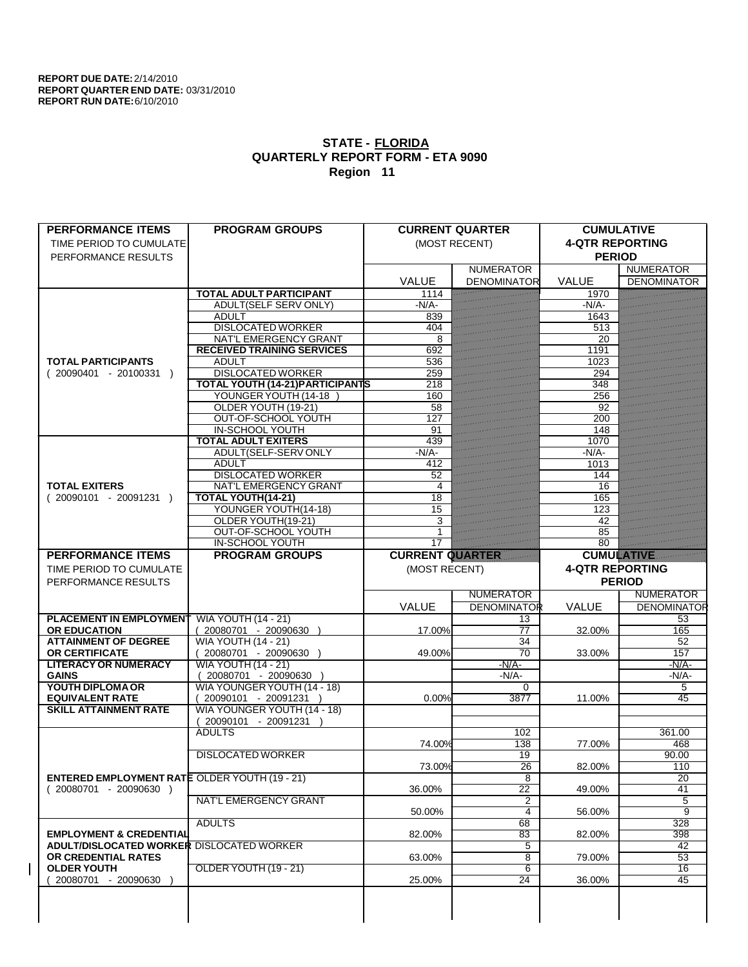| <b>PERFORMANCE ITEMS</b>                             | <b>PROGRAM GROUPS</b>                   |                        | <b>CURRENT QUARTER</b> | <b>CUMULATIVE</b>      |                    |
|------------------------------------------------------|-----------------------------------------|------------------------|------------------------|------------------------|--------------------|
| TIME PERIOD TO CUMULATE                              |                                         |                        | (MOST RECENT)          | <b>4-QTR REPORTING</b> |                    |
| PERFORMANCE RESULTS                                  |                                         |                        |                        | <b>PERIOD</b>          |                    |
|                                                      |                                         |                        | <b>NUMERATOR</b>       |                        | <b>NUMERATOR</b>   |
|                                                      |                                         | <b>VALUE</b>           | <b>DENOMINATOR</b>     | <b>VALUE</b>           | <b>DENOMINATOR</b> |
|                                                      | <b>TOTAL ADULT PARTICIPANT</b>          | 1114                   |                        | 1970                   |                    |
|                                                      | <b>ADULT(SELF SERV ONLY)</b>            | $-N/A$                 |                        | $-N/A$                 |                    |
|                                                      | <b>ADULT</b>                            | 839                    |                        | 1643                   |                    |
|                                                      | <b>DISLOCATED WORKER</b>                | 404                    |                        | 513                    |                    |
|                                                      | <b>NAT'L EMERGENCY GRANT</b>            | 8                      |                        | 20                     |                    |
|                                                      | <b>RECEIVED TRAINING SERVICES</b>       | 692                    |                        | 1191                   |                    |
| <b>TOTAL PARTICIPANTS</b>                            | <b>ADULT</b>                            | 536                    |                        | 1023                   |                    |
| $(20090401 - 20100331)$                              | <b>DISLOCATED WORKER</b>                | 259                    |                        | 294                    |                    |
|                                                      | <b>TOTAL YOUTH (14-21) PARTICIPANTS</b> | 218                    |                        | 348                    |                    |
|                                                      | YOUNGER YOUTH (14-18                    | 160                    |                        | 256                    |                    |
|                                                      | OLDER YOUTH (19-21)                     | 58                     |                        | 92                     |                    |
|                                                      | OUT-OF-SCHOOL YOUTH                     | 127                    |                        | 200                    |                    |
|                                                      | <b>IN-SCHOOL YOUTH</b>                  | 91                     |                        | 148                    |                    |
|                                                      | <b>TOTAL ADULT EXITERS</b>              | 439                    |                        | 1070                   |                    |
|                                                      | ADULT(SELF-SERV ONLY                    | $-N/A$ -               |                        | $-N/A$                 |                    |
|                                                      | <b>ADULT</b>                            | 412                    |                        | 1013                   |                    |
|                                                      | <b>DISLOCATED WORKER</b>                | 52                     |                        | 144                    |                    |
| <b>TOTAL EXITERS</b>                                 | <b>NAT'L EMERGENCY GRANT</b>            | 4                      |                        | 16                     |                    |
| $(20090101 - 20091231)$                              | <b>TOTAL YOUTH(14-21)</b>               | 18                     |                        | 165                    |                    |
|                                                      | YOUNGER YOUTH(14-18)                    | 15                     |                        | 123                    |                    |
|                                                      | OLDER YOUTH(19-21)                      | 3                      |                        | 42                     |                    |
|                                                      | OUT-OF-SCHOOL YOUTH                     |                        |                        | 85                     |                    |
|                                                      | <b>IN-SCHOOL YOUTH</b>                  | 17                     |                        | 80                     |                    |
| <b>PERFORMANCE ITEMS</b>                             | <b>PROGRAM GROUPS</b>                   | <b>CURRENT QUARTER</b> |                        | <b>CUMULATIVE</b>      |                    |
| TIME PERIOD TO CUMULATE                              |                                         | (MOST RECENT)          |                        | <b>4-QTR REPORTING</b> |                    |
|                                                      |                                         |                        |                        |                        |                    |
|                                                      |                                         |                        |                        |                        |                    |
| PERFORMANCE RESULTS                                  |                                         |                        |                        |                        | <b>PERIOD</b>      |
|                                                      |                                         |                        | <b>NUMERATOR</b>       |                        | <b>NUMERATOR</b>   |
|                                                      |                                         | VALUE                  | <b>DENOMINATOR</b>     | <b>VALUE</b>           | <b>DENOMINATOR</b> |
| <b>PLACEMENT IN EMPLOYMENT</b>                       | <b>WIA YOUTH (14 - 21)</b>              |                        | 13                     |                        | 53                 |
| <b>OR EDUCATION</b>                                  | (20080701 - 20090630                    | 17.00%                 | 77                     | 32.00%                 | 165                |
| <b>ATTAINMENT OF DEGREE</b>                          | <b>WIA YOUTH (14 - 21)</b>              |                        | 34                     |                        | 52                 |
| <b>OR CERTIFICATE</b>                                | $(20080701 - 20090630)$                 | 49.00%                 | $\overline{70}$        | 33.00%                 | 157                |
| <b>LITERACY OR NUMERACY</b>                          | <b>WIA YOUTH (14 - 21)</b>              |                        | $-N/A$ -               |                        | $-N/A$ -           |
| <b>GAINS</b>                                         | 20080701 - 20090630 )                   |                        | $-N/A$ -               |                        | $-N/A$             |
| YOUTH DIPLOMA OR                                     | WIA YOUNGER YOUTH (14 - 18)             |                        | $\Omega$               |                        | 5                  |
| <b>EQUIVALENT RATE</b>                               | 20090101 - 20091231 )                   | 0.00%                  | 3877                   | 11.00%                 | 45                 |
| <b>SKILL ATTAINMENT RATE</b>                         | WIA YOUNGER YOUTH (14 - 18)             |                        |                        |                        |                    |
|                                                      | 20090101 - 20091231                     |                        |                        |                        |                    |
|                                                      | <b>ADULTS</b>                           |                        | 102                    |                        | 361.00             |
|                                                      |                                         | 74.00%                 | 138                    | 77.00%                 | 468                |
|                                                      | <b>DISLOCATED WORKER</b>                |                        | 19                     |                        | 90.00              |
|                                                      |                                         | 73.00%                 | $\overline{26}$        | 82.00%                 | 110                |
| <b>ENTERED EMPLOYMENT RATE OLDER YOUTH (19 - 21)</b> |                                         |                        | 8                      |                        | 20                 |
| $(20080701 - 20090630)$                              |                                         | 36.00%                 | 22                     | 49.00%                 | 41                 |
|                                                      | <b>NAT'L EMERGENCY GRANT</b>            |                        | 2                      |                        | 5                  |
|                                                      |                                         | 50.00%                 | $\overline{4}$         | 56.00%                 | 9                  |
|                                                      | <b>ADULTS</b>                           |                        | 68                     |                        | 328                |
| <b>EMPLOYMENT &amp; CREDENTIAL</b>                   |                                         | 82.00%                 | 83                     | 82.00%                 | $\overline{398}$   |
| <b>ADULT/DISLOCATED WORKER DISLOCATED WORKER</b>     |                                         |                        | 5                      |                        | 42                 |
| OR CREDENTIAL RATES                                  |                                         | 63.00%                 | 8                      | 79.00%                 | 53                 |
| <b>OLDER YOUTH</b>                                   | OLDER YOUTH (19 - 21)                   |                        | $\overline{6}$         |                        | $\overline{16}$    |
| 20080701 - 20090630                                  |                                         | 25.00%                 | $\overline{24}$        | 36.00%                 | $\overline{45}$    |
|                                                      |                                         |                        |                        |                        |                    |
|                                                      |                                         |                        |                        |                        |                    |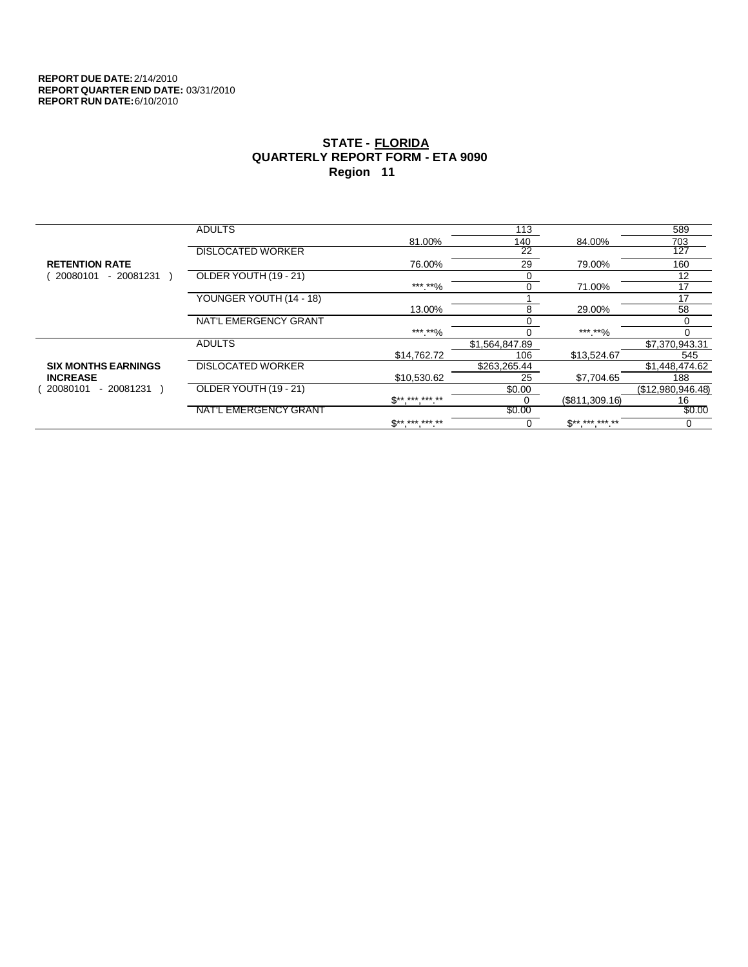|                            | <b>ADULTS</b>            |              | 113             |                          | 589               |
|----------------------------|--------------------------|--------------|-----------------|--------------------------|-------------------|
|                            |                          | 81.00%       | 140             | 84.00%                   | 703               |
|                            | <b>DISLOCATED WORKER</b> |              | $\overline{22}$ |                          | 127               |
| <b>RETENTION RATE</b>      |                          | 76.00%       | 29              | 79.00%                   | 160               |
| 20080101<br>$-20081231$    | OLDER YOUTH (19 - 21)    |              | $\Omega$        |                          | 12                |
|                            |                          | ***.**%      | 0               | 71.00%                   | 17                |
|                            | YOUNGER YOUTH (14 - 18)  |              |                 |                          | 17                |
|                            |                          | 13.00%       | 8               | 29.00%                   | 58                |
|                            | NAT'L EMERGENCY GRANT    |              |                 |                          |                   |
|                            |                          | *** **%      |                 | ***.**%                  | 0                 |
|                            | <b>ADULTS</b>            |              | \$1,564,847.89  |                          | \$7,370,943.31    |
|                            |                          | \$14,762.72  | 106             | \$13,524.67              | 545               |
| <b>SIX MONTHS EARNINGS</b> | <b>DISLOCATED WORKER</b> |              | \$263,265.44    |                          | \$1,448,474.62    |
| <b>INCREASE</b>            |                          | \$10,530.62  | 25              | \$7,704.65               | 188               |
| 20080101<br>- 20081231     | OLDER YOUTH (19 - 21)    |              | \$0.00          |                          | (\$12,980,946.48) |
|                            |                          | $S*********$ | 0               | (\$811,309.16)           | 16                |
|                            | NAT'L EMERGENCY GRANT    |              | \$0.00          |                          | \$0.00            |
|                            |                          | $S*********$ | 0               | $\mathbb{S}^{*********}$ | 0                 |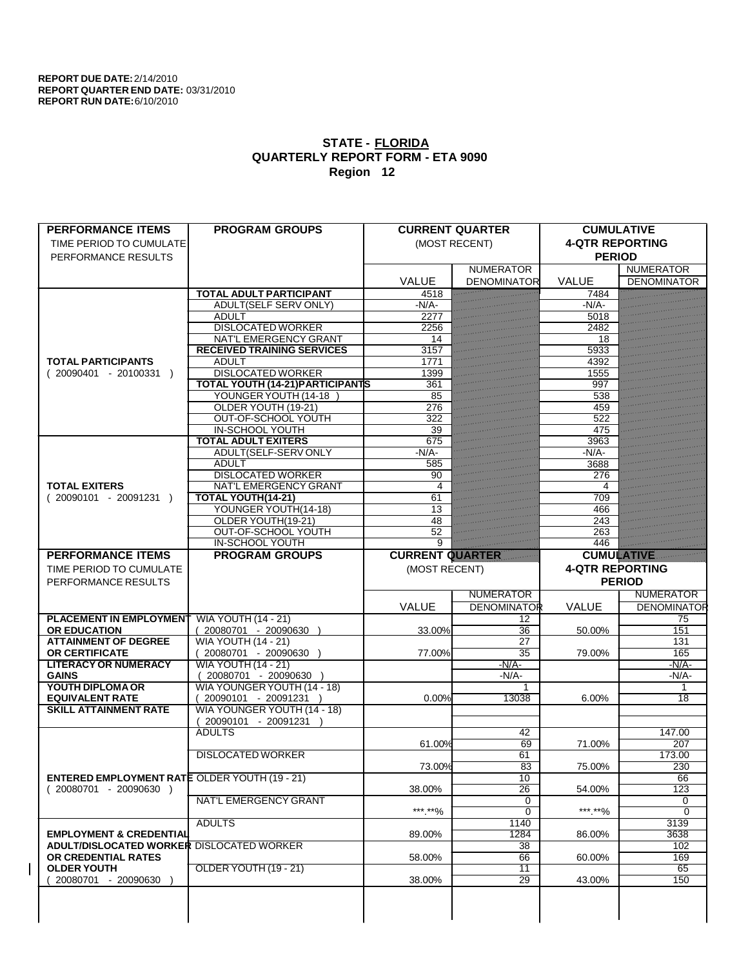| <b>PERFORMANCE ITEMS</b>                             | <b>PROGRAM GROUPS</b>                                |                        | <b>CURRENT QUARTER</b> | <b>CUMULATIVE</b>      |                    |
|------------------------------------------------------|------------------------------------------------------|------------------------|------------------------|------------------------|--------------------|
| TIME PERIOD TO CUMULATE                              |                                                      |                        | (MOST RECENT)          | <b>4-QTR REPORTING</b> |                    |
| PERFORMANCE RESULTS                                  |                                                      |                        |                        | <b>PERIOD</b>          |                    |
|                                                      |                                                      |                        | <b>NUMERATOR</b>       |                        | <b>NUMERATOR</b>   |
|                                                      |                                                      | <b>VALUE</b>           | <b>DENOMINATOR</b>     | <b>VALUE</b>           | <b>DENOMINATOR</b> |
|                                                      | <b>TOTAL ADULT PARTICIPANT</b>                       | 4518                   |                        | 7484                   |                    |
|                                                      | <b>ADULT(SELF SERV ONLY)</b>                         | $-N/A$                 |                        | $-N/A$                 |                    |
|                                                      | <b>ADULT</b>                                         | 2277                   |                        | 5018                   |                    |
|                                                      | <b>DISLOCATED WORKER</b>                             | 2256                   |                        | 2482                   |                    |
|                                                      | <b>NAT'L EMERGENCY GRANT</b>                         | 14                     |                        | 18                     |                    |
|                                                      | <b>RECEIVED TRAINING SERVICES</b>                    | 3157                   |                        | 5933                   |                    |
| <b>TOTAL PARTICIPANTS</b>                            | <b>ADULT</b>                                         | 1771                   |                        | 4392                   |                    |
| $(20090401 - 20100331)$                              | <b>DISLOCATED WORKER</b>                             | 1399                   |                        | 1555                   |                    |
|                                                      | <b>TOTAL YOUTH (14-21) PARTICIPANTS</b>              | 361                    |                        | 997                    |                    |
|                                                      | YOUNGER YOUTH (14-18                                 | 85                     |                        | 538                    |                    |
|                                                      | OLDER YOUTH (19-21)                                  | 276                    |                        | 459                    |                    |
|                                                      | OUT-OF-SCHOOL YOUTH                                  | 322                    |                        | 522                    |                    |
|                                                      | <b>IN-SCHOOL YOUTH</b><br><b>TOTAL ADULT EXITERS</b> | 39<br>675              |                        | 475                    |                    |
|                                                      | ADULT(SELF-SERV ONLY                                 | $-N/A$ -               |                        | 3963<br>$-N/A$         |                    |
|                                                      | <b>ADULT</b>                                         | 585                    |                        | 3688                   |                    |
|                                                      | <b>DISLOCATED WORKER</b>                             | 90                     |                        | 276                    |                    |
| <b>TOTAL EXITERS</b>                                 | <b>NAT'L EMERGENCY GRANT</b>                         | $\overline{4}$         |                        | 4                      |                    |
| $(20090101 - 20091231)$                              | TOTAL YOUTH(14-21)                                   | 61                     |                        | 709                    |                    |
|                                                      | YOUNGER YOUTH(14-18)                                 | 13                     |                        | 466                    |                    |
|                                                      | OLDER YOUTH(19-21)                                   | 48                     |                        | 243                    |                    |
|                                                      | OUT-OF-SCHOOL YOUTH                                  | 52                     |                        | 263                    |                    |
|                                                      | <b>IN-SCHOOL YOUTH</b>                               | $\overline{9}$         |                        | 446                    |                    |
| <b>PERFORMANCE ITEMS</b>                             | <b>PROGRAM GROUPS</b>                                | <b>CURRENT QUARTER</b> |                        | <b>CUMULATIVE</b>      |                    |
| TIME PERIOD TO CUMULATE                              |                                                      | (MOST RECENT)          |                        | <b>4-QTR REPORTING</b> |                    |
|                                                      |                                                      |                        |                        |                        |                    |
|                                                      |                                                      |                        |                        |                        |                    |
| PERFORMANCE RESULTS                                  |                                                      |                        |                        |                        | <b>PERIOD</b>      |
|                                                      |                                                      |                        | <b>NUMERATOR</b>       |                        | <b>NUMERATOR</b>   |
|                                                      |                                                      | VALUE                  | <b>DENOMINATOR</b>     | <b>VALUE</b>           | <b>DENOMINATOR</b> |
| <b>PLACEMENT IN EMPLOYMENT</b>                       | <b>WIA YOUTH (14 - 21)</b>                           |                        | 12                     |                        | 75                 |
| <b>OR EDUCATION</b>                                  | (20080701 - 20090630                                 | 33.00%                 | 36                     | 50.00%                 | 151                |
| <b>ATTAINMENT OF DEGREE</b>                          | <b>WIA YOUTH (14 - 21)</b>                           |                        | 27                     |                        | 131                |
| <b>OR CERTIFICATE</b>                                | $(20080701 - 20090630)$                              | 77.00%                 | $\overline{35}$        | 79.00%                 | 165                |
| <b>LITERACY OR NUMERACY</b>                          | <b>WIA YOUTH (14 - 21)</b>                           |                        | $-N/A$ -               |                        | $-N/A$ -           |
| <b>GAINS</b>                                         | 20080701 - 20090630                                  |                        | $-N/A$ -<br>1          |                        | $-N/A$<br>1        |
| YOUTH DIPLOMA OR<br><b>EQUIVALENT RATE</b>           | WIA YOUNGER YOUTH (14 - 18)                          | 0.00%                  | 13038                  | 6.00%                  | 18                 |
| <b>SKILL ATTAINMENT RATE</b>                         | 20090101 - 20091231 )                                |                        |                        |                        |                    |
|                                                      | WIA YOUNGER YOUTH (14 - 18)<br>20090101 - 20091231   |                        |                        |                        |                    |
|                                                      | <b>ADULTS</b>                                        |                        | 42                     |                        | 147.00             |
|                                                      |                                                      | 61.00%                 | 69                     | 71.00%                 | 207                |
|                                                      | <b>DISLOCATED WORKER</b>                             |                        | 61                     |                        | 173.00             |
|                                                      |                                                      | 73.00%                 | 83                     | 75.00%                 | 230                |
| <b>ENTERED EMPLOYMENT RATE OLDER YOUTH (19 - 21)</b> |                                                      |                        | 10                     |                        | 66                 |
| $(20080701 - 20090630)$                              |                                                      | 38.00%                 | 26                     | 54.00%                 | 123                |
|                                                      | <b>NAT'L EMERGENCY GRANT</b>                         |                        | 0                      |                        | 0                  |
|                                                      |                                                      | ***.**%                | $\overline{0}$         | ***.**%                | $\Omega$           |
|                                                      | <b>ADULTS</b>                                        |                        | 1140                   |                        | 3139               |
| <b>EMPLOYMENT &amp; CREDENTIAL</b>                   |                                                      | 89.00%                 | 1284                   | 86.00%                 | 3638               |
| <b>ADULT/DISLOCATED WORKER DISLOCATED WORKER</b>     |                                                      |                        | 38                     |                        | 102                |
| OR CREDENTIAL RATES                                  |                                                      | 58.00%                 | 66                     | 60.00%                 | 169                |
| <b>OLDER YOUTH</b>                                   | OLDER YOUTH (19 - 21)                                |                        | $\overline{11}$        |                        | 65                 |
| 20080701 - 20090630                                  |                                                      | 38.00%                 | 29                     | 43.00%                 | 150                |
|                                                      |                                                      |                        |                        |                        |                    |
|                                                      |                                                      |                        |                        |                        |                    |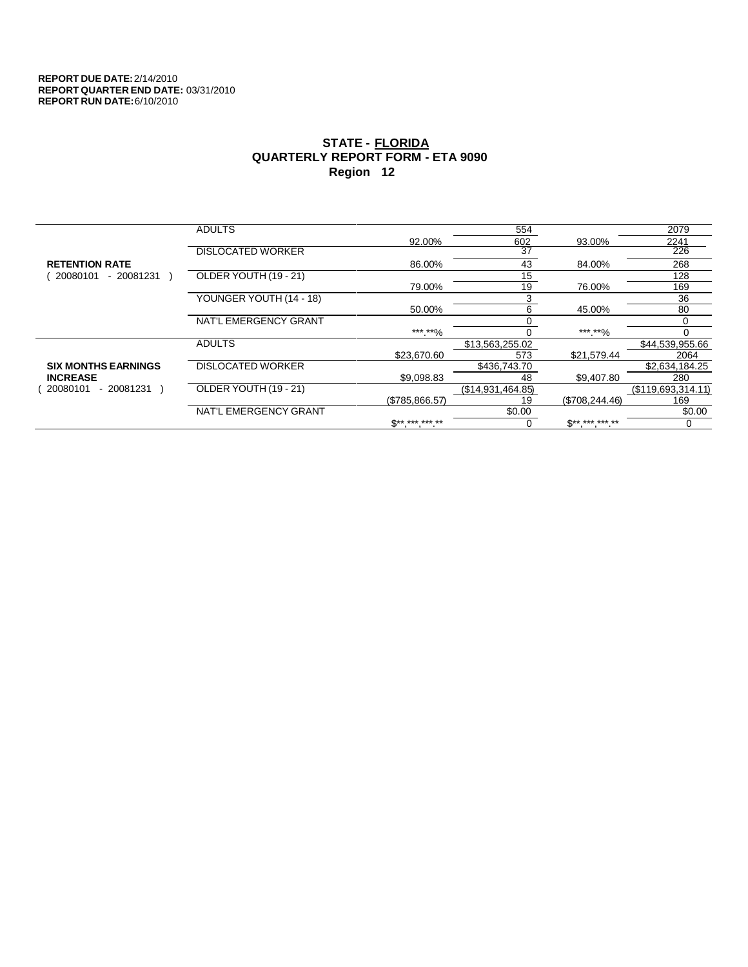|                            | <b>ADULTS</b>            |                          | 554               |                          | 2079               |
|----------------------------|--------------------------|--------------------------|-------------------|--------------------------|--------------------|
|                            |                          | 92.00%                   | 602               | 93.00%                   | 2241               |
|                            | <b>DISLOCATED WORKER</b> |                          | $\overline{37}$   |                          | 226                |
| <b>RETENTION RATE</b>      |                          | 86.00%                   | 43                | 84.00%                   | 268                |
| 20080101<br>- 20081231     | OLDER YOUTH (19 - 21)    |                          | 15                |                          | 128                |
|                            |                          | 79.00%                   | 19                | 76.00%                   | 169                |
|                            | YOUNGER YOUTH (14 - 18)  |                          | 3                 |                          | 36                 |
|                            |                          | 50.00%                   | 6                 | 45.00%                   | 80                 |
|                            | NAT'L EMERGENCY GRANT    |                          |                   |                          |                    |
|                            |                          | *** **%                  |                   | *** **%                  | 0                  |
|                            | <b>ADULTS</b>            |                          | \$13,563,255.02   |                          | \$44,539,955.66    |
|                            |                          | \$23,670.60              | 573               | \$21,579.44              | 2064               |
| <b>SIX MONTHS EARNINGS</b> | <b>DISLOCATED WORKER</b> |                          | \$436,743.70      |                          | \$2,634,184.25     |
| <b>INCREASE</b>            |                          | \$9.098.83               | 48                | \$9,407.80               | 280                |
| 20080101<br>- 20081231     | OLDER YOUTH (19 - 21)    |                          | (\$14,931,464.85) |                          | (\$119,693,314.11) |
|                            |                          | (\$785.866.57)           | 19                | (S708.244.46)            | 169                |
|                            | NAT'L EMERGENCY GRANT    |                          | \$0.00            |                          | \$0.00             |
|                            |                          | $\mathbb{S}^{*********}$ |                   | $\mathbb{S}^{*********}$ | 0                  |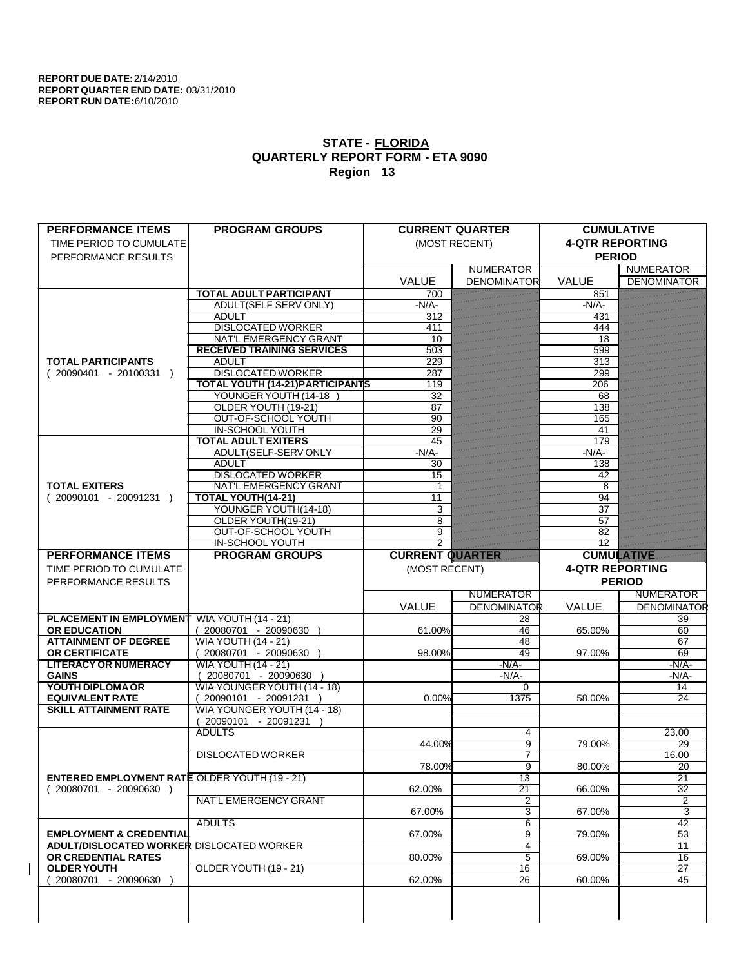| <b>PERFORMANCE ITEMS</b>                             | <b>PROGRAM GROUPS</b>                   |                        | <b>CURRENT QUARTER</b> | <b>CUMULATIVE</b>      |                          |
|------------------------------------------------------|-----------------------------------------|------------------------|------------------------|------------------------|--------------------------|
| TIME PERIOD TO CUMULATE                              |                                         |                        | (MOST RECENT)          | <b>4-QTR REPORTING</b> |                          |
| PERFORMANCE RESULTS                                  |                                         |                        |                        | <b>PERIOD</b>          |                          |
|                                                      |                                         |                        | <b>NUMERATOR</b>       |                        | <b>NUMERATOR</b>         |
|                                                      |                                         | <b>VALUE</b>           | <b>DENOMINATOR</b>     | <b>VALUE</b>           | <b>DENOMINATOR</b>       |
|                                                      | <b>TOTAL ADULT PARTICIPANT</b>          | 700                    |                        | 851                    |                          |
|                                                      | <b>ADULT(SELF SERV ONLY)</b>            | $-N/A$                 |                        | $-N/A$ -               |                          |
|                                                      | <b>ADULT</b>                            | 312                    |                        | 431                    |                          |
|                                                      | <b>DISLOCATED WORKER</b>                | 411                    |                        | 444                    |                          |
|                                                      | <b>NAT'L EMERGENCY GRANT</b>            | 10                     |                        | 18                     |                          |
|                                                      | <b>RECEIVED TRAINING SERVICES</b>       | 503                    |                        | 599                    |                          |
| <b>TOTAL PARTICIPANTS</b>                            | <b>ADULT</b>                            | 229                    |                        | 313                    |                          |
| $(20090401 - 20100331)$                              | <b>DISLOCATED WORKER</b>                | 287                    |                        | 299                    |                          |
|                                                      | <b>TOTAL YOUTH (14-21) PARTICIPANTS</b> | 119                    |                        | 206                    |                          |
|                                                      | YOUNGER YOUTH (14-18                    | 32                     |                        | 68                     |                          |
|                                                      | OLDER YOUTH (19-21)                     | 87                     |                        | 138                    |                          |
|                                                      | OUT-OF-SCHOOL YOUTH                     | 90                     |                        | 165                    |                          |
|                                                      | <b>IN-SCHOOL YOUTH</b>                  | 29                     |                        | 41                     |                          |
|                                                      | <b>TOTAL ADULT EXITERS</b>              | 45                     |                        | 179                    |                          |
|                                                      | ADULT(SELF-SERV ONLY                    | $-N/A$ -               |                        | $-N/A$ -               |                          |
|                                                      | <b>ADULT</b>                            | 30                     |                        | 138                    |                          |
|                                                      | <b>DISLOCATED WORKER</b>                | 15                     |                        | 42                     |                          |
| <b>TOTAL EXITERS</b>                                 | <b>NAT'L EMERGENCY GRANT</b>            |                        |                        | 8                      |                          |
| $(20090101 - 20091231)$                              | <b>TOTAL YOUTH(14-21)</b>               | 11                     |                        | 94                     |                          |
|                                                      | YOUNGER YOUTH(14-18)                    | 3                      |                        | $\overline{37}$        |                          |
|                                                      | OLDER YOUTH(19-21)                      | 8                      |                        | 57                     |                          |
|                                                      | OUT-OF-SCHOOL YOUTH                     | 9                      |                        | 82                     |                          |
|                                                      | <b>IN-SCHOOL YOUTH</b>                  | $\overline{2}$         |                        | 12                     |                          |
| <b>PERFORMANCE ITEMS</b>                             | <b>PROGRAM GROUPS</b>                   | <b>CURRENT QUARTER</b> |                        | <b>CUMULATIVE</b>      |                          |
| TIME PERIOD TO CUMULATE                              |                                         | (MOST RECENT)          |                        | <b>4-QTR REPORTING</b> |                          |
|                                                      |                                         |                        |                        |                        |                          |
|                                                      |                                         |                        |                        |                        |                          |
| PERFORMANCE RESULTS                                  |                                         |                        |                        |                        | <b>PERIOD</b>            |
|                                                      |                                         |                        | <b>NUMERATOR</b>       |                        | <b>NUMERATOR</b>         |
|                                                      |                                         | VALUE                  | <b>DENOMINATOR</b>     | <b>VALUE</b>           |                          |
| <b>PLACEMENT IN EMPLOYMENT</b>                       | <b>WIA YOUTH (14 - 21)</b>              |                        | 28                     |                        | <b>DENOMINATOR</b><br>39 |
| <b>OR EDUCATION</b>                                  | (20080701 - 20090630                    | 61.00%                 | 46                     | 65.00%                 | 60                       |
| <b>ATTAINMENT OF DEGREE</b>                          | <b>WIA YOUTH (14 - 21)</b>              |                        | 48                     |                        | 67                       |
| <b>OR CERTIFICATE</b>                                | $(20080701 - 20090630)$                 | 98.00%                 | 49                     | 97.00%                 | $\overline{69}$          |
| <b>LITERACY OR NUMERACY</b>                          | <b>WIA YOUTH (14 - 21)</b>              |                        | $-N/A$                 |                        | $-N/A$ -                 |
| <b>GAINS</b>                                         | 20080701 - 20090630                     |                        | $-N/A$ -               |                        | $-N/A$ -                 |
| YOUTH DIPLOMA OR                                     | WIA YOUNGER YOUTH (14 - 18)             |                        | $\Omega$               |                        | 14                       |
| <b>EQUIVALENT RATE</b>                               | 20090101 - 20091231 )                   | 0.00%                  | 1375                   | 58.00%                 | $\overline{24}$          |
| <b>SKILL ATTAINMENT RATE</b>                         | WIA YOUNGER YOUTH (14 - 18)             |                        |                        |                        |                          |
|                                                      | 20090101 - 20091231                     |                        |                        |                        |                          |
|                                                      | <b>ADULTS</b>                           |                        | 4                      |                        | 23.00                    |
|                                                      |                                         | 44.00%                 | $\overline{9}$         | 79.00%                 | 29                       |
|                                                      | <b>DISLOCATED WORKER</b>                |                        | 7                      |                        | 16.00                    |
|                                                      |                                         | 78.00%                 | 9                      | 80.00%                 | 20                       |
| <b>ENTERED EMPLOYMENT RATE OLDER YOUTH (19 - 21)</b> |                                         |                        | 13                     |                        | 21                       |
| $(20080701 - 20090630)$                              |                                         | 62.00%                 | 21                     | 66.00%                 | 32                       |
|                                                      | NAT'L EMERGENCY GRANT                   |                        | 2                      |                        | 2                        |
|                                                      |                                         | 67.00%                 | $\overline{3}$         | 67.00%                 | $\overline{3}$           |
|                                                      | <b>ADULTS</b>                           |                        | 6                      |                        | 42                       |
| <b>EMPLOYMENT &amp; CREDENTIAL</b>                   |                                         | 67.00%                 | 9                      | 79.00%                 | $\overline{53}$          |
| ADULT/DISLOCATED WORKER DISLOCATED WORKER            |                                         |                        | 4                      |                        | $\overline{11}$          |
| OR CREDENTIAL RATES                                  |                                         | 80.00%                 | 5                      | 69.00%                 | 16                       |
| <b>OLDER YOUTH</b>                                   | OLDER YOUTH (19 - 21)                   |                        | 16                     |                        | 27                       |
| 20080701 - 20090630                                  |                                         | 62.00%                 | 26                     | 60.00%                 | $\overline{45}$          |
|                                                      |                                         |                        |                        |                        |                          |
|                                                      |                                         |                        |                        |                        |                          |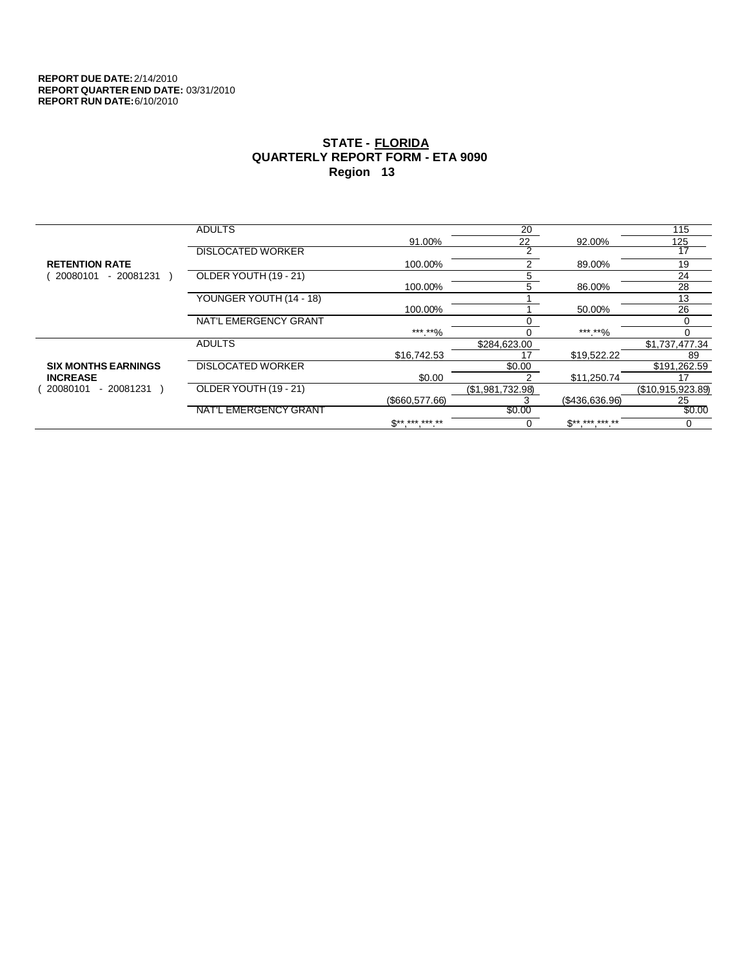|                            | <b>ADULTS</b>            |                | 20               |                            | 115               |
|----------------------------|--------------------------|----------------|------------------|----------------------------|-------------------|
|                            |                          | 91.00%         | 22               | 92.00%                     | 125               |
|                            | <b>DISLOCATED WORKER</b> |                | 2                |                            | 17                |
| <b>RETENTION RATE</b>      |                          | 100.00%        | 2                | 89.00%                     | 19                |
| 20080101<br>$-20081231$    | OLDER YOUTH (19 - 21)    |                | 5                |                            | 24                |
|                            |                          | 100.00%        | 5                | 86.00%                     | 28                |
|                            | YOUNGER YOUTH (14 - 18)  |                |                  |                            | 13                |
|                            |                          | 100.00%        |                  | 50.00%                     | 26                |
|                            | NAT'L EMERGENCY GRANT    |                |                  |                            |                   |
|                            |                          | ***.**%        |                  | ***.**%                    | 0                 |
|                            | <b>ADULTS</b>            |                | \$284,623.00     |                            | \$1,737,477.34    |
|                            |                          | \$16,742.53    |                  | \$19,522.22                | 89                |
| <b>SIX MONTHS EARNINGS</b> | <b>DISLOCATED WORKER</b> |                | \$0.00           |                            | \$191,262.59      |
| <b>INCREASE</b>            |                          | \$0.00         |                  | \$11,250.74                | 17                |
| 20080101<br>- 20081231     | OLDER YOUTH (19 - 21)    |                | (\$1,981,732.98) |                            | (\$10,915,923.89) |
|                            |                          | (\$660,577.66) |                  | (\$436,636.96)             | 25                |
|                            | NAT'L EMERGENCY GRANT    |                | \$0.00           |                            | \$0.00            |
|                            |                          | $S*********$   | 0                | $\mathbb{S}$ ** *** *** ** | 0                 |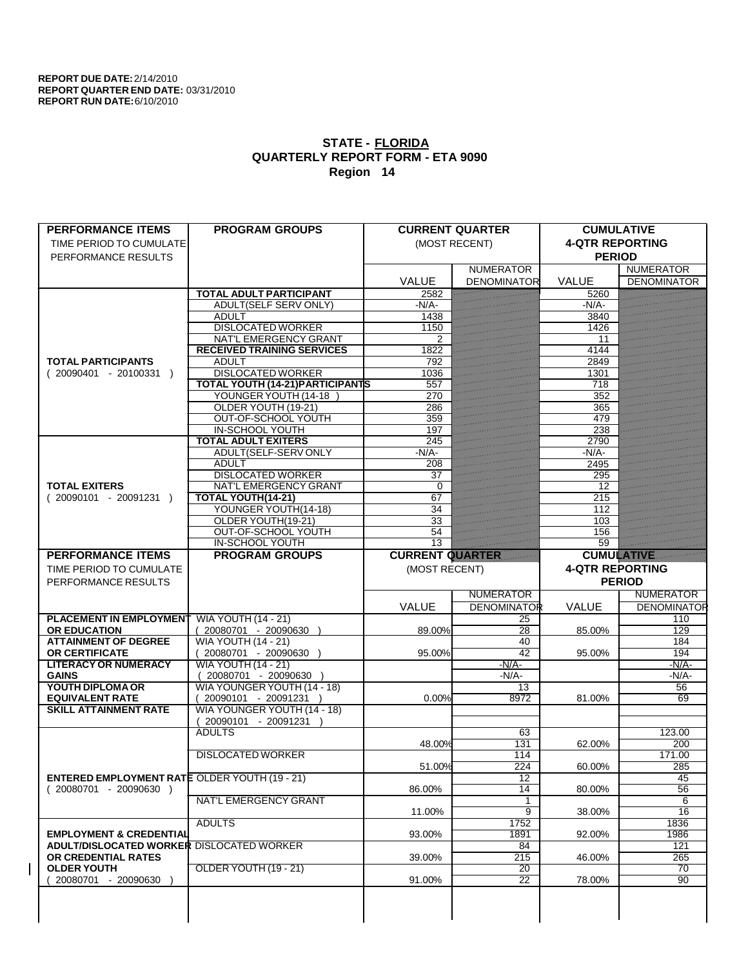| <b>PERFORMANCE ITEMS</b>                             | <b>PROGRAM GROUPS</b>                    |                        | <b>CURRENT QUARTER</b> | <b>CUMULATIVE</b>      |                           |
|------------------------------------------------------|------------------------------------------|------------------------|------------------------|------------------------|---------------------------|
| TIME PERIOD TO CUMULATE                              |                                          |                        | (MOST RECENT)          | <b>4-QTR REPORTING</b> |                           |
| PERFORMANCE RESULTS                                  |                                          |                        |                        | <b>PERIOD</b>          |                           |
|                                                      |                                          |                        | <b>NUMERATOR</b>       |                        | <b>NUMERATOR</b>          |
|                                                      |                                          | <b>VALUE</b>           | <b>DENOMINATOR</b>     | <b>VALUE</b>           | <b>DENOMINATOR</b>        |
|                                                      | <b>TOTAL ADULT PARTICIPANT</b>           | 2582                   |                        | 5260                   |                           |
|                                                      | ADULT(SELF SERV ONLY)                    | $-N/A$                 |                        | $-N/A$ -               |                           |
|                                                      | <b>ADULT</b><br><b>DISLOCATED WORKER</b> | 1438                   |                        | 3840                   |                           |
|                                                      | NAT'L EMERGENCY GRANT                    | 1150<br>2              |                        | 1426<br>11             |                           |
|                                                      | <b>RECEIVED TRAINING SERVICES</b>        | 1822                   |                        | 4144                   |                           |
| <b>TOTAL PARTICIPANTS</b>                            | <b>ADULT</b>                             | 792                    |                        | 2849                   |                           |
| $(20090401 - 20100331)$                              | <b>DISLOCATED WORKER</b>                 | 1036                   |                        | 1301                   |                           |
|                                                      | <b>TOTAL YOUTH (14-21) PARTICIPANTS</b>  | 557                    |                        | 718                    |                           |
|                                                      | YOUNGER YOUTH (14-18                     | 270                    |                        | 352                    |                           |
|                                                      | OLDER YOUTH (19-21)                      | 286                    |                        | 365                    |                           |
|                                                      | OUT-OF-SCHOOL YOUTH                      | 359                    |                        | 479                    |                           |
|                                                      | <b>IN-SCHOOL YOUTH</b>                   | 197                    |                        | 238                    |                           |
|                                                      | <b>TOTAL ADULT EXITERS</b>               | 245                    |                        | 2790                   |                           |
|                                                      | ADULT(SELF-SERV ONLY                     | $-N/A$ -               |                        | $-N/A$ -               |                           |
|                                                      | <b>ADULT</b>                             | 208                    |                        | 2495                   |                           |
|                                                      | <b>DISLOCATED WORKER</b>                 | 37                     |                        | 295                    |                           |
| <b>TOTAL EXITERS</b>                                 | <b>NAT'L EMERGENCY GRANT</b>             | $\Omega$               |                        | 12                     |                           |
| $(20090101 - 20091231)$                              | <b>TOTAL YOUTH(14-21)</b>                | 67                     |                        | $\overline{215}$       |                           |
|                                                      | YOUNGER YOUTH(14-18)                     | $\overline{34}$        |                        | 112                    |                           |
|                                                      | OLDER YOUTH(19-21)                       | $\overline{33}$        |                        | 103                    |                           |
|                                                      | OUT-OF-SCHOOL YOUTH                      | 54                     |                        | 156                    |                           |
|                                                      | <b>IN-SCHOOL YOUTH</b>                   | $\overline{13}$        |                        | 59                     |                           |
| <b>PERFORMANCE ITEMS</b>                             | <b>PROGRAM GROUPS</b>                    | <b>CURRENT QUARTER</b> |                        | <b>CUMULATIVE</b>      |                           |
| TIME PERIOD TO CUMULATE                              |                                          | (MOST RECENT)          |                        | <b>4-QTR REPORTING</b> |                           |
|                                                      |                                          |                        |                        |                        |                           |
| PERFORMANCE RESULTS                                  |                                          |                        |                        |                        | <b>PERIOD</b>             |
|                                                      |                                          |                        | <b>NUMERATOR</b>       |                        | <b>NUMERATOR</b>          |
|                                                      |                                          | VALUE                  | <b>DENOMINATOR</b>     | <b>VALUE</b>           |                           |
| <b>PLACEMENT IN EMPLOYMENT</b>                       | <b>WIA YOUTH (14 - 21)</b>               |                        | 25                     |                        | <b>DENOMINATOR</b><br>110 |
| <b>OR EDUCATION</b>                                  | 20080701 - 20090630                      | 89.00%                 | $\overline{28}$        | 85.00%                 | 129                       |
| <b>ATTAINMENT OF DEGREE</b>                          | <b>WIA YOUTH (14 - 21)</b>               |                        | 40                     |                        | 184                       |
| <b>OR CERTIFICATE</b>                                | $(20080701 - 20090630)$                  | 95.00%                 | 42                     | 95.00%                 | 194                       |
| <b>LITERACY OR NUMERACY</b>                          | <b>WIA YOUTH (14 - 21)</b>               |                        | $-N/A$                 |                        | $-N/A$ -                  |
| <b>GAINS</b>                                         | 20080701 - 20090630 )                    |                        | -N/A-                  |                        | $-N/A$ -                  |
| <b>YOUTH DIPLOMA OR</b>                              | WIA YOUNGER YOUTH (14 - 18)              |                        | 13                     |                        | $\overline{56}$           |
| <b>EQUIVALENT RATE</b>                               | $(20090101 - 20091231)$                  | 0.00%                  | 8972                   | 81.00%                 | 69                        |
| <b>SKILL ATTAINMENT RATE</b>                         | WIA YOUNGER YOUTH (14 - 18)              |                        |                        |                        |                           |
|                                                      | (20090101 - 20091231                     |                        |                        |                        |                           |
|                                                      | <b>ADULTS</b>                            |                        | 63                     |                        | 123.00                    |
|                                                      |                                          | 48.00%                 | 131                    | 62.00%                 | 200                       |
|                                                      | <b>DISLOCATED WORKER</b>                 |                        | 114                    |                        | 171.00                    |
|                                                      |                                          | 51.00%                 | 224                    | 60.00%                 | 285                       |
| <b>ENTERED EMPLOYMENT RATE OLDER YOUTH (19 - 21)</b> |                                          |                        | 12                     | 80.00%                 | 45                        |
| $(20080701 - 20090630)$                              | <b>NAT'L EMERGENCY GRANT</b>             | 86.00%                 | 14<br>1                |                        | $\overline{56}$<br>6      |
|                                                      |                                          | 11.00%                 | $\overline{9}$         | 38.00%                 | 16                        |
|                                                      | <b>ADULTS</b>                            |                        | 1752                   |                        | 1836                      |
| <b>EMPLOYMENT &amp; CREDENTIAL</b>                   |                                          | 93.00%                 | 1891                   | 92.00%                 | 1986                      |
| <b>ADULT/DISLOCATED WORKER DISLOCATED WORKER</b>     |                                          |                        | 84                     |                        | 121                       |
| OR CREDENTIAL RATES                                  |                                          | 39.00%                 | 215                    | 46.00%                 | 265                       |
| <b>OLDER YOUTH</b>                                   | OLDER YOUTH (19 - 21)                    |                        | $\overline{20}$        |                        | 70                        |
| 20080701 - 20090630                                  |                                          | 91.00%                 | $\overline{22}$        | 78.00%                 | 90                        |
|                                                      |                                          |                        |                        |                        |                           |
|                                                      |                                          |                        |                        |                        |                           |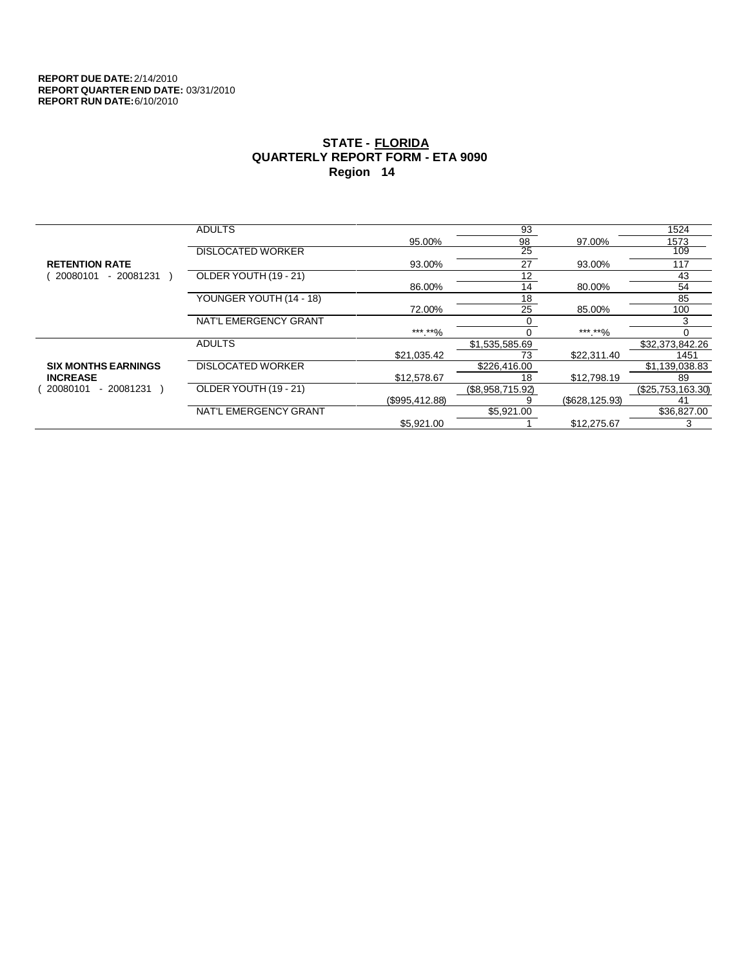|                            | <b>ADULTS</b>            |                | 93               |                 | 1524              |
|----------------------------|--------------------------|----------------|------------------|-----------------|-------------------|
|                            |                          | 95.00%         | 98               | 97.00%          | 1573              |
|                            | <b>DISLOCATED WORKER</b> |                | $\overline{25}$  |                 | 109               |
| <b>RETENTION RATE</b>      |                          | 93.00%         | 27               | 93.00%          | 117               |
| $-20081231$<br>20080101    | OLDER YOUTH (19 - 21)    |                | 12               |                 | 43                |
|                            |                          | 86.00%         | 14               | 80.00%          | 54                |
|                            | YOUNGER YOUTH (14 - 18)  |                | 18               |                 | 85                |
|                            |                          | 72.00%         | 25               | 85.00%          | 100               |
|                            | NAT'L EMERGENCY GRANT    |                |                  |                 | 3                 |
|                            |                          | ***.**%        |                  | *** **%         |                   |
|                            | <b>ADULTS</b>            |                | \$1,535,585.69   |                 | \$32,373,842.26   |
|                            |                          | \$21,035.42    | 73               | \$22,311.40     | 1451              |
| <b>SIX MONTHS EARNINGS</b> | <b>DISLOCATED WORKER</b> |                | \$226,416.00     |                 | \$1,139,038.83    |
| <b>INCREASE</b>            |                          | \$12,578.67    | 18               | \$12,798.19     | 89                |
| - 20081231<br>20080101     | OLDER YOUTH (19 - 21)    |                | (\$8,958,715.92) |                 | (\$25,753,163.30) |
|                            |                          | (\$995,412.88) |                  | (\$628, 125.93) | 41                |
|                            | NAT'L EMERGENCY GRANT    |                | \$5.921.00       |                 | \$36,827.00       |
|                            |                          | \$5,921.00     |                  | \$12,275.67     | 3                 |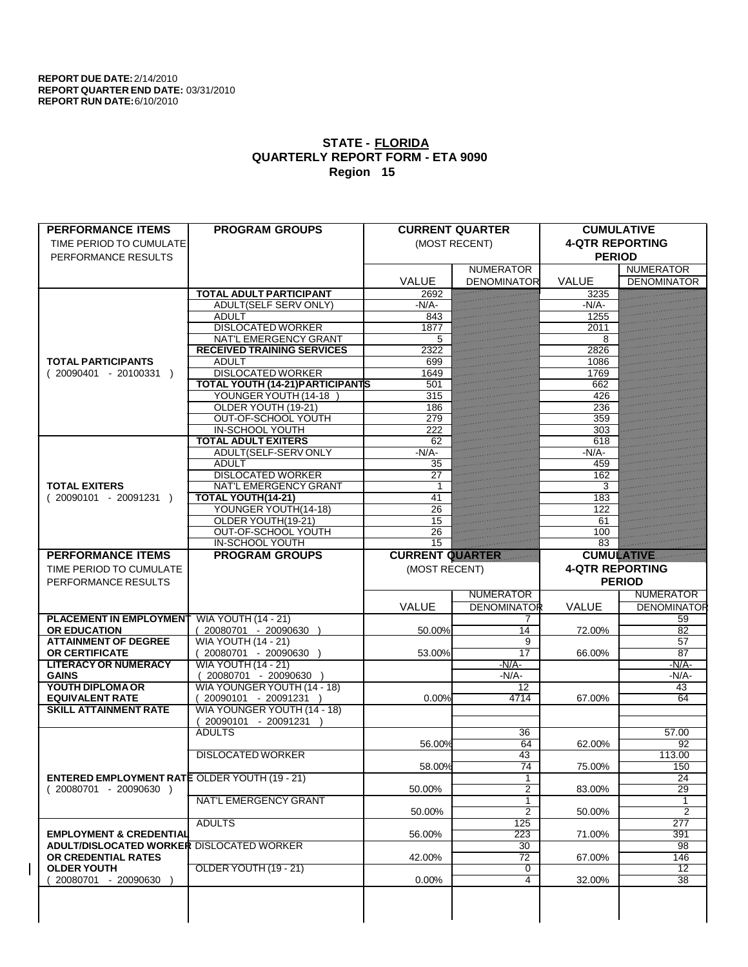| <b>PERFORMANCE ITEMS</b>                             | <b>PROGRAM GROUPS</b>                   |                        | <b>CURRENT QUARTER</b> | <b>CUMULATIVE</b>      |                    |
|------------------------------------------------------|-----------------------------------------|------------------------|------------------------|------------------------|--------------------|
| TIME PERIOD TO CUMULATE                              |                                         |                        | (MOST RECENT)          | <b>4-QTR REPORTING</b> |                    |
| PERFORMANCE RESULTS                                  |                                         |                        |                        | <b>PERIOD</b>          |                    |
|                                                      |                                         |                        | <b>NUMERATOR</b>       |                        | <b>NUMERATOR</b>   |
|                                                      |                                         | <b>VALUE</b>           | <b>DENOMINATOR</b>     | <b>VALUE</b>           | <b>DENOMINATOR</b> |
|                                                      | <b>TOTAL ADULT PARTICIPANT</b>          | 2692                   |                        | 3235                   |                    |
|                                                      | <b>ADULT(SELF SERV ONLY)</b>            | $-N/A$ -               |                        | $-N/A$                 |                    |
|                                                      | <b>ADULT</b>                            | 843                    |                        | 1255                   |                    |
|                                                      | <b>DISLOCATED WORKER</b>                | 1877                   |                        | 2011                   |                    |
|                                                      | <b>NAT'L EMERGENCY GRANT</b>            | 5                      |                        | 8                      |                    |
|                                                      | <b>RECEIVED TRAINING SERVICES</b>       | 2322                   |                        | 2826                   |                    |
| <b>TOTAL PARTICIPANTS</b>                            | <b>ADULT</b>                            | 699                    |                        | 1086                   |                    |
| $(20090401 - 20100331)$                              | <b>DISLOCATED WORKER</b>                | 1649                   |                        | 1769                   |                    |
|                                                      | <b>TOTAL YOUTH (14-21) PARTICIPANTS</b> | 501                    |                        | 662                    |                    |
|                                                      | YOUNGER YOUTH (14-18                    | 315                    |                        | 426                    |                    |
|                                                      | OLDER YOUTH (19-21)                     | 186                    |                        | 236                    |                    |
|                                                      | OUT-OF-SCHOOL YOUTH                     | 279                    |                        | 359                    |                    |
|                                                      | <b>IN-SCHOOL YOUTH</b>                  | 222                    |                        | 303                    |                    |
|                                                      | <b>TOTAL ADULT EXITERS</b>              | 62                     |                        | 618                    |                    |
|                                                      | ADULT(SELF-SERV ONLY                    | $-N/A$ -               |                        | $-N/A$ -               |                    |
|                                                      | <b>ADULT</b>                            | 35                     |                        | 459                    |                    |
|                                                      | <b>DISLOCATED WORKER</b>                | 27                     |                        | 162                    |                    |
| <b>TOTAL EXITERS</b>                                 | <b>NAT'L EMERGENCY GRANT</b>            |                        |                        | 3                      |                    |
| $(20090101 - 20091231)$                              | TOTAL YOUTH(14-21)                      | 41                     |                        | 183                    |                    |
|                                                      | YOUNGER YOUTH(14-18)                    | 26                     |                        | 122                    |                    |
|                                                      | OLDER YOUTH(19-21)                      | 15                     |                        | 61                     |                    |
|                                                      | OUT-OF-SCHOOL YOUTH                     | 26                     |                        | 100                    |                    |
|                                                      | <b>IN-SCHOOL YOUTH</b>                  | $\overline{15}$        |                        | 83                     |                    |
| <b>PERFORMANCE ITEMS</b>                             | <b>PROGRAM GROUPS</b>                   | <b>CURRENT QUARTER</b> |                        | <b>CUMULATIVE</b>      |                    |
|                                                      |                                         |                        |                        |                        |                    |
| TIME PERIOD TO CUMULATE                              |                                         | (MOST RECENT)          |                        | <b>4-QTR REPORTING</b> |                    |
|                                                      |                                         |                        |                        |                        |                    |
| PERFORMANCE RESULTS                                  |                                         |                        |                        |                        | <b>PERIOD</b>      |
|                                                      |                                         |                        | <b>NUMERATOR</b>       |                        | <b>NUMERATOR</b>   |
|                                                      |                                         | VALUE                  | <b>DENOMINATOR</b>     | <b>VALUE</b>           | <b>DENOMINATOR</b> |
| <b>PLACEMENT IN EMPLOYMENT</b>                       | <b>WIA YOUTH (14 - 21)</b>              |                        |                        |                        | 59                 |
| <b>OR EDUCATION</b>                                  | (20080701 - 20090630                    | 50.00%                 | 14                     | 72.00%                 | 82                 |
| <b>ATTAINMENT OF DEGREE</b>                          | <b>WIA YOUTH (14 - 21)</b>              |                        | 9                      |                        | 57                 |
| <b>OR CERTIFICATE</b>                                | $(20080701 - 20090630)$                 | 53.00%                 | 17                     | 66.00%                 | $\overline{87}$    |
| <b>LITERACY OR NUMERACY</b>                          | <b>WIA YOUTH (14 - 21)</b>              |                        | $-N/A$                 |                        | $-N/A$ -           |
| <b>GAINS</b>                                         | 20080701 - 20090630                     |                        | $-N/A$ -               |                        | $-N/A$ -           |
| YOUTH DIPLOMA OR                                     | WIA YOUNGER YOUTH (14 - 18)             |                        | 12                     |                        | 43                 |
| <b>EQUIVALENT RATE</b>                               | 20090101 - 20091231 )                   | 0.00%                  | 4714                   | 67.00%                 | 64                 |
| <b>SKILL ATTAINMENT RATE</b>                         | WIA YOUNGER YOUTH (14 - 18)             |                        |                        |                        |                    |
|                                                      | 20090101 - 20091231                     |                        |                        |                        |                    |
|                                                      | <b>ADULTS</b>                           |                        | 36                     |                        | 57.00              |
|                                                      |                                         | 56.00%                 | 64                     | 62.00%                 | 92                 |
|                                                      | <b>DISLOCATED WORKER</b>                |                        | 43                     |                        | 113.00             |
|                                                      |                                         | 58.00%                 | $\overline{74}$        | 75.00%                 | 150                |
| <b>ENTERED EMPLOYMENT RATE OLDER YOUTH (19 - 21)</b> |                                         |                        | $\mathbf{1}$           |                        | 24                 |
| $(20080701 - 20090630)$                              |                                         | 50.00%                 | $\overline{2}$         | 83.00%                 | 29                 |
|                                                      | NAT'L EMERGENCY GRANT                   |                        | 1                      |                        |                    |
|                                                      |                                         | 50.00%                 | $\overline{2}$         | 50.00%                 | $\overline{2}$     |
|                                                      | <b>ADULTS</b>                           |                        | 125                    |                        | 277                |
| <b>EMPLOYMENT &amp; CREDENTIAL</b>                   |                                         | 56.00%                 | $\overline{223}$       | 71.00%                 | 391                |
| ADULT/DISLOCATED WORKER DISLOCATED WORKER            |                                         |                        | $\overline{30}$        |                        | 98                 |
| OR CREDENTIAL RATES                                  |                                         | 42.00%                 | 72                     | 67.00%                 | 146                |
| <b>OLDER YOUTH</b>                                   | OLDER YOUTH (19 - 21)                   |                        | 0                      |                        | 12                 |
| 20080701 - 20090630                                  |                                         | $0.00\%$               | $\overline{4}$         | 32.00%                 | $\overline{38}$    |
|                                                      |                                         |                        |                        |                        |                    |
|                                                      |                                         |                        |                        |                        |                    |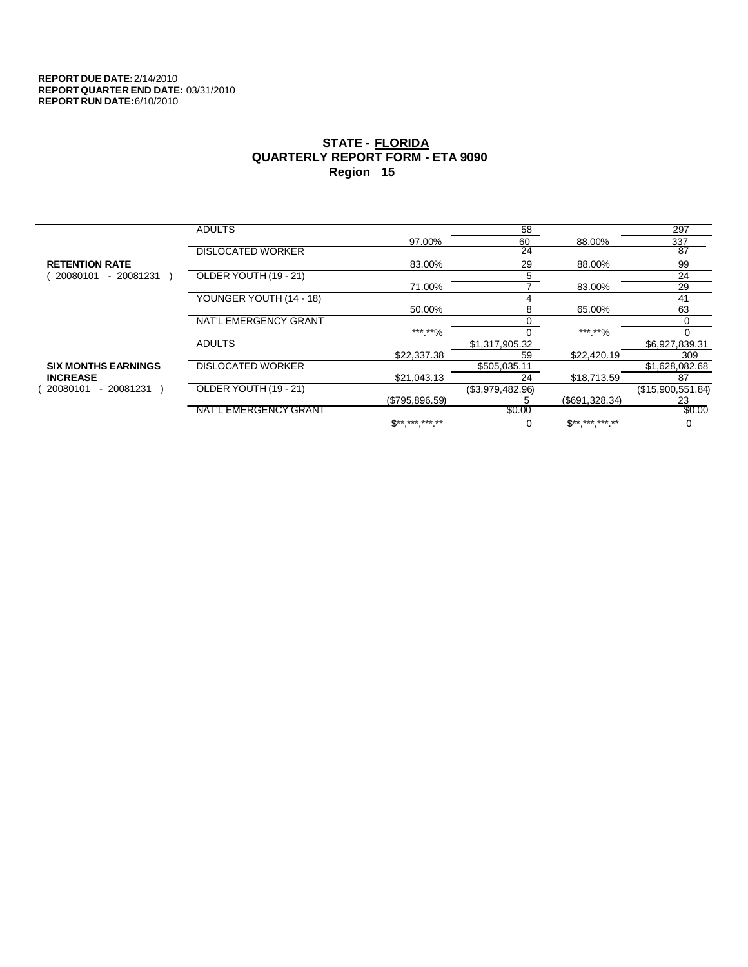|                            | <b>ADULTS</b>            |                          | 58               |                          | 297               |
|----------------------------|--------------------------|--------------------------|------------------|--------------------------|-------------------|
|                            |                          | 97.00%                   | 60               | 88.00%                   | 337               |
|                            | <b>DISLOCATED WORKER</b> |                          | 24               |                          | $\overline{87}$   |
| <b>RETENTION RATE</b>      |                          | 83.00%                   | 29               | 88.00%                   | 99                |
| $-20081231$<br>20080101    | OLDER YOUTH (19 - 21)    |                          | 5                |                          | 24                |
|                            |                          | 71.00%                   |                  | 83.00%                   | 29                |
|                            | YOUNGER YOUTH (14 - 18)  |                          | 4                |                          | 41                |
|                            |                          | 50.00%                   | 8                | 65.00%                   | 63                |
|                            | NAT'L EMERGENCY GRANT    |                          |                  |                          |                   |
|                            |                          | ***.**%                  |                  | *** **%                  | 0                 |
|                            | <b>ADULTS</b>            |                          | \$1,317,905.32   |                          | \$6,927,839.31    |
|                            |                          | \$22,337.38              | 59               | \$22,420.19              | 309               |
| <b>SIX MONTHS EARNINGS</b> | <b>DISLOCATED WORKER</b> |                          | \$505,035.11     |                          | \$1,628,082.68    |
| <b>INCREASE</b>            |                          | \$21,043.13              | 24               | \$18,713.59              | 87                |
| 20080101<br>- 20081231     | OLDER YOUTH (19 - 21)    |                          | (\$3,979,482.96) |                          | (\$15,900,551.84) |
|                            |                          | (\$795,896.59)           | C                | (S691.328.34)            | 23                |
|                            | NAT'L EMERGENCY GRANT    |                          | \$0.00           |                          | \$0.00            |
|                            |                          | $\mathbb{S}^{*********}$ | υ                | $\mathbb{S}^{*********}$ | 0                 |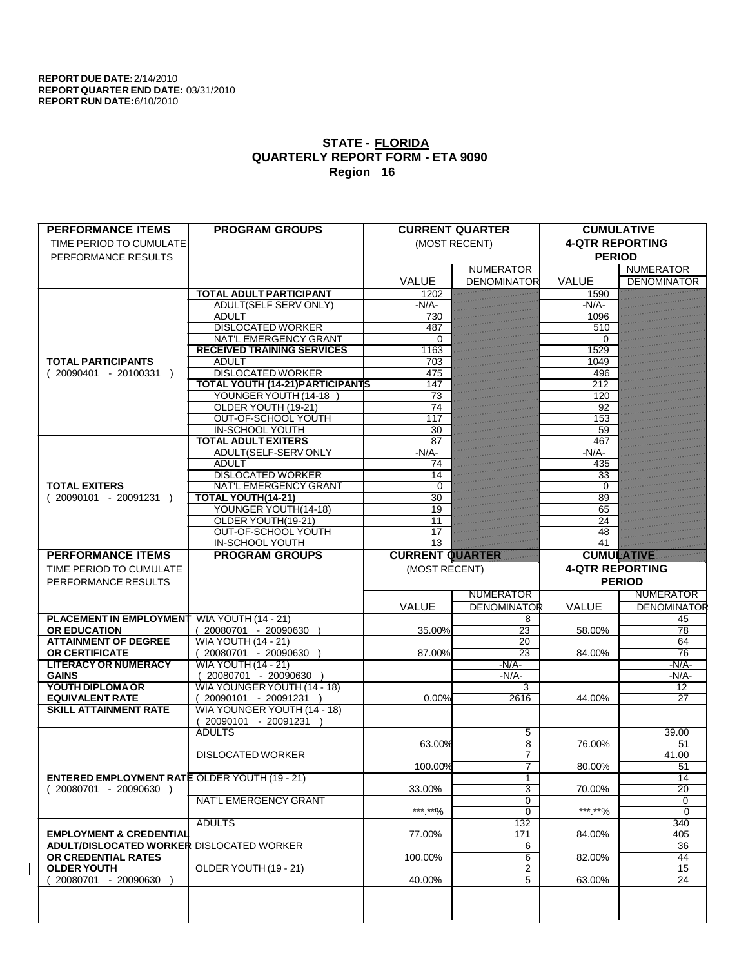| <b>PERFORMANCE ITEMS</b>                                                        | <b>PROGRAM GROUPS</b>                   |                        | <b>CURRENT QUARTER</b> | <b>CUMULATIVE</b>      |                       |
|---------------------------------------------------------------------------------|-----------------------------------------|------------------------|------------------------|------------------------|-----------------------|
| TIME PERIOD TO CUMULATE                                                         |                                         |                        | (MOST RECENT)          | <b>4-QTR REPORTING</b> |                       |
| PERFORMANCE RESULTS                                                             |                                         |                        |                        | <b>PERIOD</b>          |                       |
|                                                                                 |                                         |                        | <b>NUMERATOR</b>       |                        | <b>NUMERATOR</b>      |
|                                                                                 |                                         | <b>VALUE</b>           | <b>DENOMINATOR</b>     | <b>VALUE</b>           | <b>DENOMINATOR</b>    |
|                                                                                 | <b>TOTAL ADULT PARTICIPANT</b>          | 1202                   |                        | 1590                   |                       |
|                                                                                 | <b>ADULT(SELF SERV ONLY)</b>            | $-N/A$                 |                        | $-N/A$                 |                       |
|                                                                                 | <b>ADULT</b>                            | 730                    |                        | 1096                   |                       |
|                                                                                 | <b>DISLOCATED WORKER</b>                | 487                    |                        | 510                    |                       |
|                                                                                 | NAT'L EMERGENCY GRANT                   | $\Omega$               |                        | 0                      |                       |
|                                                                                 | <b>RECEIVED TRAINING SERVICES</b>       | 1163                   |                        | 1529                   |                       |
| <b>TOTAL PARTICIPANTS</b>                                                       | <b>ADULT</b>                            | 703                    |                        | 1049                   |                       |
| $(20090401 - 20100331)$                                                         | <b>DISLOCATED WORKER</b>                | 475                    |                        | 496                    |                       |
|                                                                                 | <b>TOTAL YOUTH (14-21) PARTICIPANTS</b> | 147                    |                        | $\overline{212}$       |                       |
|                                                                                 | YOUNGER YOUTH (14-18                    | 73                     |                        | 120                    |                       |
|                                                                                 | OLDER YOUTH (19-21)                     | 74                     |                        | 92                     |                       |
|                                                                                 | OUT-OF-SCHOOL YOUTH                     | 117                    |                        | 153                    |                       |
|                                                                                 | <b>IN-SCHOOL YOUTH</b>                  | 30                     |                        | 59                     |                       |
|                                                                                 | <b>TOTAL ADULT EXITERS</b>              | 87                     |                        | 467                    |                       |
|                                                                                 | ADULT(SELF-SERV ONLY                    | $-N/A$                 |                        | $-N/A$ -               |                       |
|                                                                                 | <b>ADULT</b>                            | 74                     |                        | 435                    |                       |
|                                                                                 | <b>DISLOCATED WORKER</b>                | 14                     |                        | 33                     |                       |
| <b>TOTAL EXITERS</b>                                                            | <b>NAT'L EMERGENCY GRANT</b>            | $\Omega$               |                        | 0                      |                       |
| $(20090101 - 20091231)$                                                         | <b>TOTAL YOUTH(14-21)</b>               | 30                     |                        | 89                     |                       |
|                                                                                 | YOUNGER YOUTH(14-18)                    | 19                     |                        | 65                     |                       |
|                                                                                 | OLDER YOUTH(19-21)                      | 11                     |                        | 24                     |                       |
|                                                                                 | OUT-OF-SCHOOL YOUTH                     | 17                     |                        | 48                     |                       |
|                                                                                 | <b>IN-SCHOOL YOUTH</b>                  | 13                     |                        | 41                     |                       |
| <b>PERFORMANCE ITEMS</b>                                                        | <b>PROGRAM GROUPS</b>                   | <b>CURRENT QUARTER</b> |                        | <b>CUMULATIVE</b>      |                       |
| TIME PERIOD TO CUMULATE                                                         |                                         | (MOST RECENT)          |                        | <b>4-QTR REPORTING</b> |                       |
|                                                                                 |                                         |                        |                        |                        |                       |
|                                                                                 |                                         |                        |                        |                        |                       |
| PERFORMANCE RESULTS                                                             |                                         |                        |                        |                        | <b>PERIOD</b>         |
|                                                                                 |                                         |                        | <b>NUMERATOR</b>       |                        | <b>NUMERATOR</b>      |
|                                                                                 |                                         | VALUE                  | <b>DENOMINATOR</b>     | <b>VALUE</b>           | <b>DENOMINATOR</b>    |
| <b>PLACEMENT IN EMPLOYMENT</b>                                                  | <b>WIA YOUTH (14 - 21)</b>              |                        | 8                      |                        | 45                    |
| <b>OR EDUCATION</b>                                                             | (20080701 - 20090630                    | 35.00%                 | $\overline{23}$        | 58.00%                 | 78                    |
| <b>ATTAINMENT OF DEGREE</b>                                                     | <b>WIA YOUTH (14 - 21)</b>              |                        | 20                     |                        | 64                    |
| <b>OR CERTIFICATE</b>                                                           | $(20080701 - 20090630)$                 | 87.00%                 | $\overline{23}$        | 84.00%                 | 76                    |
| <b>LITERACY OR NUMERACY</b>                                                     | <b>WIA YOUTH (14 - 21)</b>              |                        | $-N/A$                 |                        | $-N/A$ -              |
| <b>GAINS</b>                                                                    | 20080701 - 20090630                     |                        | -N/A-                  |                        | -N/A-                 |
| YOUTH DIPLOMA OR                                                                | WIA YOUNGER YOUTH (14 - 18)             |                        | 3                      |                        | $\overline{12}$       |
| <b>EQUIVALENT RATE</b><br><b>SKILL ATTAINMENT RATE</b>                          | 20090101 - 20091231 )                   | 0.00%                  | 2616                   | 44.00%                 | $\overline{27}$       |
|                                                                                 | WIA YOUNGER YOUTH (14 - 18)             |                        |                        |                        |                       |
|                                                                                 | 20090101 - 20091231<br><b>ADULTS</b>    |                        |                        |                        |                       |
|                                                                                 |                                         | 63.00%                 | 5<br>$\overline{8}$    | 76.00%                 | 39.00<br>51           |
|                                                                                 | <b>DISLOCATED WORKER</b>                |                        | 7                      |                        | 41.00                 |
|                                                                                 |                                         |                        | 7                      |                        |                       |
|                                                                                 |                                         | 100.00%                | $\mathbf{1}$           | 80.00%                 | $\overline{51}$<br>14 |
| <b>ENTERED EMPLOYMENT RATE OLDER YOUTH (19 - 21)</b><br>$(20080701 - 20090630)$ |                                         | 33.00%                 | 3                      | 70.00%                 | 20                    |
|                                                                                 | <b>NAT'L EMERGENCY GRANT</b>            |                        | 0                      |                        | 0                     |
|                                                                                 |                                         | ***.**%                | $\overline{0}$         | ***.**%                | $\overline{0}$        |
|                                                                                 | <b>ADULTS</b>                           |                        | 132                    |                        | 340                   |
| <b>EMPLOYMENT &amp; CREDENTIAL</b>                                              |                                         | 77.00%                 | 171                    | 84.00%                 | 405                   |
| ADULT/DISLOCATED WORKER DISLOCATED WORKER                                       |                                         |                        | 6                      |                        | 36                    |
| OR CREDENTIAL RATES                                                             |                                         | 100.00%                | 6                      | 82.00%                 | 44                    |
| <b>OLDER YOUTH</b>                                                              | OLDER YOUTH (19 - 21)                   |                        | $\overline{2}$         |                        | 15                    |
| 20080701 - 20090630                                                             |                                         | 40.00%                 | 5                      | 63.00%                 | $\overline{24}$       |
|                                                                                 |                                         |                        |                        |                        |                       |
|                                                                                 |                                         |                        |                        |                        |                       |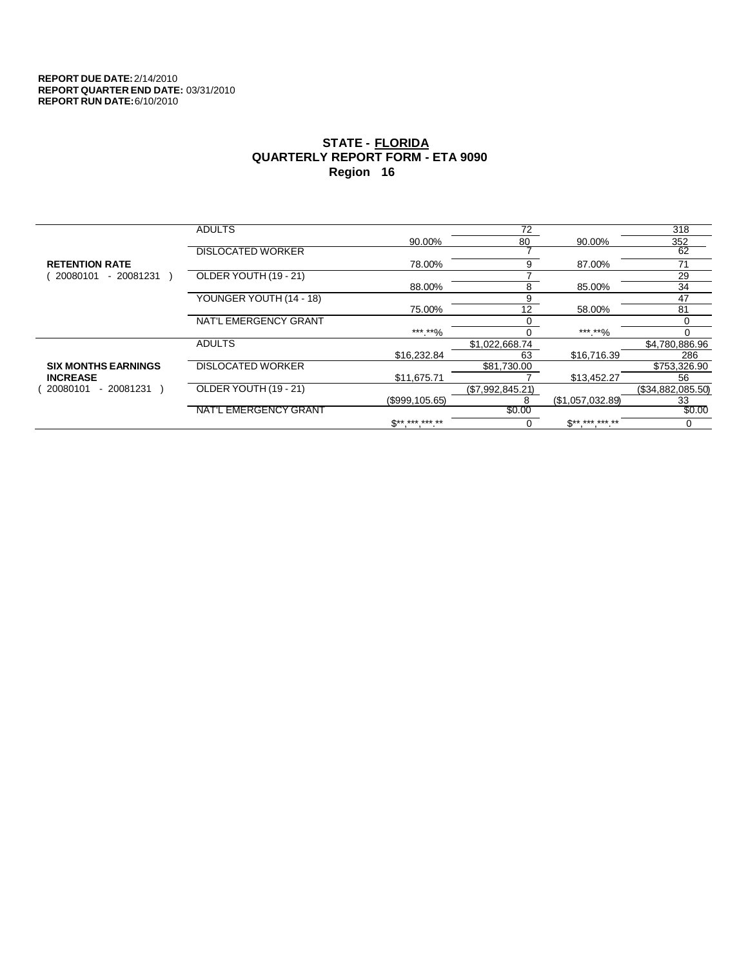|                            | <b>ADULTS</b>            |                 | 72               |                  | 318               |
|----------------------------|--------------------------|-----------------|------------------|------------------|-------------------|
|                            |                          | 90.00%          | 80               | 90.00%           | 352               |
|                            | <b>DISLOCATED WORKER</b> |                 |                  |                  | 62                |
| <b>RETENTION RATE</b>      |                          | 78.00%          | 9                | 87.00%           | 71                |
| 20080101<br>$-20081231$    | OLDER YOUTH (19 - 21)    |                 |                  |                  | 29                |
|                            |                          | 88.00%          | 8                | 85.00%           | 34                |
|                            | YOUNGER YOUTH (14 - 18)  |                 | 9                |                  | 47                |
|                            |                          | 75.00%          | 12               | 58.00%           | 81                |
|                            | NAT'L EMERGENCY GRANT    |                 |                  |                  | 0                 |
|                            |                          | ***.**%         |                  | ***.**%          | 0                 |
|                            | <b>ADULTS</b>            |                 | \$1.022.668.74   |                  | \$4,780,886.96    |
|                            |                          | \$16,232.84     | 63               | \$16,716.39      | 286               |
| <b>SIX MONTHS EARNINGS</b> | <b>DISLOCATED WORKER</b> |                 | \$81,730.00      |                  | \$753,326.90      |
| <b>INCREASE</b>            |                          | \$11,675.71     |                  | \$13,452.27      | 56                |
| 20080101<br>- 20081231     | OLDER YOUTH (19 - 21)    |                 | (\$7,992,845.21) |                  | (\$34,882,085.50) |
|                            |                          | (\$999, 105.65) | 8                | (\$1,057,032.89) | 33                |
|                            | NAT'L EMERGENCY GRANT    |                 | \$0.00           |                  | \$0.00            |
|                            |                          | $S*********$    | 0                | $S*********$     | 0                 |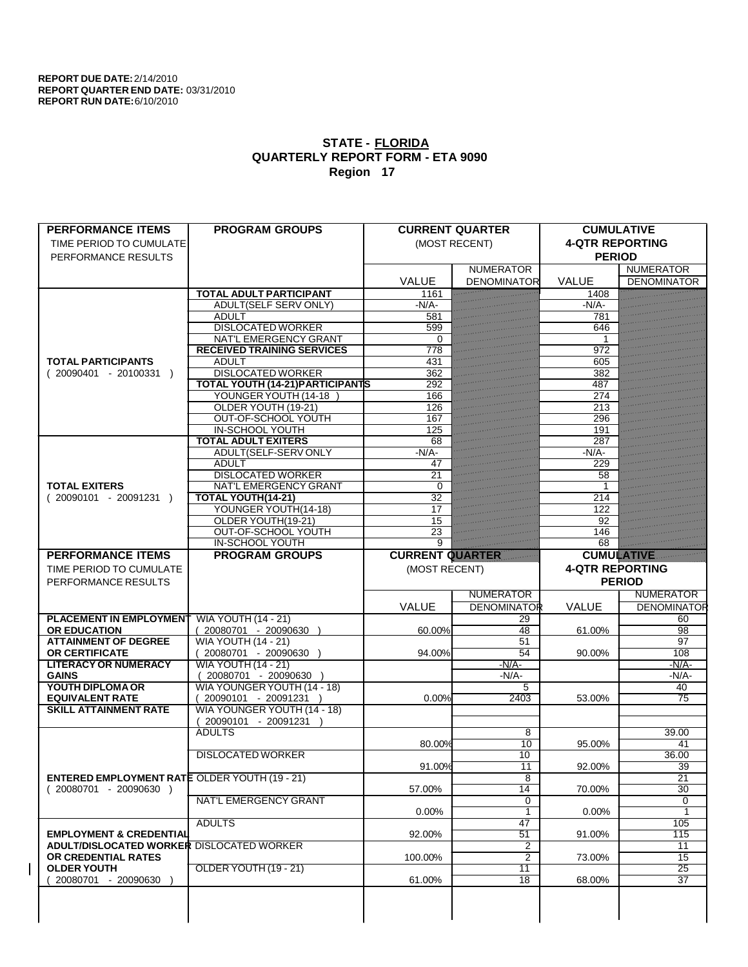| <b>PERFORMANCE ITEMS</b>                             | <b>PROGRAM GROUPS</b>                   |                        | <b>CURRENT QUARTER</b> | <b>CUMULATIVE</b>      |                       |
|------------------------------------------------------|-----------------------------------------|------------------------|------------------------|------------------------|-----------------------|
| TIME PERIOD TO CUMULATE                              |                                         |                        | (MOST RECENT)          | <b>4-QTR REPORTING</b> |                       |
| PERFORMANCE RESULTS                                  |                                         |                        |                        | <b>PERIOD</b>          |                       |
|                                                      |                                         |                        | <b>NUMERATOR</b>       |                        | <b>NUMERATOR</b>      |
|                                                      |                                         | <b>VALUE</b>           | <b>DENOMINATOR</b>     | <b>VALUE</b>           | <b>DENOMINATOR</b>    |
|                                                      | <b>TOTAL ADULT PARTICIPANT</b>          | 1161                   |                        | 1408                   |                       |
|                                                      | <b>ADULT(SELF SERV ONLY)</b>            | $-N/A$                 |                        | $-N/A$                 |                       |
|                                                      | <b>ADULT</b>                            | 581                    |                        | 781                    |                       |
|                                                      | <b>DISLOCATED WORKER</b>                | 599                    |                        | 646                    |                       |
|                                                      | NAT'L EMERGENCY GRANT                   | $\Omega$               |                        |                        |                       |
|                                                      | <b>RECEIVED TRAINING SERVICES</b>       | 778                    |                        | 972                    |                       |
| <b>TOTAL PARTICIPANTS</b>                            | <b>ADULT</b>                            | 431                    |                        | 605                    |                       |
| $(20090401 - 20100331)$                              | <b>DISLOCATED WORKER</b>                | 362                    |                        | 382                    |                       |
|                                                      | <b>TOTAL YOUTH (14-21) PARTICIPANTS</b> | 292                    |                        | 487                    |                       |
|                                                      | YOUNGER YOUTH (14-18                    | 166                    |                        | 274                    |                       |
|                                                      | OLDER YOUTH (19-21)                     | 126                    |                        | 213                    |                       |
|                                                      | OUT-OF-SCHOOL YOUTH                     | 167                    |                        | 296                    |                       |
|                                                      | <b>IN-SCHOOL YOUTH</b>                  | 125                    |                        | 191                    |                       |
|                                                      | <b>TOTAL ADULT EXITERS</b>              | 68                     |                        | 287                    |                       |
|                                                      | ADULT(SELF-SERV ONLY                    | $-N/A$ -               |                        | $-N/A$                 |                       |
|                                                      | <b>ADULT</b>                            | 47                     |                        | 229                    |                       |
|                                                      | <b>DISLOCATED WORKER</b>                | 21                     |                        | 58                     |                       |
| <b>TOTAL EXITERS</b>                                 | <b>NAT'L EMERGENCY GRANT</b>            | 0                      |                        | 1                      |                       |
| $(20090101 - 20091231)$                              | TOTAL YOUTH(14-21)                      | 32                     |                        | 214                    |                       |
|                                                      | YOUNGER YOUTH(14-18)                    | 17                     |                        | 122                    |                       |
|                                                      | OLDER YOUTH(19-21)                      | 15                     |                        | 92                     |                       |
|                                                      | OUT-OF-SCHOOL YOUTH                     | 23                     |                        | 146                    |                       |
|                                                      | <b>IN-SCHOOL YOUTH</b>                  | $\overline{9}$         |                        | 68                     |                       |
| <b>PERFORMANCE ITEMS</b>                             | <b>PROGRAM GROUPS</b>                   | <b>CURRENT QUARTER</b> |                        | <b>CUMULATIVE</b>      |                       |
|                                                      |                                         |                        |                        |                        |                       |
| TIME PERIOD TO CUMULATE                              |                                         | (MOST RECENT)          |                        | <b>4-QTR REPORTING</b> |                       |
|                                                      |                                         |                        |                        |                        |                       |
| PERFORMANCE RESULTS                                  |                                         |                        |                        |                        | <b>PERIOD</b>         |
|                                                      |                                         |                        | <b>NUMERATOR</b>       |                        | <b>NUMERATOR</b>      |
|                                                      |                                         | VALUE                  | <b>DENOMINATOR</b>     | <b>VALUE</b>           | <b>DENOMINATOR</b>    |
| <b>PLACEMENT IN EMPLOYMENT</b>                       | <b>WIA YOUTH (14 - 21)</b>              |                        | 29                     |                        | 60                    |
| <b>OR EDUCATION</b>                                  | (20080701 - 20090630                    | 60.00%                 | 48                     | 61.00%                 | 98                    |
| <b>ATTAINMENT OF DEGREE</b>                          |                                         |                        | 51                     |                        | 97                    |
| <b>OR CERTIFICATE</b>                                | <b>WIA YOUTH (14 - 21)</b>              | 94.00%                 | 54                     | 90.00%                 | 108                   |
| <b>LITERACY OR NUMERACY</b>                          | $(20080701 - 20090630)$                 |                        | $-N/A$                 |                        | $-N/A$ -              |
| <b>GAINS</b>                                         | <b>WIA YOUTH (14 - 21)</b>              |                        | -N/A-                  |                        | $-N/A$ -              |
| YOUTH DIPLOMA OR                                     | 20080701 - 20090630                     |                        | 5                      |                        | 40                    |
| <b>EQUIVALENT RATE</b>                               | WIA YOUNGER YOUTH (14 - 18)             |                        | 2403                   |                        |                       |
| <b>SKILL ATTAINMENT RATE</b>                         | 20090101 - 20091231 )                   | 0.00%                  |                        | 53.00%                 | 75                    |
|                                                      | WIA YOUNGER YOUTH (14 - 18)             |                        |                        |                        |                       |
|                                                      | 20090101 - 20091231<br><b>ADULTS</b>    |                        | 8                      |                        |                       |
|                                                      |                                         | 80.00%                 | 10                     |                        | 39.00<br>41           |
|                                                      |                                         |                        |                        | 95.00%                 |                       |
|                                                      | <b>DISLOCATED WORKER</b>                |                        | 10                     |                        | 36.00                 |
|                                                      |                                         | 91.00%                 | $\overline{11}$        | 92.00%                 | $\overline{39}$       |
| <b>ENTERED EMPLOYMENT RATE OLDER YOUTH (19 - 21)</b> |                                         |                        | 8                      |                        | $\overline{21}$<br>30 |
| $(20080701 - 20090630)$                              |                                         | 57.00%                 | 14                     | 70.00%                 |                       |
|                                                      | NAT'L EMERGENCY GRANT                   |                        | 0                      |                        | 0<br>1                |
|                                                      |                                         | $0.00\%$               | $\overline{1}$         | $0.00\%$               |                       |
|                                                      | <b>ADULTS</b>                           |                        | 47                     |                        | 105                   |
| <b>EMPLOYMENT &amp; CREDENTIAL</b>                   |                                         | 92.00%                 | 51                     | 91.00%                 | $\overline{115}$      |
| <b>ADULT/DISLOCATED WORKER DISLOCATED WORKER</b>     |                                         |                        | 2                      |                        | $\overline{11}$       |
| OR CREDENTIAL RATES                                  |                                         | 100.00%                | 2                      | 73.00%                 | 15                    |
| <b>OLDER YOUTH</b>                                   | OLDER YOUTH (19 - 21)                   |                        | $\overline{11}$        |                        | 25                    |
| 20080701 - 20090630                                  |                                         | 61.00%                 | 18                     | 68.00%                 | $\overline{37}$       |
|                                                      |                                         |                        |                        |                        |                       |
|                                                      |                                         |                        |                        |                        |                       |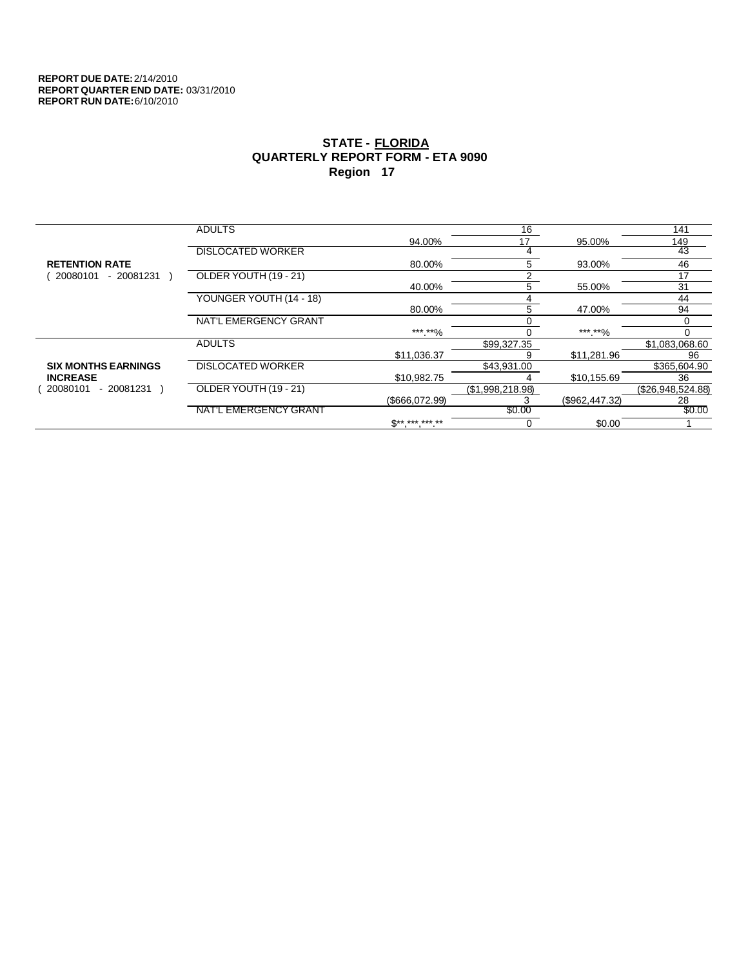|                            | <b>ADULTS</b>            |                 | 16               |                | 141               |
|----------------------------|--------------------------|-----------------|------------------|----------------|-------------------|
|                            |                          | 94.00%          | 17               | 95.00%         | 149               |
|                            | <b>DISLOCATED WORKER</b> |                 |                  |                | 43                |
| <b>RETENTION RATE</b>      |                          | 80.00%          | 5                | 93.00%         | 46                |
| 20080101<br>- 20081231     | OLDER YOUTH (19 - 21)    |                 | r                |                | 17                |
|                            |                          | 40.00%          | 5                | 55.00%         | 31                |
|                            | YOUNGER YOUTH (14 - 18)  |                 |                  |                | 44                |
|                            |                          | 80.00%          | 5                | 47.00%         | 94                |
|                            | NAT'L EMERGENCY GRANT    |                 |                  |                | 0                 |
|                            |                          | *** **%         |                  | *** **%        |                   |
|                            | <b>ADULTS</b>            |                 | \$99,327.35      |                | \$1,083,068.60    |
|                            |                          | \$11.036.37     |                  | \$11.281.96    | 96                |
| <b>SIX MONTHS EARNINGS</b> | <b>DISLOCATED WORKER</b> |                 | \$43,931.00      |                | \$365,604.90      |
| <b>INCREASE</b>            |                          | \$10,982.75     |                  | \$10,155.69    | 36                |
| 20080101<br>- 20081231     | OLDER YOUTH (19 - 21)    |                 | (\$1,998,218.98) |                | (\$26,948,524.88) |
|                            |                          | (\$666,072.99)  |                  | (\$962,447.32) | 28                |
|                            | NAT'L EMERGENCY GRANT    |                 | \$0.00           |                | \$0.00            |
|                            |                          | $S^{*********}$ |                  | \$0.00         |                   |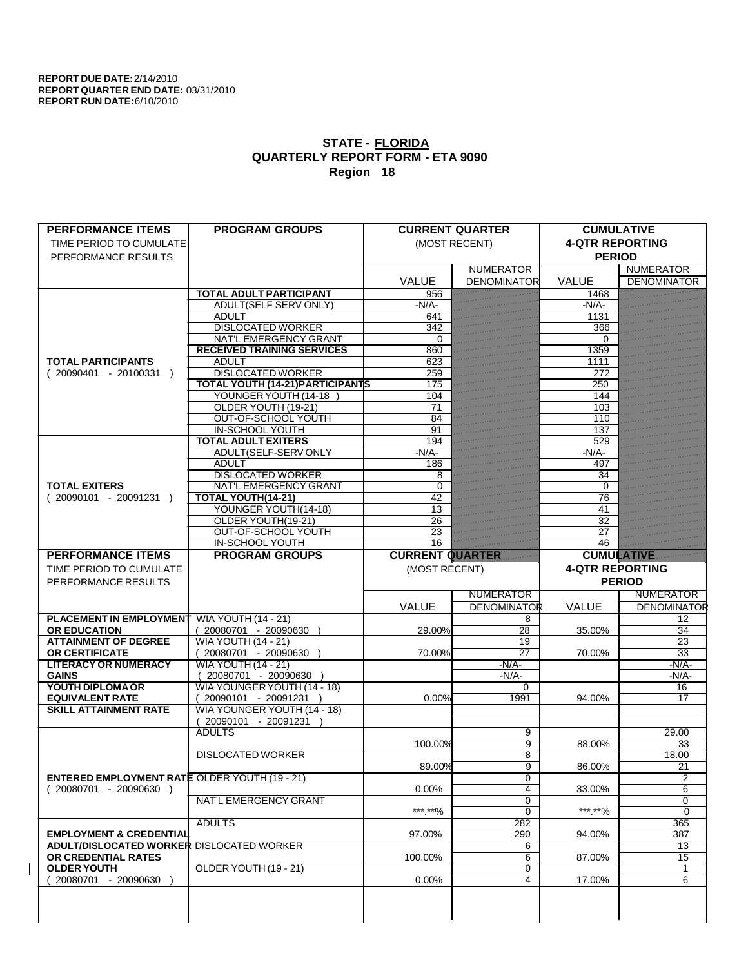| <b>PERFORMANCE ITEMS</b>                                                        | <b>PROGRAM GROUPS</b>                      |                        | <b>CURRENT QUARTER</b> | <b>CUMULATIVE</b>      |                     |
|---------------------------------------------------------------------------------|--------------------------------------------|------------------------|------------------------|------------------------|---------------------|
| TIME PERIOD TO CUMULATE                                                         |                                            |                        | (MOST RECENT)          | <b>4-QTR REPORTING</b> |                     |
| PERFORMANCE RESULTS                                                             |                                            |                        |                        | <b>PERIOD</b>          |                     |
|                                                                                 |                                            |                        | <b>NUMERATOR</b>       |                        | <b>NUMERATOR</b>    |
|                                                                                 |                                            | <b>VALUE</b>           | <b>DENOMINATOR</b>     | <b>VALUE</b>           | <b>DENOMINATOR</b>  |
|                                                                                 | <b>TOTAL ADULT PARTICIPANT</b>             | 956                    |                        | 1468                   |                     |
|                                                                                 | <b>ADULT(SELF SERV ONLY)</b>               | $-N/A$                 |                        | $-N/A$                 |                     |
|                                                                                 | <b>ADULT</b>                               | 641                    |                        | 1131                   |                     |
|                                                                                 | <b>DISLOCATED WORKER</b>                   | 342                    |                        | 366                    |                     |
|                                                                                 | NAT'L EMERGENCY GRANT                      | $\Omega$               |                        | 0                      |                     |
|                                                                                 | <b>RECEIVED TRAINING SERVICES</b>          | 860                    |                        | 1359                   |                     |
| <b>TOTAL PARTICIPANTS</b>                                                       | <b>ADULT</b>                               | 623                    |                        | 1111                   |                     |
| $(20090401 - 20100331)$                                                         | <b>DISLOCATED WORKER</b>                   | 259                    |                        | 272                    |                     |
|                                                                                 | <b>TOTAL YOUTH (14-21) PARTICIPANTS</b>    | 175                    |                        | 250                    |                     |
|                                                                                 | YOUNGER YOUTH (14-18                       | 104                    |                        | 144                    |                     |
|                                                                                 | OLDER YOUTH (19-21)                        | 71                     |                        | 103                    |                     |
|                                                                                 | <b>OUT-OF-SCHOOL YOUTH</b>                 | 84                     |                        | 110                    |                     |
|                                                                                 | <b>IN-SCHOOL YOUTH</b>                     | 91                     |                        | 137                    |                     |
|                                                                                 | <b>TOTAL ADULT EXITERS</b>                 | 194                    |                        | 529                    |                     |
|                                                                                 | ADULT(SELF-SERV ONLY                       | $-N/A$ -               |                        | $-N/A$ -               |                     |
|                                                                                 | <b>ADULT</b>                               | 186                    |                        | 497                    |                     |
|                                                                                 | <b>DISLOCATED WORKER</b>                   | 8                      |                        | 34                     |                     |
| <b>TOTAL EXITERS</b>                                                            | <b>NAT'L EMERGENCY GRANT</b>               | $\Omega$               |                        | 0                      |                     |
| $(20090101 - 20091231)$                                                         | TOTAL YOUTH(14-21)                         | 42                     |                        | 76                     |                     |
|                                                                                 | YOUNGER YOUTH(14-18)<br>OLDER YOUTH(19-21) | 13                     |                        | 41                     |                     |
|                                                                                 | OUT-OF-SCHOOL YOUTH                        | 26<br>23               |                        | 32<br>27               |                     |
|                                                                                 | <b>IN-SCHOOL YOUTH</b>                     | 16                     |                        | 46                     |                     |
| <b>PERFORMANCE ITEMS</b>                                                        | <b>PROGRAM GROUPS</b>                      | <b>CURRENT QUARTER</b> |                        | <b>CUMULATIVE</b>      |                     |
|                                                                                 |                                            |                        |                        |                        |                     |
| TIME PERIOD TO CUMULATE                                                         |                                            | (MOST RECENT)          |                        | <b>4-QTR REPORTING</b> |                     |
|                                                                                 |                                            |                        |                        |                        |                     |
| PERFORMANCE RESULTS                                                             |                                            |                        |                        |                        | <b>PERIOD</b>       |
|                                                                                 |                                            |                        | <b>NUMERATOR</b>       |                        | <b>NUMERATOR</b>    |
|                                                                                 |                                            | VALUE                  | <b>DENOMINATOR</b>     | <b>VALUE</b>           | <b>DENOMINATOR</b>  |
| <b>PLACEMENT IN EMPLOYMENT</b>                                                  | <b>WIA YOUTH (14 - 21)</b>                 |                        | 8                      |                        | 12                  |
| <b>OR EDUCATION</b>                                                             | (20080701 - 20090630                       | 29.00%                 | $\overline{28}$        | 35.00%                 | 34                  |
| <b>ATTAINMENT OF DEGREE</b>                                                     | <b>WIA YOUTH (14 - 21)</b>                 |                        | 19                     |                        | 23                  |
| <b>OR CERTIFICATE</b>                                                           | $(20080701 - 20090630)$                    | 70.00%                 | $\overline{27}$        | 70.00%                 | $\overline{33}$     |
| <b>LITERACY OR NUMERACY</b>                                                     | <b>WIA YOUTH (14 - 21)</b>                 |                        | $-N/A$                 |                        | $-N/A$ -            |
| <b>GAINS</b>                                                                    | 20080701 - 20090630                        |                        | $-N/A$ -               |                        | -N/A-               |
| YOUTH DIPLOMA OR                                                                | WIA YOUNGER YOUTH (14 - 18)                |                        | $\Omega$               |                        | 16                  |
| <b>EQUIVALENT RATE</b>                                                          | 20090101 - 20091231 )                      | 0.00%                  | 1991                   | 94.00%                 | $\overline{17}$     |
| <b>SKILL ATTAINMENT RATE</b>                                                    | WIA YOUNGER YOUTH (14 - 18)                |                        |                        |                        |                     |
|                                                                                 | 20090101 - 20091231                        |                        |                        |                        |                     |
|                                                                                 | <b>ADULTS</b>                              |                        | 9                      |                        | 29.00               |
|                                                                                 |                                            | 100.00%                | $\overline{9}$         | 88.00%                 | $\overline{33}$     |
|                                                                                 | <b>DISLOCATED WORKER</b>                   |                        | 8                      |                        | 18.00               |
|                                                                                 |                                            | 89.00%                 | $\overline{9}$         | 86.00%                 | 21                  |
| <b>ENTERED EMPLOYMENT RATE OLDER YOUTH (19 - 21)</b><br>$(20080701 - 20090630)$ |                                            | $0.00\%$               | 0<br>4                 | 33.00%                 | $\overline{2}$<br>6 |
|                                                                                 | <b>NAT'L EMERGENCY GRANT</b>               |                        | 0                      |                        | 0                   |
|                                                                                 |                                            | ***.**%                | $\overline{0}$         | ***.**%                | $\overline{0}$      |
|                                                                                 | <b>ADULTS</b>                              |                        | 282                    |                        | 365                 |
| <b>EMPLOYMENT &amp; CREDENTIAL</b>                                              |                                            | 97.00%                 | 290                    | 94.00%                 | 387                 |
| ADULT/DISLOCATED WORKER DISLOCATED WORKER                                       |                                            |                        | 6                      |                        | 13                  |
| OR CREDENTIAL RATES                                                             |                                            | 100.00%                | 6                      | 87.00%                 | 15                  |
| <b>OLDER YOUTH</b>                                                              | OLDER YOUTH (19 - 21)                      |                        | $\overline{0}$         |                        | $\overline{1}$      |
| 20080701 - 20090630                                                             |                                            | 0.00%                  | 4                      | 17.00%                 | $\overline{6}$      |
|                                                                                 |                                            |                        |                        |                        |                     |
|                                                                                 |                                            |                        |                        |                        |                     |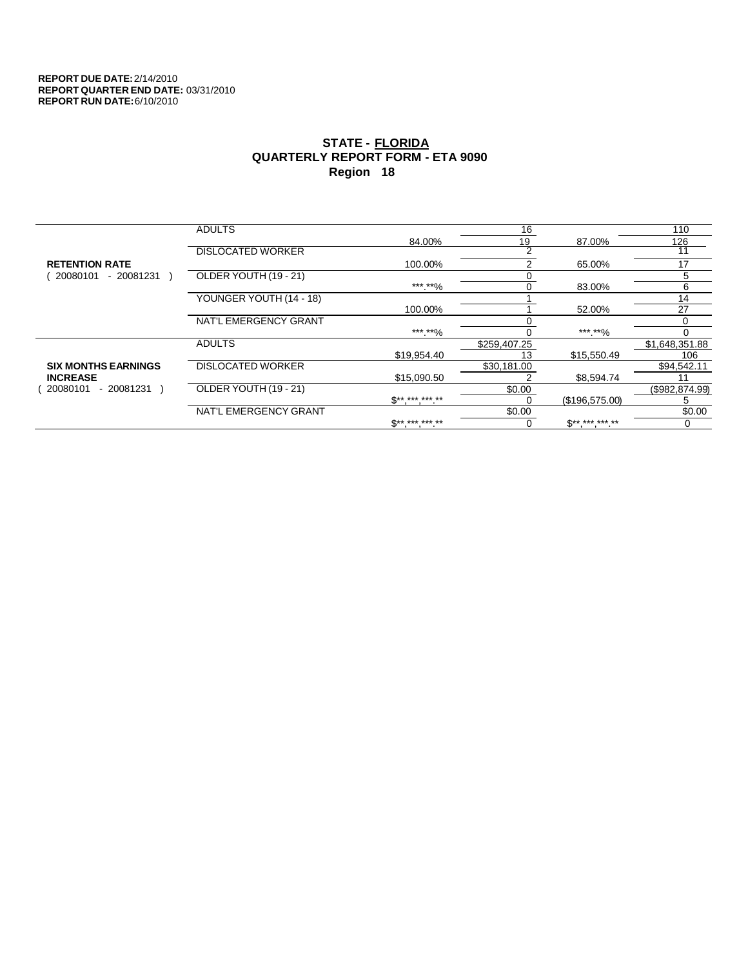|                            | <b>ADULTS</b>            |                            | 16           |                | 110             |
|----------------------------|--------------------------|----------------------------|--------------|----------------|-----------------|
|                            |                          | 84.00%                     | 19           | 87.00%         | 126             |
|                            | <b>DISLOCATED WORKER</b> |                            | C            |                |                 |
| <b>RETENTION RATE</b>      |                          | 100.00%                    |              | 65.00%         | 17              |
| 20080101<br>- 20081231     | OLDER YOUTH (19 - 21)    |                            |              |                | 5               |
|                            |                          | *** **%                    | 0            | 83.00%         | 6               |
|                            | YOUNGER YOUTH (14 - 18)  |                            |              |                | 14              |
|                            |                          | 100.00%                    |              | 52.00%         | 27              |
|                            | NAT'L EMERGENCY GRANT    |                            |              |                | 0               |
|                            |                          | ***.**%                    |              | ***.**%        |                 |
|                            | <b>ADULTS</b>            |                            | \$259,407.25 |                | \$1,648,351.88  |
|                            |                          | \$19,954.40                | 13           | \$15,550.49    | 106             |
| <b>SIX MONTHS EARNINGS</b> | <b>DISLOCATED WORKER</b> |                            | \$30,181.00  |                | \$94,542.11     |
| <b>INCREASE</b>            |                          | \$15,090.50                |              | \$8.594.74     |                 |
| 20080101<br>- 20081231     | OLDER YOUTH (19 - 21)    |                            | \$0.00       |                | (\$982, 874.99) |
|                            |                          | $\mathbb{S}$ ** *** *** ** |              | (\$196,575.00) | :               |
|                            | NAT'L EMERGENCY GRANT    |                            | \$0.00       |                | \$0.00          |
|                            |                          | <b>C** *** *** **</b>      |              | $S*********$   | $\Omega$        |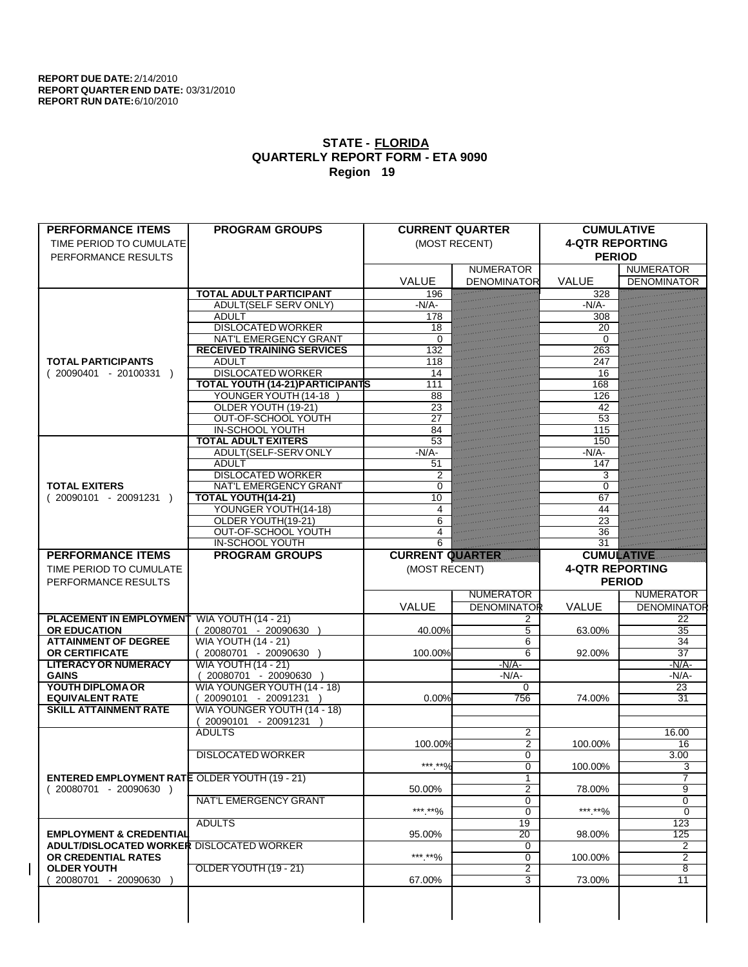| <b>PERFORMANCE ITEMS</b>                             | <b>PROGRAM GROUPS</b>                   |                         | <b>CURRENT QUARTER</b> | <b>CUMULATIVE</b>      |                    |
|------------------------------------------------------|-----------------------------------------|-------------------------|------------------------|------------------------|--------------------|
| TIME PERIOD TO CUMULATE                              |                                         |                         | (MOST RECENT)          | <b>4-QTR REPORTING</b> |                    |
| PERFORMANCE RESULTS                                  |                                         |                         |                        | <b>PERIOD</b>          |                    |
|                                                      |                                         |                         | <b>NUMERATOR</b>       |                        | <b>NUMERATOR</b>   |
|                                                      |                                         | <b>VALUE</b>            | <b>DENOMINATOR</b>     | <b>VALUE</b>           | <b>DENOMINATOR</b> |
|                                                      | <b>TOTAL ADULT PARTICIPANT</b>          | 196                     |                        | 328                    |                    |
|                                                      | <b>ADULT(SELF SERV ONLY)</b>            | $-N/A$                  |                        | $-N/A$ -               |                    |
|                                                      | <b>ADULT</b>                            | 178                     |                        | 308                    |                    |
|                                                      | <b>DISLOCATED WORKER</b>                | 18                      |                        | 20                     |                    |
|                                                      | NAT'L EMERGENCY GRANT                   | $\Omega$                |                        | $\Omega$               |                    |
|                                                      | <b>RECEIVED TRAINING SERVICES</b>       | 132                     |                        | 263                    |                    |
| <b>TOTAL PARTICIPANTS</b>                            | <b>ADULT</b>                            | 118                     |                        | 247                    |                    |
| $(20090401 - 20100331)$                              | <b>DISLOCATED WORKER</b>                | 14                      |                        | 16                     |                    |
|                                                      | <b>TOTAL YOUTH (14-21) PARTICIPANTS</b> | 111                     |                        | 168                    |                    |
|                                                      | YOUNGER YOUTH (14-18                    | 88                      |                        | 126                    |                    |
|                                                      | OLDER YOUTH (19-21)                     | 23                      |                        | 42                     |                    |
|                                                      | <b>OUT-OF-SCHOOL YOUTH</b>              | $\overline{27}$         |                        | 53                     |                    |
|                                                      | <b>IN-SCHOOL YOUTH</b>                  | 84                      |                        | 115                    |                    |
|                                                      | <b>TOTAL ADULT EXITERS</b>              | 53                      |                        | 150                    |                    |
|                                                      | ADULT(SELF-SERV ONLY                    | $-N/A$ -                |                        | $-N/A$ -               |                    |
|                                                      | <b>ADULT</b>                            | 51                      |                        | 147                    |                    |
|                                                      | <b>DISLOCATED WORKER</b>                | $\overline{2}$          |                        | 3                      |                    |
| <b>TOTAL EXITERS</b>                                 | <b>NAT'L EMERGENCY GRANT</b>            | $\Omega$                |                        | 0                      |                    |
| $(20090101 - 20091231)$                              | TOTAL YOUTH(14-21)                      | 10                      |                        | 67                     |                    |
|                                                      | YOUNGER YOUTH(14-18)                    | 4                       |                        | 44                     |                    |
|                                                      | OLDER YOUTH(19-21)                      | 6                       |                        | $\overline{23}$        |                    |
|                                                      | OUT-OF-SCHOOL YOUTH                     | 4                       |                        | 36                     |                    |
|                                                      | <b>IN-SCHOOL YOUTH</b>                  | 6                       |                        | $\overline{31}$        |                    |
| <b>PERFORMANCE ITEMS</b>                             | <b>PROGRAM GROUPS</b>                   | <b>CURRENT QUARTER</b>  |                        | <b>CUMULATIVE</b>      |                    |
| TIME PERIOD TO CUMULATE                              |                                         |                         |                        | <b>4-QTR REPORTING</b> |                    |
|                                                      |                                         | (MOST RECENT)           |                        |                        |                    |
|                                                      |                                         |                         |                        |                        |                    |
| PERFORMANCE RESULTS                                  |                                         |                         |                        |                        | <b>PERIOD</b>      |
|                                                      |                                         |                         | <b>NUMERATOR</b>       |                        | <b>NUMERATOR</b>   |
|                                                      |                                         | VALUE                   | <b>DENOMINATOR</b>     | <b>VALUE</b>           | <b>DENOMINATOR</b> |
| <b>PLACEMENT IN EMPLOYMENT</b>                       | <b>WIA YOUTH (14 - 21)</b>              |                         | 2                      |                        | 22                 |
| <b>OR EDUCATION</b>                                  | (20080701 - 20090630                    | 40.00%                  | 5                      | 63.00%                 | $\overline{35}$    |
| <b>ATTAINMENT OF DEGREE</b>                          | <b>WIA YOUTH (14 - 21)</b>              |                         | 6                      |                        | 34                 |
| <b>OR CERTIFICATE</b>                                | $(20080701 - 20090630)$                 | 100.00%                 | $\overline{6}$         | 92.00%                 | $\overline{37}$    |
| <b>LITERACY OR NUMERACY</b>                          | <b>WIA YOUTH (14 - 21)</b>              |                         | $-N/A$ -               |                        | $-N/A$ -           |
| <b>GAINS</b>                                         | 20080701 - 20090630                     |                         | $-N/A$ -               |                        | -N/A-              |
| YOUTH DIPLOMA OR                                     | WIA YOUNGER YOUTH (14 - 18)             |                         | $\Omega$               |                        | 23                 |
| <b>EQUIVALENT RATE</b>                               | 20090101 - 20091231 )                   | 0.00%                   | 756                    | 74.00%                 | 31                 |
| <b>SKILL ATTAINMENT RATE</b>                         | WIA YOUNGER YOUTH (14 - 18)             |                         |                        |                        |                    |
|                                                      | 20090101 - 20091231                     |                         |                        |                        |                    |
|                                                      | <b>ADULTS</b>                           |                         | 2                      |                        | 16.00              |
|                                                      |                                         | 100.00%                 | $\overline{2}$         | 100.00%                | 16                 |
|                                                      | <b>DISLOCATED WORKER</b>                |                         | $\overline{0}$         |                        | 3.00               |
|                                                      |                                         | *** ** 0/<br>$\sim$ / C | $\overline{0}$         | 100.00%                | 3                  |
| <b>ENTERED EMPLOYMENT RATE OLDER YOUTH (19 - 21)</b> |                                         |                         | $\mathbf{1}$           |                        | $\overline{7}$     |
| $(20080701 - 20090630)$                              |                                         | 50.00%                  | $\overline{2}$         | 78.00%                 | 9                  |
|                                                      | <b>NAT'L EMERGENCY GRANT</b>            |                         | 0                      |                        | 0                  |
|                                                      |                                         | ***.**%                 | $\overline{0}$         | ***.**%                | $\overline{0}$     |
|                                                      | <b>ADULTS</b>                           |                         | 19                     |                        | 123                |
| <b>EMPLOYMENT &amp; CREDENTIAL</b>                   |                                         | 95.00%                  | 20                     | 98.00%                 | $\overline{125}$   |
| ADULT/DISLOCATED WORKER DISLOCATED WORKER            |                                         |                         | 0                      |                        | 2                  |
| OR CREDENTIAL RATES                                  |                                         | *** **%                 | 0                      | 100.00%                | 2                  |
| <b>OLDER YOUTH</b>                                   | OLDER YOUTH (19 - 21)                   |                         | $\overline{2}$         |                        | $\overline{8}$     |
| 20080701 - 20090630                                  |                                         | 67.00%                  | 3                      | 73.00%                 | 11                 |
|                                                      |                                         |                         |                        |                        |                    |
|                                                      |                                         |                         |                        |                        |                    |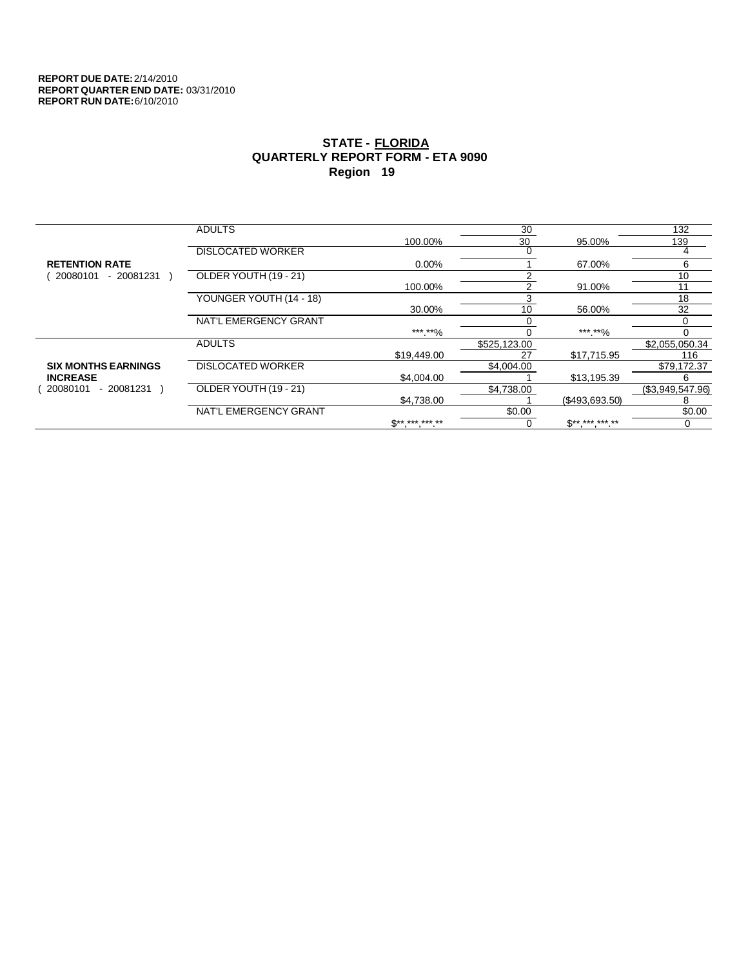|                            | <b>ADULTS</b>            |              | 30           |                | 132              |
|----------------------------|--------------------------|--------------|--------------|----------------|------------------|
|                            |                          | 100.00%      | 30           | 95.00%         | 139              |
|                            | <b>DISLOCATED WORKER</b> |              |              |                |                  |
| <b>RETENTION RATE</b>      |                          | $0.00\%$     |              | 67.00%         | 6                |
| - 20081231<br>20080101     | OLDER YOUTH (19 - 21)    |              |              |                | 10               |
|                            |                          | 100.00%      |              | 91.00%         | 11               |
|                            | YOUNGER YOUTH (14 - 18)  |              |              |                | 18               |
|                            |                          | 30.00%       | 10           | 56.00%         | 32               |
|                            | NAT'L EMERGENCY GRANT    |              |              |                |                  |
|                            |                          | *** **%      |              | ***.**%        | 0                |
|                            | <b>ADULTS</b>            |              | \$525,123.00 |                | \$2,055,050.34   |
|                            |                          | \$19,449.00  | 27           | \$17,715.95    | 116              |
| <b>SIX MONTHS EARNINGS</b> | <b>DISLOCATED WORKER</b> |              | \$4,004.00   |                | \$79,172.37      |
| <b>INCREASE</b>            |                          | \$4,004.00   |              | \$13,195.39    | 6                |
| - 20081231<br>20080101     | OLDER YOUTH (19 - 21)    |              | \$4.738.00   |                | (\$3,949,547.96) |
|                            |                          | \$4.738.00   |              | (\$493,693.50) | 8                |
|                            | NAT'L EMERGENCY GRANT    |              | \$0.00       |                | \$0.00           |
|                            |                          | $S*********$ |              | $S*********$   |                  |
|                            |                          |              |              |                |                  |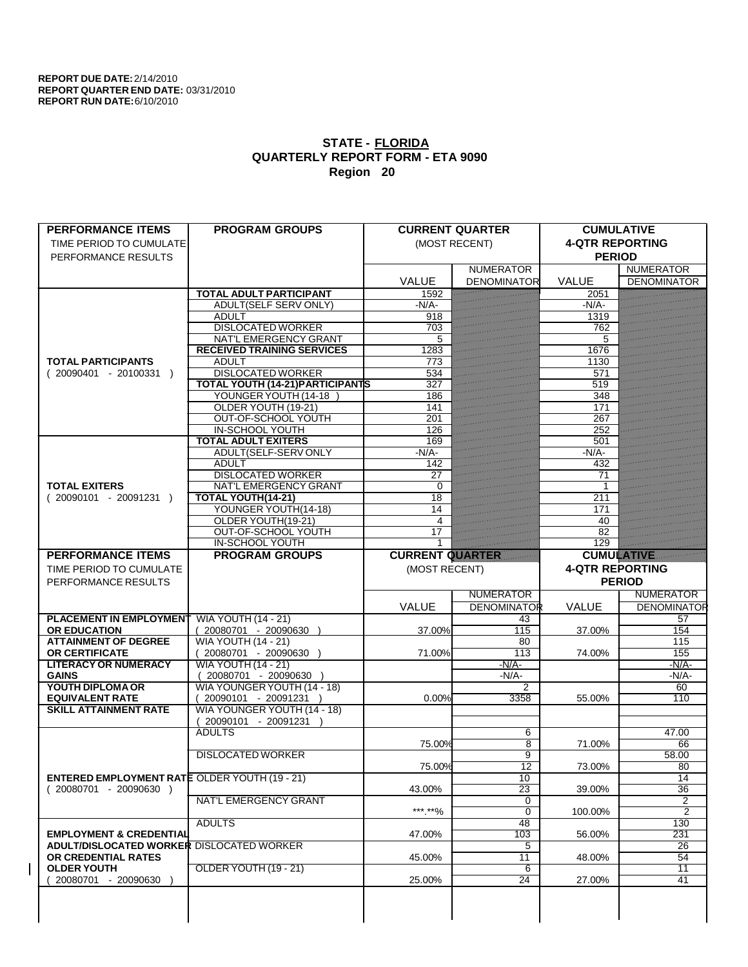|                                                                  | <b>PROGRAM GROUPS</b>                   |                        | <b>CURRENT QUARTER</b> | <b>CUMULATIVE</b>      |                     |
|------------------------------------------------------------------|-----------------------------------------|------------------------|------------------------|------------------------|---------------------|
| TIME PERIOD TO CUMULATE                                          |                                         |                        | (MOST RECENT)          | <b>4-QTR REPORTING</b> |                     |
| PERFORMANCE RESULTS                                              |                                         |                        |                        | <b>PERIOD</b>          |                     |
|                                                                  |                                         |                        | <b>NUMERATOR</b>       |                        | <b>NUMERATOR</b>    |
|                                                                  |                                         | <b>VALUE</b>           | <b>DENOMINATOR</b>     | <b>VALUE</b>           | <b>DENOMINATOR</b>  |
|                                                                  | <b>TOTAL ADULT PARTICIPANT</b>          | 1592                   |                        | 2051                   |                     |
|                                                                  | <b>ADULT(SELF SERV ONLY)</b>            | $-N/A$                 |                        | $-N/A$                 |                     |
|                                                                  | <b>ADULT</b>                            | 918                    |                        | 1319                   |                     |
|                                                                  | <b>DISLOCATED WORKER</b>                | 703                    |                        | 762                    |                     |
|                                                                  | <b>NAT'L EMERGENCY GRANT</b>            | 5                      |                        | 5                      |                     |
|                                                                  | <b>RECEIVED TRAINING SERVICES</b>       | 1283                   |                        | 1676                   |                     |
| <b>TOTAL PARTICIPANTS</b>                                        | <b>ADULT</b>                            | 773                    |                        | 1130                   |                     |
| $(20090401 - 20100331)$                                          | <b>DISLOCATED WORKER</b>                | 534                    |                        | 571                    |                     |
|                                                                  | <b>TOTAL YOUTH (14-21) PARTICIPANTS</b> | 327                    |                        | 519                    |                     |
|                                                                  | YOUNGER YOUTH (14-18                    | 186                    |                        | 348                    |                     |
|                                                                  | OLDER YOUTH (19-21)                     | 141                    |                        | 171                    |                     |
|                                                                  | <b>OUT-OF-SCHOOL YOUTH</b>              | 201                    |                        | 267                    |                     |
|                                                                  | <b>IN-SCHOOL YOUTH</b>                  | 126                    |                        | 252                    |                     |
|                                                                  | <b>TOTAL ADULT EXITERS</b>              | 169                    |                        | 501                    |                     |
|                                                                  | ADULT(SELF-SERV ONLY                    | $-N/A$ -               |                        | $-N/A$ -               |                     |
|                                                                  | <b>ADULT</b>                            | 142                    |                        | 432                    |                     |
|                                                                  | <b>DISLOCATED WORKER</b>                | 27                     |                        | 71                     |                     |
| <b>TOTAL EXITERS</b>                                             | <b>NAT'L EMERGENCY GRANT</b>            | 0                      |                        | 1                      |                     |
| $(20090101 - 20091231)$                                          | <b>TOTAL YOUTH(14-21)</b>               | 18                     |                        | $\overline{211}$       |                     |
|                                                                  | YOUNGER YOUTH(14-18)                    | 14                     |                        | 171                    |                     |
|                                                                  | OLDER YOUTH(19-21)                      | $\overline{4}$         |                        | 40                     |                     |
|                                                                  | OUT-OF-SCHOOL YOUTH                     | 17                     |                        | 82                     |                     |
|                                                                  | <b>IN-SCHOOL YOUTH</b>                  |                        |                        | 129                    |                     |
| <b>PERFORMANCE ITEMS</b>                                         | <b>PROGRAM GROUPS</b>                   | <b>CURRENT QUARTER</b> |                        | <b>CUMULATIVE</b>      |                     |
| TIME PERIOD TO CUMULATE                                          |                                         | (MOST RECENT)          |                        | <b>4-QTR REPORTING</b> |                     |
| PERFORMANCE RESULTS                                              |                                         |                        |                        |                        | <b>PERIOD</b>       |
|                                                                  |                                         |                        | <b>NUMERATOR</b>       |                        | <b>NUMERATOR</b>    |
|                                                                  |                                         |                        |                        |                        |                     |
|                                                                  |                                         |                        |                        |                        |                     |
|                                                                  |                                         | VALUE                  | <b>DENOMINATOR</b>     | <b>VALUE</b>           | <b>DENOMINATOR</b>  |
| <b>PLACEMENT IN EMPLOYMENT</b>                                   | <b>WIA YOUTH (14 - 21)</b>              |                        | 43                     |                        | 57                  |
| <b>OR EDUCATION</b>                                              | (20080701 - 20090630                    | 37.00%                 | 115                    | 37.00%                 | 154                 |
| <b>ATTAINMENT OF DEGREE</b>                                      | <b>WIA YOUTH (14 - 21)</b>              |                        | 80                     |                        | 115                 |
| <b>OR CERTIFICATE</b>                                            | $(20080701 - 20090630)$                 | 71.00%                 | 113                    | 74.00%                 | 155                 |
| <b>LITERACY OR NUMERACY</b>                                      | <b>WIA YOUTH (14 - 21)</b>              |                        | $-N/A$                 |                        | $-N/A$ -            |
| <b>GAINS</b>                                                     | 20080701 - 20090630                     |                        | -N/A-                  |                        | $-N/A$ -            |
| YOUTH DIPLOMA OR                                                 | WIA YOUNGER YOUTH (14 - 18)             |                        | 2                      |                        | 60                  |
| <b>EQUIVALENT RATE</b>                                           | 20090101 - 20091231 )                   | 0.00%                  | 3358                   | 55.00%                 | 110                 |
| <b>SKILL ATTAINMENT RATE</b>                                     | WIA YOUNGER YOUTH (14 - 18)             |                        |                        |                        |                     |
|                                                                  | 20090101 - 20091231                     |                        |                        |                        |                     |
|                                                                  | <b>ADULTS</b>                           |                        | 6                      |                        | 47.00               |
|                                                                  |                                         | 75.00%                 | $\overline{8}$         | 71.00%                 | 66                  |
|                                                                  | <b>DISLOCATED WORKER</b>                |                        | 9                      |                        | 58.00               |
|                                                                  |                                         | 75.00%                 | $\overline{12}$        | 73.00%                 | $\overline{80}$     |
| <b>ENTERED EMPLOYMENT RATE OLDER YOUTH (19 - 21)</b>             |                                         |                        | 10                     |                        | 14                  |
| $(20080701 - 20090630)$                                          |                                         | 43.00%                 | 23                     | 39.00%                 | 36                  |
|                                                                  | <b>NAT'L EMERGENCY GRANT</b>            |                        | 0                      |                        | 2<br>$\overline{2}$ |
|                                                                  |                                         | ***.**%                | $\overline{0}$         | 100.00%                |                     |
| <b>EMPLOYMENT &amp; CREDENTIAL</b>                               | <b>ADULTS</b>                           |                        | 48                     | 56.00%                 | 130                 |
|                                                                  |                                         | 47.00%                 | 103                    |                        | 231                 |
| ADULT/DISLOCATED WORKER DISLOCATED WORKER<br>OR CREDENTIAL RATES |                                         | 45.00%                 | 5                      | 48.00%                 | 26<br>54            |
|                                                                  |                                         |                        | $\overline{11}$<br>6   |                        | $\overline{11}$     |
| <b>OLDER YOUTH</b><br>20080701 - 20090630                        | OLDER YOUTH (19 - 21)                   | 25.00%                 | $\overline{24}$        | 27.00%                 | $\overline{41}$     |
|                                                                  |                                         |                        |                        |                        |                     |
|                                                                  |                                         |                        |                        |                        |                     |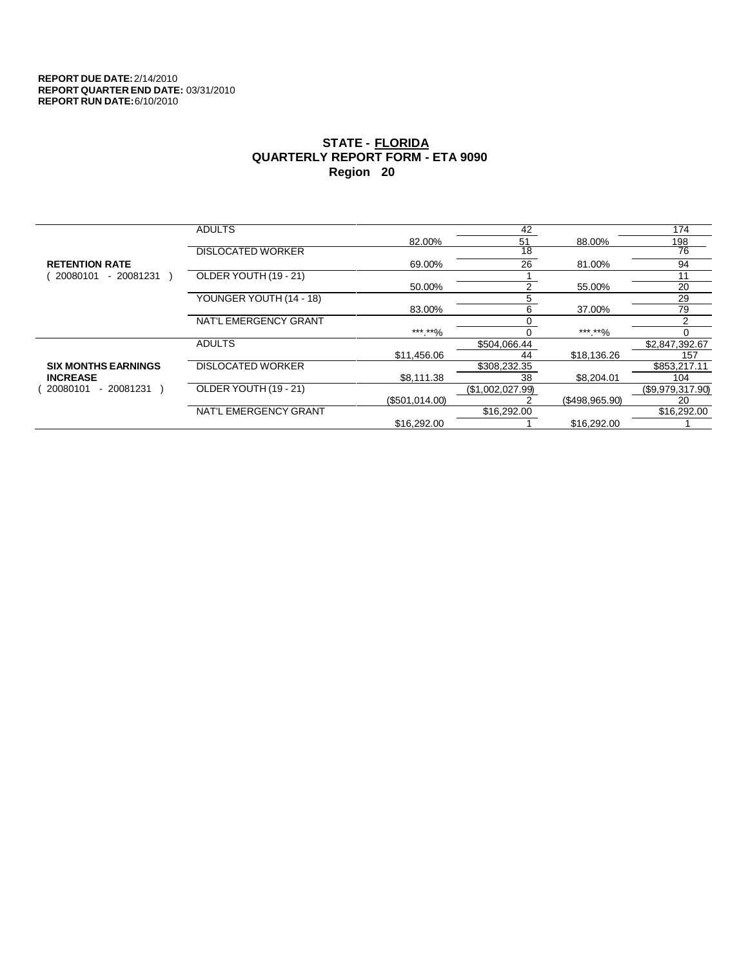|                            | <b>ADULTS</b>            |                | 42               |                | 174              |
|----------------------------|--------------------------|----------------|------------------|----------------|------------------|
|                            |                          | 82.00%         | 51               | 88.00%         | 198              |
|                            | <b>DISLOCATED WORKER</b> |                | $\overline{18}$  |                | 76               |
| <b>RETENTION RATE</b>      |                          | 69.00%         | 26               | 81.00%         | 94               |
| $-20081231$<br>20080101    | OLDER YOUTH (19 - 21)    |                |                  |                | 11               |
|                            |                          | 50.00%         | 2                | 55.00%         | 20               |
|                            | YOUNGER YOUTH (14 - 18)  |                | 5                |                | 29               |
|                            |                          | 83.00%         | 6                | 37.00%         | 79               |
|                            | NAT'L EMERGENCY GRANT    |                |                  |                |                  |
|                            |                          | ***.**%        |                  | *** **%        |                  |
|                            | <b>ADULTS</b>            |                | \$504,066.44     |                | \$2,847,392.67   |
|                            |                          | \$11,456.06    | 44               | \$18,136.26    | 157              |
| <b>SIX MONTHS EARNINGS</b> | <b>DISLOCATED WORKER</b> |                | \$308,232.35     |                | \$853,217.11     |
| <b>INCREASE</b>            |                          | \$8,111.38     | 38               | \$8,204.01     | 104              |
| - 20081231<br>20080101     | OLDER YOUTH (19 - 21)    |                | (\$1,002,027.99) |                | (\$9,979,317.90) |
|                            |                          | (\$501,014.00) |                  | (\$498,965.90) | 20               |
|                            | NAT'L EMERGENCY GRANT    |                | \$16,292.00      |                | \$16,292.00      |
|                            |                          | \$16,292.00    |                  | \$16,292.00    |                  |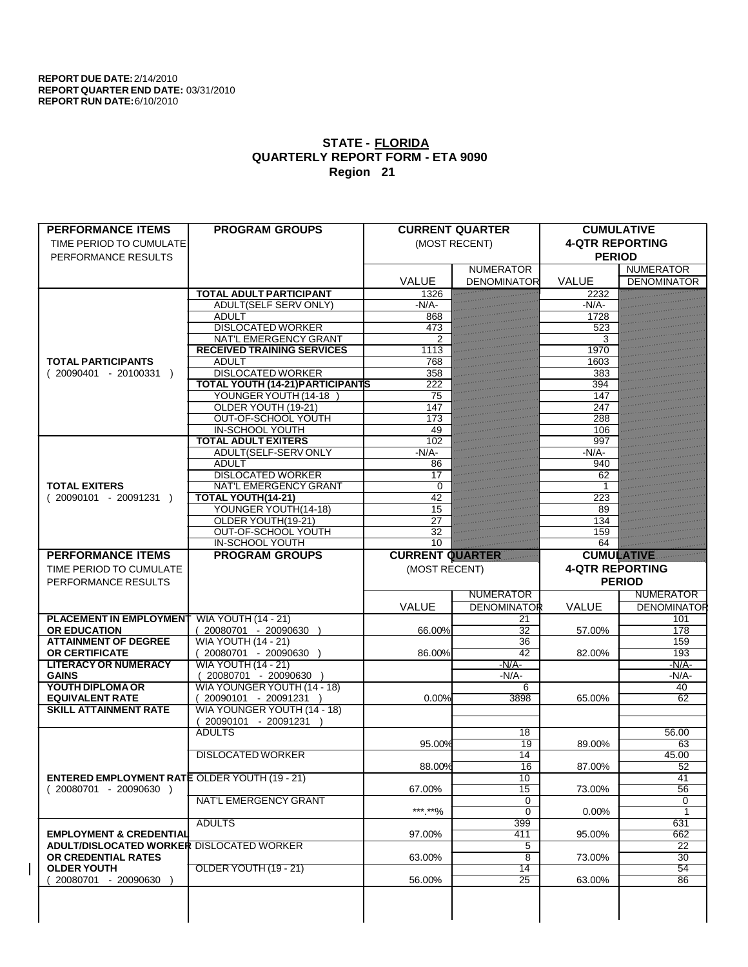| <b>PERFORMANCE ITEMS</b>                             | <b>PROGRAM GROUPS</b>                              |                        | <b>CURRENT QUARTER</b> | <b>CUMULATIVE</b>      |                    |
|------------------------------------------------------|----------------------------------------------------|------------------------|------------------------|------------------------|--------------------|
| TIME PERIOD TO CUMULATE                              |                                                    |                        | (MOST RECENT)          | <b>4-QTR REPORTING</b> |                    |
| PERFORMANCE RESULTS                                  |                                                    |                        |                        | <b>PERIOD</b>          |                    |
|                                                      |                                                    |                        | <b>NUMERATOR</b>       |                        | <b>NUMERATOR</b>   |
|                                                      |                                                    | <b>VALUE</b>           | <b>DENOMINATOR</b>     | <b>VALUE</b>           | <b>DENOMINATOR</b> |
|                                                      | <b>TOTAL ADULT PARTICIPANT</b>                     | 1326                   |                        | 2232                   |                    |
|                                                      | <b>ADULT(SELF SERV ONLY)</b>                       | $-N/A$                 |                        | $-N/A$ -               |                    |
|                                                      | <b>ADULT</b>                                       | 868                    |                        | 1728                   |                    |
|                                                      | <b>DISLOCATED WORKER</b>                           | 473                    |                        | 523                    |                    |
|                                                      | NAT'L EMERGENCY GRANT                              |                        |                        | 3                      |                    |
|                                                      | <b>RECEIVED TRAINING SERVICES</b>                  | 1113                   |                        | 1970                   |                    |
| <b>TOTAL PARTICIPANTS</b>                            | <b>ADULT</b>                                       | 768                    |                        | 1603                   |                    |
| $(20090401 - 20100331)$                              | <b>DISLOCATED WORKER</b>                           | 358                    |                        | 383                    |                    |
|                                                      | <b>TOTAL YOUTH (14-21) PARTICIPANTS</b>            | 222                    |                        | 394                    |                    |
|                                                      | YOUNGER YOUTH (14-18                               | 75                     |                        | 147                    |                    |
|                                                      | OLDER YOUTH (19-21)                                | 147                    |                        | 247                    |                    |
|                                                      | <b>OUT-OF-SCHOOL YOUTH</b>                         | 173                    |                        | 288                    |                    |
|                                                      | <b>IN-SCHOOL YOUTH</b>                             | 49                     |                        | 106                    |                    |
|                                                      | <b>TOTAL ADULT EXITERS</b>                         | 102                    |                        | 997                    |                    |
|                                                      | ADULT(SELF-SERV ONLY                               | $-N/A$                 |                        | $-N/A$                 |                    |
|                                                      | <b>ADULT</b>                                       | 86                     |                        | 940                    |                    |
|                                                      | <b>DISLOCATED WORKER</b>                           | 17                     |                        | 62                     |                    |
| <b>TOTAL EXITERS</b>                                 | NAT'L EMERGENCY GRANT                              | $\Omega$               |                        | 1                      |                    |
| $(20090101 - 20091231)$                              | <b>TOTAL YOUTH(14-21)</b>                          | 42                     |                        | 223                    |                    |
|                                                      | YOUNGER YOUTH(14-18)                               | 15                     |                        | 89                     |                    |
|                                                      | OLDER YOUTH(19-21)                                 | 27                     |                        | 134                    |                    |
|                                                      | OUT-OF-SCHOOL YOUTH                                | 32                     |                        | 159                    |                    |
|                                                      | IN-SCHOOL YOUTH                                    | $\overline{10}$        |                        | 64                     |                    |
| <b>PERFORMANCE ITEMS</b>                             | <b>PROGRAM GROUPS</b>                              | <b>CURRENT QUARTER</b> |                        | <b>CUMULATIVE</b>      |                    |
|                                                      |                                                    |                        |                        |                        |                    |
| TIME PERIOD TO CUMULATE                              |                                                    | (MOST RECENT)          |                        | <b>4-QTR REPORTING</b> |                    |
|                                                      |                                                    |                        |                        |                        |                    |
| PERFORMANCE RESULTS                                  |                                                    |                        |                        |                        | <b>PERIOD</b>      |
|                                                      |                                                    |                        | <b>NUMERATOR</b>       |                        | NUMERATOR          |
|                                                      |                                                    | VALUE                  | <b>DENOMINATOR</b>     | VALUE                  | <b>DENOMINATOR</b> |
| <b>PLACEMENT IN EMPLOYMENT</b>                       | <b>WIA YOUTH (14 - 21)</b>                         |                        | 21                     |                        | 101                |
| <b>OR EDUCATION</b>                                  | (20080701 - 20090630                               | 66.00%                 | 32                     | 57.00%                 | 178                |
| <b>ATTAINMENT OF DEGREE</b>                          | <b>WIA YOUTH (14 - 21)</b>                         |                        | 36                     |                        | 159                |
| <b>OR CERTIFICATE</b>                                | $(20080701 - 20090630)$                            | 86.00%                 | 42                     | 82.00%                 | 193                |
| <b>LITERACY OR NUMERACY</b>                          | <b>WIA YOUTH (14 - 21)</b>                         |                        | $-N/A$                 |                        | $-N/A$ -           |
| <b>GAINS</b>                                         | $(20080701 - 20090630)$                            |                        | $-N/A$ -               |                        | $-N/A$ -           |
| YOUTH DIPLOMA OR                                     | WIA YOUNGER YOUTH (14 - 18)                        |                        | 6                      |                        | 40                 |
| <b>EQUIVALENT RATE</b>                               | 20090101 - 20091231 )                              | 0.00%                  | 3898                   | 65.00%                 | $\overline{62}$    |
| <b>SKILL ATTAINMENT RATE</b>                         |                                                    |                        |                        |                        |                    |
|                                                      | WIA YOUNGER YOUTH (14 - 18)<br>20090101 - 20091231 |                        |                        |                        |                    |
|                                                      | <b>ADULTS</b>                                      |                        | 18                     |                        | 56.00              |
|                                                      |                                                    | 95.00%                 | 19                     | 89.00%                 | 63                 |
|                                                      | <b>DISLOCATED WORKER</b>                           |                        | 14                     |                        | 45.00              |
|                                                      |                                                    |                        |                        |                        |                    |
| <b>ENTERED EMPLOYMENT RATE OLDER YOUTH (19 - 21)</b> |                                                    | 88.00%                 | 16<br>10               | 87.00%                 | 52<br>41           |
| $(20080701 - 20090630)$                              |                                                    | 67.00%                 | 15                     | 73.00%                 | 56                 |
|                                                      | NAT'L EMERGENCY GRANT                              |                        | 0                      |                        | 0                  |
|                                                      |                                                    | ***.**%                | 0                      | $0.00\%$               | $\mathbf{1}$       |
|                                                      | <b>ADULTS</b>                                      |                        | 399                    |                        | 631                |
| <b>EMPLOYMENT &amp; CREDENTIAL</b>                   |                                                    | 97.00%                 | 411                    | 95.00%                 | 662                |
| <b>ADULT/DISLOCATED WORKER DISLOCATED WORKER</b>     |                                                    |                        | 5                      |                        | 22                 |
| OR CREDENTIAL RATES                                  |                                                    | 63.00%                 | 8                      | 73.00%                 | 30                 |
| <b>OLDER YOUTH</b>                                   | OLDER YOUTH (19 - 21)                              |                        | 14                     |                        | 54                 |
| 20080701 - 20090630                                  |                                                    | 56.00%                 | $\overline{25}$        | 63.00%                 | 86                 |
|                                                      |                                                    |                        |                        |                        |                    |
|                                                      |                                                    |                        |                        |                        |                    |
|                                                      |                                                    |                        |                        |                        |                    |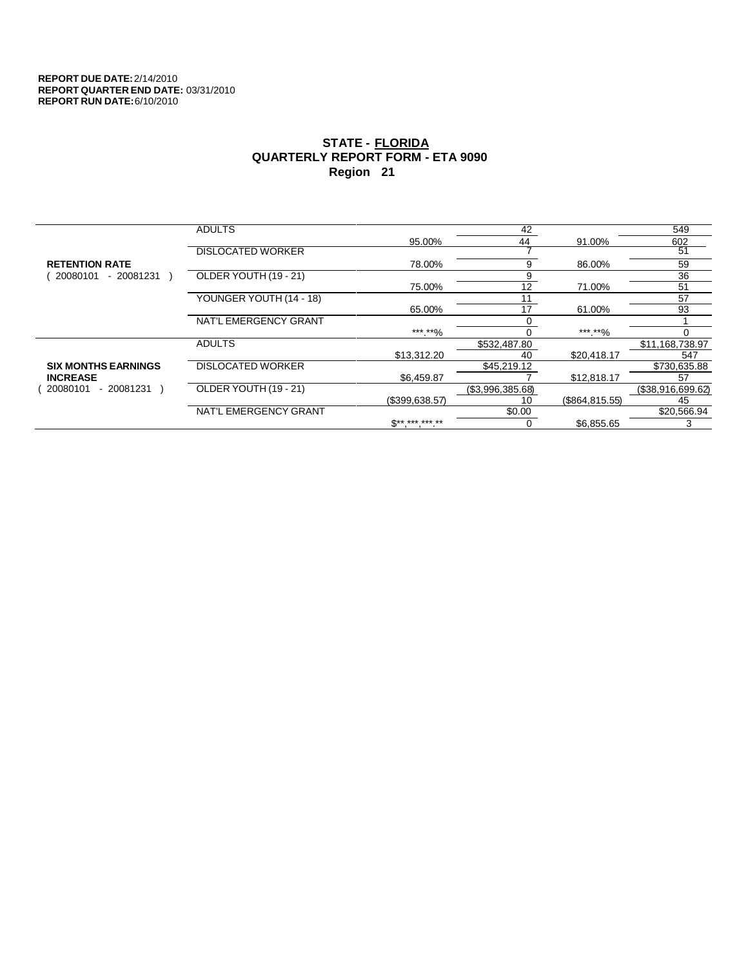|                            | <b>ADULTS</b>            |                | 42               |                 | 549               |
|----------------------------|--------------------------|----------------|------------------|-----------------|-------------------|
|                            |                          | 95.00%         | 44               | 91.00%          | 602               |
|                            | <b>DISLOCATED WORKER</b> |                |                  |                 | 51                |
| <b>RETENTION RATE</b>      |                          | 78.00%         | 9                | 86.00%          | 59                |
| 20080101<br>$-20081231$    | OLDER YOUTH (19 - 21)    |                | 9                |                 | 36                |
|                            |                          | 75.00%         | 12               | 71.00%          | 51                |
|                            | YOUNGER YOUTH (14 - 18)  |                | 11               |                 | 57                |
|                            |                          | 65.00%         | 17               | 61.00%          | 93                |
|                            | NAT'L EMERGENCY GRANT    |                |                  |                 |                   |
|                            |                          | ***.**%        |                  | ***.**%         |                   |
|                            | <b>ADULTS</b>            |                | \$532,487.80     |                 | \$11,168,738.97   |
|                            |                          | \$13,312.20    | 40               | \$20.418.17     | 547               |
| <b>SIX MONTHS EARNINGS</b> | <b>DISLOCATED WORKER</b> |                | \$45,219.12      |                 | \$730,635.88      |
| <b>INCREASE</b>            |                          | \$6,459.87     |                  | \$12,818.17     | 57                |
| 20080101<br>- 20081231     | OLDER YOUTH (19 - 21)    |                | (\$3,996,385.68) |                 | (\$38,916,699.62) |
|                            |                          | (\$399.638.57) | 10               | (\$864, 815.55) | 45                |
|                            | NAT'L EMERGENCY GRANT    |                | \$0.00           |                 | \$20,566.94       |
|                            |                          | $S*********$   | 0                | \$6.855.65      | 3                 |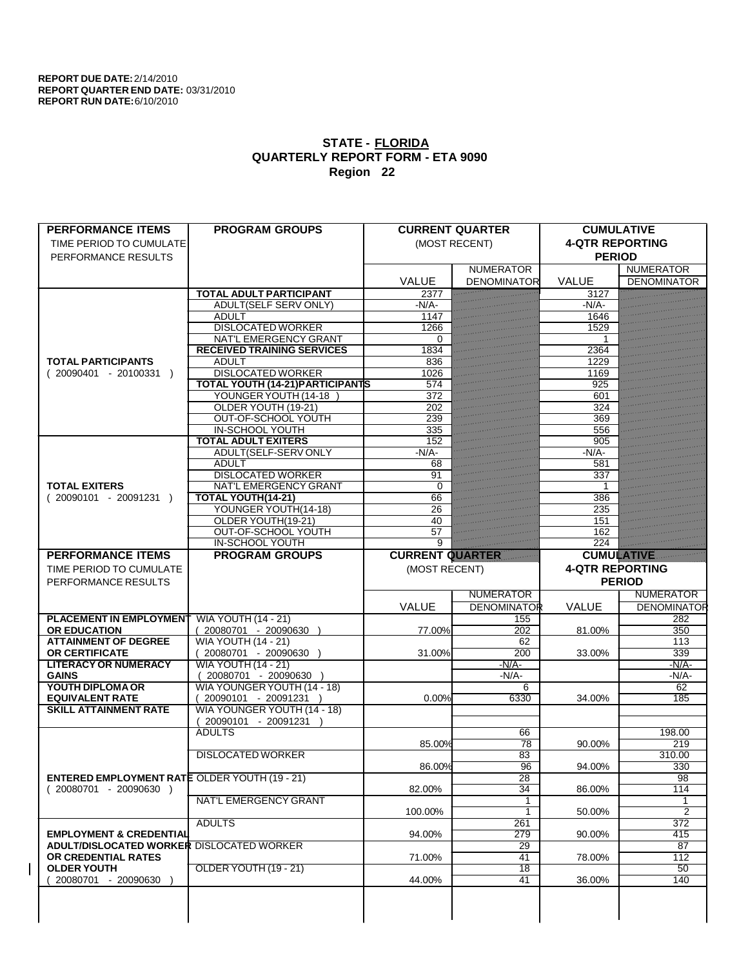|                                                      | <b>PROGRAM GROUPS</b>                                |                        | <b>CURRENT QUARTER</b> | <b>CUMULATIVE</b>      |                    |
|------------------------------------------------------|------------------------------------------------------|------------------------|------------------------|------------------------|--------------------|
| TIME PERIOD TO CUMULATE                              |                                                      |                        | (MOST RECENT)          | <b>4-QTR REPORTING</b> |                    |
| PERFORMANCE RESULTS                                  |                                                      |                        |                        | <b>PERIOD</b>          |                    |
|                                                      |                                                      |                        | <b>NUMERATOR</b>       |                        | <b>NUMERATOR</b>   |
|                                                      |                                                      | <b>VALUE</b>           | <b>DENOMINATOR</b>     | <b>VALUE</b>           | <b>DENOMINATOR</b> |
|                                                      | <b>TOTAL ADULT PARTICIPANT</b>                       | 2377                   |                        | 3127                   |                    |
|                                                      | <b>ADULT(SELF SERV ONLY)</b>                         | $-N/A$                 |                        | $-N/A$                 |                    |
|                                                      | <b>ADULT</b>                                         | 1147                   |                        | 1646                   |                    |
|                                                      | <b>DISLOCATED WORKER</b>                             | 1266                   |                        | 1529                   |                    |
|                                                      | <b>NAT'L EMERGENCY GRANT</b>                         | $\Omega$               |                        |                        |                    |
|                                                      | <b>RECEIVED TRAINING SERVICES</b>                    | 1834                   |                        | 2364                   |                    |
| <b>TOTAL PARTICIPANTS</b>                            | <b>ADULT</b>                                         | 836                    |                        | 1229                   |                    |
| $(20090401 - 20100331)$                              | <b>DISLOCATED WORKER</b>                             | 1026                   |                        | 1169                   |                    |
|                                                      | <b>TOTAL YOUTH (14-21) PARTICIPANTS</b>              | 574                    |                        | 925                    |                    |
|                                                      | YOUNGER YOUTH (14-18                                 | 372                    |                        | 601                    |                    |
|                                                      | OLDER YOUTH (19-21)                                  | 202                    |                        | 324                    |                    |
|                                                      | <b>OUT-OF-SCHOOL YOUTH</b>                           | 239                    |                        | 369                    |                    |
|                                                      | <b>IN-SCHOOL YOUTH</b><br><b>TOTAL ADULT EXITERS</b> | 335                    |                        | 556                    |                    |
|                                                      | ADULT(SELF-SERV ONLY                                 | 152<br>$-N/A$ -        |                        | 905<br>$-N/A$          |                    |
|                                                      | <b>ADULT</b>                                         | 68                     |                        | 581                    |                    |
|                                                      | <b>DISLOCATED WORKER</b>                             | 91                     |                        | 337                    |                    |
| <b>TOTAL EXITERS</b>                                 | <b>NAT'L EMERGENCY GRANT</b>                         | $\Omega$               |                        | 1                      |                    |
| $(20090101 - 20091231)$                              | <b>TOTAL YOUTH(14-21)</b>                            | 66                     |                        | 386                    |                    |
|                                                      | YOUNGER YOUTH(14-18)                                 | 26                     |                        | 235                    |                    |
|                                                      | OLDER YOUTH(19-21)                                   | 40                     |                        | 151                    |                    |
|                                                      | OUT-OF-SCHOOL YOUTH                                  | 57                     |                        | 162                    |                    |
|                                                      | <b>IN-SCHOOL YOUTH</b>                               | $\overline{9}$         |                        | 224                    |                    |
| <b>PERFORMANCE ITEMS</b>                             | <b>PROGRAM GROUPS</b>                                | <b>CURRENT QUARTER</b> |                        | <b>CUMULATIVE</b>      |                    |
| TIME PERIOD TO CUMULATE                              |                                                      | (MOST RECENT)          |                        | <b>4-QTR REPORTING</b> |                    |
| PERFORMANCE RESULTS                                  |                                                      |                        |                        |                        | <b>PERIOD</b>      |
|                                                      |                                                      |                        | <b>NUMERATOR</b>       |                        | <b>NUMERATOR</b>   |
|                                                      |                                                      | VALUE                  | <b>DENOMINATOR</b>     | <b>VALUE</b>           | <b>DENOMINATOR</b> |
| <b>PLACEMENT IN EMPLOYMENT</b>                       | <b>WIA YOUTH (14 - 21)</b>                           |                        | 155                    |                        |                    |
|                                                      |                                                      |                        |                        |                        |                    |
|                                                      |                                                      |                        |                        |                        | 282                |
| <b>OR EDUCATION</b>                                  | (20080701 - 20090630                                 | 77.00%                 | 202                    | 81.00%                 | 350                |
| <b>ATTAINMENT OF DEGREE</b>                          | <b>WIA YOUTH (14 - 21)</b>                           |                        | 62                     |                        | 113                |
| <b>OR CERTIFICATE</b>                                | $(20080701 - 20090630)$                              | 31.00%                 | 200                    | 33.00%                 | 339                |
| <b>LITERACY OR NUMERACY</b>                          | <b>WIA YOUTH (14 - 21)</b>                           |                        | $-N/A$                 |                        | $-N/A$ -           |
| <b>GAINS</b><br>YOUTH DIPLOMA OR                     | 20080701 - 20090630                                  |                        | $-N/A$ -<br>6          |                        | $-N/A$ -<br>62     |
| <b>EQUIVALENT RATE</b>                               | WIA YOUNGER YOUTH (14 - 18)                          | 0.00%                  | 6330                   | 34.00%                 | 185                |
| <b>SKILL ATTAINMENT RATE</b>                         | 20090101 - 20091231 )                                |                        |                        |                        |                    |
|                                                      | WIA YOUNGER YOUTH (14 - 18)<br>20090101 - 20091231   |                        |                        |                        |                    |
|                                                      | <b>ADULTS</b>                                        |                        | 66                     |                        | 198.00             |
|                                                      |                                                      | 85.00%                 | 78                     | 90.00%                 | 219                |
|                                                      | <b>DISLOCATED WORKER</b>                             |                        | 83                     |                        | 310.00             |
|                                                      |                                                      | 86.00%                 | 96                     | 94.00%                 | 330                |
| <b>ENTERED EMPLOYMENT RATE OLDER YOUTH (19 - 21)</b> |                                                      |                        | 28                     |                        | 98                 |
| $(20080701 - 20090630)$                              |                                                      | 82.00%                 | 34                     | 86.00%                 | 114                |
|                                                      | <b>NAT'L EMERGENCY GRANT</b>                         |                        |                        |                        |                    |
|                                                      |                                                      | 100.00%                | 1                      | 50.00%                 | $\overline{2}$     |
|                                                      | <b>ADULTS</b>                                        |                        | 261                    |                        | 372                |
| <b>EMPLOYMENT &amp; CREDENTIAL</b>                   |                                                      | 94.00%                 | $\overline{279}$       | 90.00%                 | 415                |
| <b>ADULT/DISLOCATED WORKER DISLOCATED WORKER</b>     |                                                      |                        | 29                     |                        | 87                 |
| OR CREDENTIAL RATES                                  |                                                      | 71.00%                 | 41                     | 78.00%                 | 112                |
| <b>OLDER YOUTH</b>                                   | OLDER YOUTH (19 - 21)                                |                        | $\overline{18}$        |                        | 50                 |
| 20080701 - 20090630                                  |                                                      | 44.00%                 | 41                     | 36.00%                 | 140                |
|                                                      |                                                      |                        |                        |                        |                    |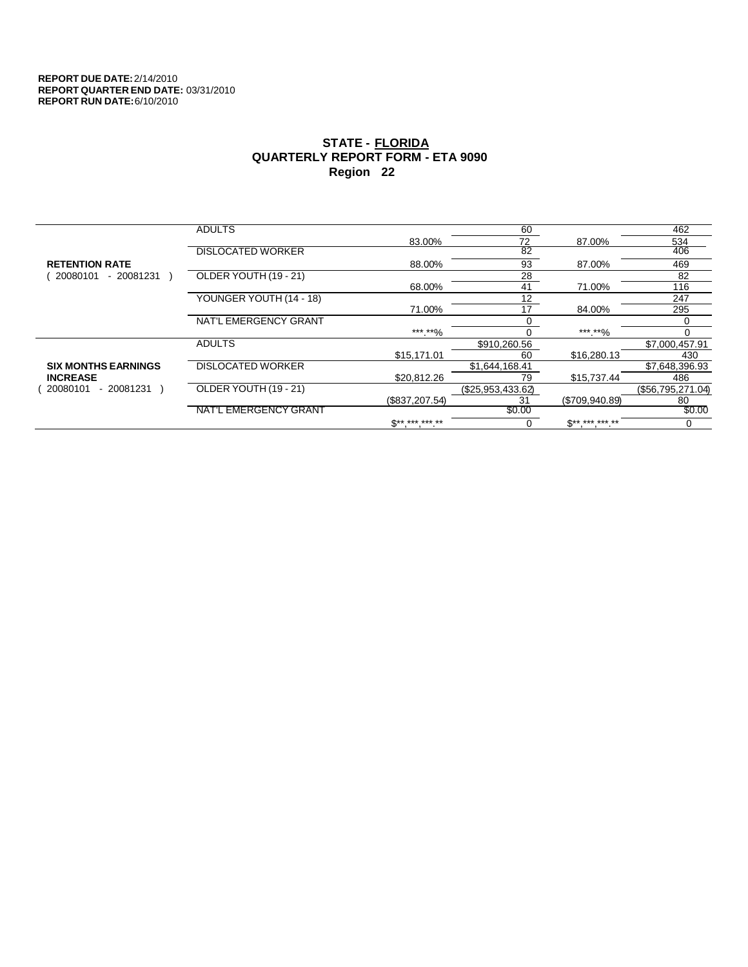|                            | <b>ADULTS</b>            |                               | 60                |                | 462               |
|----------------------------|--------------------------|-------------------------------|-------------------|----------------|-------------------|
|                            |                          | 83.00%                        | 72                | 87.00%         | 534               |
|                            | <b>DISLOCATED WORKER</b> |                               | $\overline{82}$   |                | 406               |
| <b>RETENTION RATE</b>      |                          | 88.00%                        | 93                | 87.00%         | 469               |
| 20080101<br>$-20081231$    | OLDER YOUTH (19 - 21)    |                               | 28                |                | 82                |
|                            |                          | 68.00%                        | 41                | 71.00%         | 116               |
|                            | YOUNGER YOUTH (14 - 18)  |                               | 12                |                | 247               |
|                            |                          | 71.00%                        | 17                | 84.00%         | 295               |
|                            | NAT'L EMERGENCY GRANT    |                               |                   |                |                   |
|                            |                          | *** **%                       | $\Omega$          | *** **%        | 0                 |
|                            | <b>ADULTS</b>            |                               | \$910,260.56      |                | \$7,000,457.91    |
|                            |                          | \$15,171.01                   | 60                | \$16,280.13    | 430               |
| <b>SIX MONTHS EARNINGS</b> | <b>DISLOCATED WORKER</b> |                               | \$1,644,168.41    |                | \$7,648,396.93    |
| <b>INCREASE</b>            |                          | \$20.812.26                   | 79                | \$15,737.44    | 486               |
| - 20081231<br>20080101     | OLDER YOUTH (19 - 21)    |                               | (\$25,953,433.62) |                | (\$56,795,271.04) |
|                            |                          | (\$837,207.54)                | 31                | (\$709,940.89) | 80                |
|                            | NAT'L EMERGENCY GRANT    |                               | \$0.00            |                | \$0.00            |
|                            |                          | $\mathbb{S}^{***}$ *** *** ** | 0                 | $S*********$   | 0                 |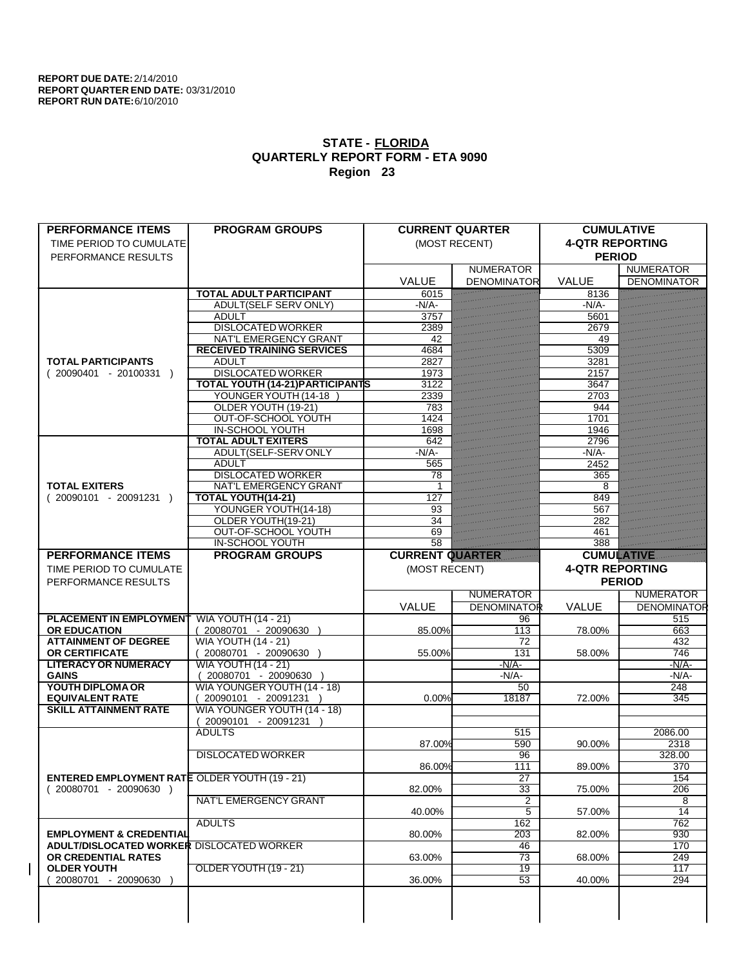| <b>PERFORMANCE ITEMS</b>                                                        | <b>PROGRAM GROUPS</b>                             |                        | <b>CURRENT QUARTER</b>   |                        | <b>CUMULATIVE</b>         |
|---------------------------------------------------------------------------------|---------------------------------------------------|------------------------|--------------------------|------------------------|---------------------------|
| TIME PERIOD TO CUMULATE                                                         |                                                   |                        | (MOST RECENT)            | <b>4-QTR REPORTING</b> |                           |
| PERFORMANCE RESULTS                                                             |                                                   |                        |                          | <b>PERIOD</b>          |                           |
|                                                                                 |                                                   |                        | <b>NUMERATOR</b>         | <b>VALUE</b>           | <b>NUMERATOR</b>          |
|                                                                                 | <b>TOTAL ADULT PARTICIPANT</b>                    | VALUE<br>6015          | <b>DENOMINATOR</b>       | 8136                   | <b>DENOMINATOR</b>        |
|                                                                                 | ADULT(SELF SERV ONLY)                             | $-N/A$                 |                          | -N/A-                  |                           |
|                                                                                 | <b>ADULT</b>                                      | 3757                   |                          | 5601                   |                           |
|                                                                                 | <b>DISLOCATED WORKER</b>                          | 2389                   |                          | 2679                   |                           |
|                                                                                 | <b>NAT'L EMERGENCY GRANT</b>                      | 42                     |                          | 49                     |                           |
|                                                                                 | <b>RECEIVED TRAINING SERVICES</b>                 | 4684                   |                          | 5309                   |                           |
| <b>TOTAL PARTICIPANTS</b>                                                       | <b>ADULT</b>                                      | 2827                   |                          | 3281                   |                           |
| $(20090401 - 20100331)$                                                         | <b>DISLOCATED WORKER</b>                          | 1973                   |                          | 2157                   |                           |
|                                                                                 | <b>TOTAL YOUTH (14-21) PARTICIPANTS</b>           | 3122                   |                          | 3647                   |                           |
|                                                                                 | YOUNGER YOUTH (14-18                              | 2339                   |                          | 2703                   |                           |
|                                                                                 | OLDER YOUTH (19-21)                               | 783                    |                          | 944                    |                           |
|                                                                                 | OUT-OF-SCHOOL YOUTH                               | 1424                   |                          | 1701                   |                           |
|                                                                                 | <b>IN-SCHOOL YOUTH</b>                            | 1698                   |                          | 1946                   |                           |
|                                                                                 | <b>TOTAL ADULT EXITERS</b>                        | 642                    |                          | 2796                   |                           |
|                                                                                 | ADULT(SELF-SERV ONLY                              | $-N/A$                 |                          | $-N/A$ -               |                           |
|                                                                                 | <b>ADULT</b><br><b>DISLOCATED WORKER</b>          | 565                    |                          | 2452<br>365            |                           |
| <b>TOTAL EXITERS</b>                                                            | NAT'L EMERGENCY GRANT                             | 78                     |                          | 8                      |                           |
| $(20090101 - 20091231)$                                                         | <b>TOTAL YOUTH(14-21)</b>                         | 127                    |                          | 849                    |                           |
|                                                                                 | YOUNGER YOUTH(14-18)                              | 93                     |                          | 567                    |                           |
|                                                                                 | OLDER YOUTH(19-21)                                | 34                     |                          | 282                    |                           |
|                                                                                 | OUT-OF-SCHOOL YOUTH                               | 69                     |                          | 461                    |                           |
|                                                                                 | <b>IN-SCHOOL YOUTH</b>                            | 58                     |                          | 388                    |                           |
| <b>PERFORMANCE ITEMS</b>                                                        | <b>PROGRAM GROUPS</b>                             | <b>CURRENT QUARTER</b> |                          | <b>CUMULATIVE</b>      |                           |
| TIME PERIOD TO CUMULATE                                                         |                                                   | (MOST RECENT)          |                          | <b>4-QTR REPORTING</b> |                           |
|                                                                                 |                                                   |                        |                          |                        |                           |
|                                                                                 |                                                   |                        |                          |                        |                           |
| PERFORMANCE RESULTS                                                             |                                                   |                        |                          |                        | <b>PERIOD</b>             |
|                                                                                 |                                                   |                        | <b>NUMERATOR</b>         |                        | <b>NUMERATOR</b>          |
| <b>PLACEMENT IN EMPLOYMENT</b>                                                  |                                                   | <b>VALUE</b>           | <b>DENOMINATOR</b><br>96 | <b>VALUE</b>           | <b>DENOMINATOR</b><br>515 |
| <b>OR EDUCATION</b>                                                             | <b>WIA YOUTH (14 - 21)</b>                        | 85.00%                 | 113                      | 78.00%                 | 663                       |
| <b>ATTAINMENT OF DEGREE</b>                                                     | 20080701 - 20090630<br><b>WIA YOUTH (14 - 21)</b> |                        | 72                       |                        | 432                       |
| OR CERTIFICATE                                                                  | 20080701 - 20090630 )                             | 55.00%                 | 131                      | 58.00%                 | 746                       |
| <b>LITERACY OR NUMERACY</b>                                                     | <b>WIA YOUTH (14 - 21)</b>                        |                        | $-N/A$ -                 |                        | $-N/A$ -                  |
| <b>GAINS</b>                                                                    | 20080701 - 20090630                               |                        | -N/A-                    |                        | $-N/A$                    |
| YOUTH DIPLOMA OR                                                                | WIA YOUNGER YOUTH (14 - 18)                       |                        | 50                       |                        | 248                       |
| <b>EQUIVALENT RATE</b>                                                          | 20090101 - 20091231 )                             | 0.00%                  | 18187                    | 72.00%                 | 345                       |
| <b>SKILL ATTAINMENT RATE</b>                                                    | WIA YOUNGER YOUTH (14 - 18)                       |                        |                          |                        |                           |
|                                                                                 | (20090101 - 20091231                              |                        |                          |                        |                           |
|                                                                                 | <b>ADULTS</b>                                     |                        | 515                      |                        | 2086.00                   |
|                                                                                 |                                                   | 87.00%                 | 590                      | 90.00%                 | 2318                      |
|                                                                                 | <b>DISLOCATED WORKER</b>                          |                        | 96                       |                        | 328.00                    |
|                                                                                 |                                                   | 86.00%                 | $\overline{111}$         | 89.00%                 | 370                       |
| <b>ENTERED EMPLOYMENT RATE OLDER YOUTH (19 - 21)</b><br>$(20080701 - 20090630)$ |                                                   | 82.00%                 | 27<br>33                 | 75.00%                 | 154<br>206                |
|                                                                                 | <b>NAT'L EMERGENCY GRANT</b>                      |                        | 2                        |                        | 8                         |
|                                                                                 |                                                   | 40.00%                 | $\overline{5}$           | 57.00%                 | 14                        |
|                                                                                 | <b>ADULTS</b>                                     |                        | 162                      |                        | 762                       |
| <b>EMPLOYMENT &amp; CREDENTIAL</b>                                              |                                                   | 80.00%                 | 203                      | 82.00%                 | 930                       |
| <b>ADULT/DISLOCATED WORKER DISLOCATED WORKER</b>                                |                                                   |                        | 46                       |                        | 170                       |
| OR CREDENTIAL RATES                                                             |                                                   | 63.00%                 | 73                       | 68.00%                 | 249                       |
| <b>OLDER YOUTH</b>                                                              | OLDER YOUTH (19 - 21)                             |                        | $\overline{19}$          |                        | 117                       |
| 20080701 - 20090630                                                             |                                                   | 36.00%                 | 53                       | 40.00%                 | 294                       |
|                                                                                 |                                                   |                        |                          |                        |                           |
|                                                                                 |                                                   |                        |                          |                        |                           |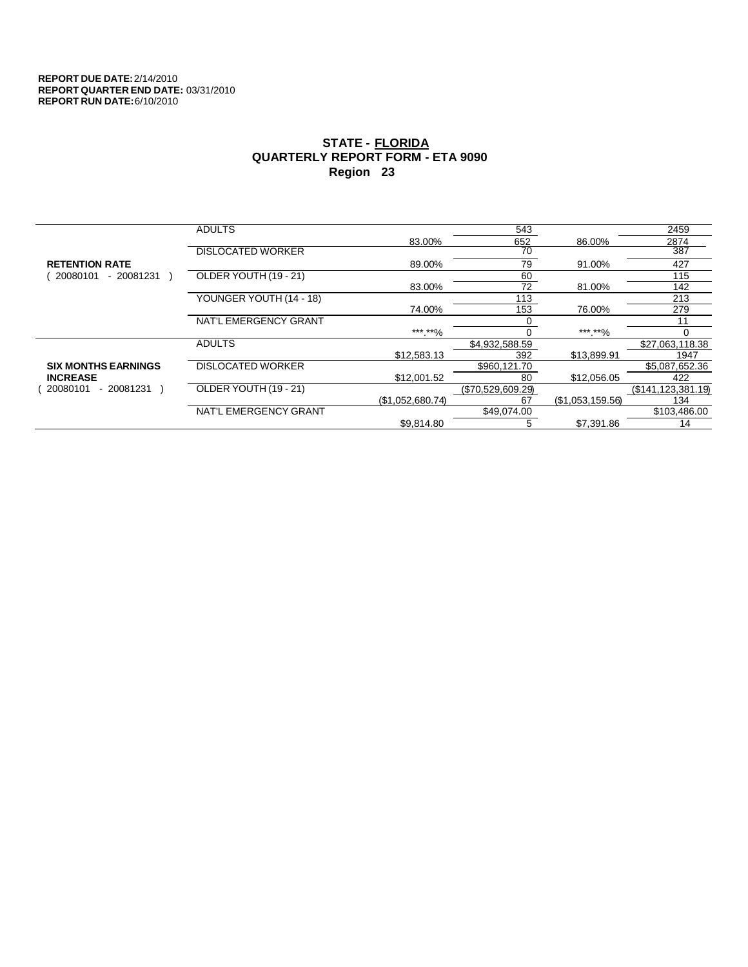|                            | <b>ADULTS</b>            |                  | 543               |                  | 2459                 |
|----------------------------|--------------------------|------------------|-------------------|------------------|----------------------|
|                            |                          | 83.00%           | 652               | 86.00%           | 2874                 |
|                            | <b>DISLOCATED WORKER</b> |                  | 70                |                  | 387                  |
| <b>RETENTION RATE</b>      |                          | 89.00%           | 79                | 91.00%           | 427                  |
| - 20081231<br>20080101     | OLDER YOUTH (19 - 21)    |                  | 60                |                  | 115                  |
|                            |                          | 83.00%           | 72                | 81.00%           | 142                  |
|                            | YOUNGER YOUTH (14 - 18)  |                  | 113               |                  | 213                  |
|                            |                          | 74.00%           | 153               | 76.00%           | 279                  |
|                            | NAT'L EMERGENCY GRANT    |                  |                   |                  | 11                   |
|                            |                          | ***.**%          |                   | ***.**%          |                      |
|                            | <b>ADULTS</b>            |                  | \$4,932,588.59    |                  | \$27,063,118.38      |
|                            |                          | \$12,583.13      | 392               | \$13,899.91      | 1947                 |
| <b>SIX MONTHS EARNINGS</b> | <b>DISLOCATED WORKER</b> |                  | \$960,121.70      |                  | \$5,087,652.36       |
| <b>INCREASE</b>            |                          | \$12,001.52      | 80                | \$12,056.05      | 422                  |
| - 20081231<br>20080101     | OLDER YOUTH (19 - 21)    |                  | (\$70,529,609.29) |                  | (\$141, 123, 381.19) |
|                            |                          | (\$1,052,680.74) | 67                | (\$1,053,159.56) | 134                  |
|                            | NAT'L EMERGENCY GRANT    |                  | \$49.074.00       |                  | \$103,486.00         |
|                            |                          | \$9.814.80       | 5                 | \$7,391.86       | 14                   |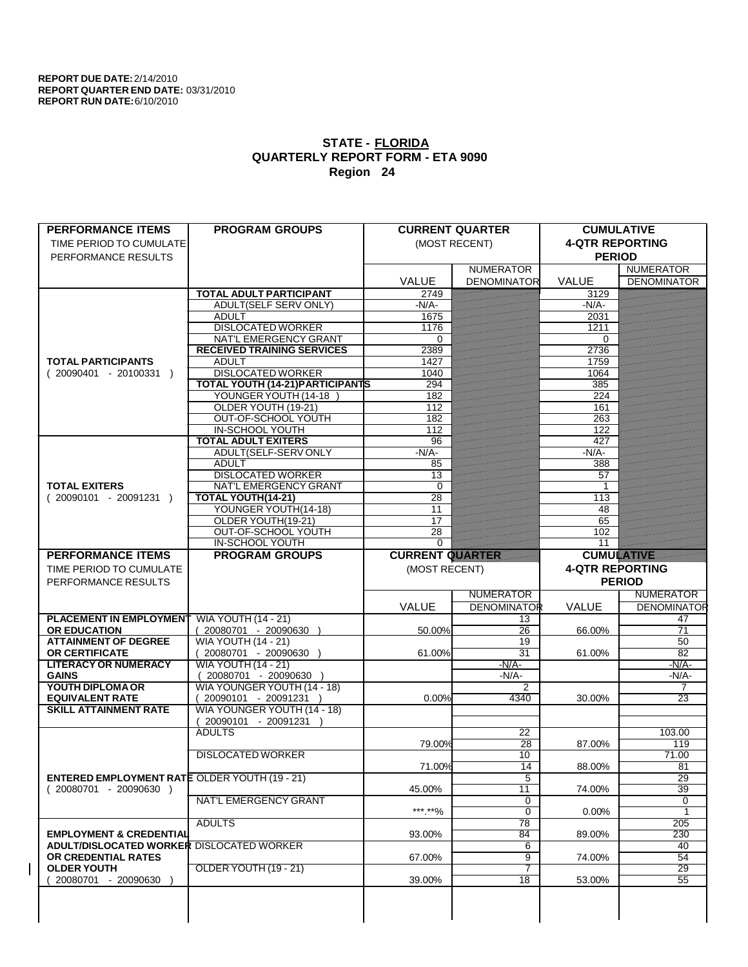| <b>PERFORMANCE ITEMS</b>                             | <b>PROGRAM GROUPS</b>                   |                        | <b>CURRENT QUARTER</b> | <b>CUMULATIVE</b>      |                    |
|------------------------------------------------------|-----------------------------------------|------------------------|------------------------|------------------------|--------------------|
| TIME PERIOD TO CUMULATE                              |                                         |                        | (MOST RECENT)          | <b>4-QTR REPORTING</b> |                    |
| PERFORMANCE RESULTS                                  |                                         |                        |                        | <b>PERIOD</b>          |                    |
|                                                      |                                         |                        | <b>NUMERATOR</b>       |                        | <b>NUMERATOR</b>   |
|                                                      |                                         | <b>VALUE</b>           | <b>DENOMINATOR</b>     | <b>VALUE</b>           | <b>DENOMINATOR</b> |
|                                                      | <b>TOTAL ADULT PARTICIPANT</b>          | 2749                   |                        | 3129                   |                    |
|                                                      | <b>ADULT(SELF SERV ONLY)</b>            | $-N/A$                 |                        | $-N/A$                 |                    |
|                                                      | <b>ADULT</b>                            | 1675                   |                        | 2031                   |                    |
|                                                      | <b>DISLOCATED WORKER</b>                | 1176                   |                        | 1211                   |                    |
|                                                      | <b>NAT'L EMERGENCY GRANT</b>            | 0                      |                        | $\Omega$               |                    |
|                                                      | <b>RECEIVED TRAINING SERVICES</b>       | 2389                   |                        | 2736                   |                    |
| <b>TOTAL PARTICIPANTS</b>                            | <b>ADULT</b>                            | 1427                   |                        | 1759                   |                    |
| $(20090401 - 20100331)$                              | <b>DISLOCATED WORKER</b>                | 1040                   |                        | 1064                   |                    |
|                                                      | <b>TOTAL YOUTH (14-21) PARTICIPANTS</b> | 294                    |                        | 385                    |                    |
|                                                      | YOUNGER YOUTH (14-18                    | 182                    |                        | 224                    |                    |
|                                                      | OLDER YOUTH (19-21)                     | 112                    |                        | 161                    |                    |
|                                                      | <b>OUT-OF-SCHOOL YOUTH</b>              | 182                    |                        | 263                    |                    |
|                                                      | <b>IN-SCHOOL YOUTH</b>                  | 112                    |                        | 122                    |                    |
|                                                      | <b>TOTAL ADULT EXITERS</b>              | 96                     |                        | 427                    |                    |
|                                                      | ADULT(SELF-SERV ONLY                    | $-N/A$ -               |                        | $-N/A$                 |                    |
|                                                      | <b>ADULT</b>                            | 85                     |                        | 388                    |                    |
|                                                      | <b>DISLOCATED WORKER</b>                | 13                     |                        | 57                     |                    |
| <b>TOTAL EXITERS</b>                                 | <b>NAT'L EMERGENCY GRANT</b>            | $\Omega$               |                        | 1                      |                    |
| $(20090101 - 20091231)$                              | <b>TOTAL YOUTH(14-21)</b>               | 28                     |                        | 113                    |                    |
|                                                      | YOUNGER YOUTH(14-18)                    | 11                     |                        | 48                     |                    |
|                                                      | OLDER YOUTH(19-21)                      | 17                     |                        | 65                     |                    |
|                                                      | OUT-OF-SCHOOL YOUTH                     | 28                     |                        | 102                    |                    |
|                                                      | <b>IN-SCHOOL YOUTH</b>                  | $\Omega$               |                        | 11                     |                    |
| <b>PERFORMANCE ITEMS</b>                             | <b>PROGRAM GROUPS</b>                   | <b>CURRENT QUARTER</b> |                        | <b>CUMULATIVE</b>      |                    |
| TIME PERIOD TO CUMULATE                              |                                         | (MOST RECENT)          |                        | <b>4-QTR REPORTING</b> |                    |
|                                                      |                                         |                        |                        |                        |                    |
|                                                      |                                         |                        |                        |                        |                    |
| PERFORMANCE RESULTS                                  |                                         |                        |                        |                        | <b>PERIOD</b>      |
|                                                      |                                         |                        | <b>NUMERATOR</b>       |                        | <b>NUMERATOR</b>   |
|                                                      |                                         | VALUE                  | <b>DENOMINATOR</b>     | <b>VALUE</b>           | <b>DENOMINATOR</b> |
| <b>PLACEMENT IN EMPLOYMENT</b>                       | <b>WIA YOUTH (14 - 21)</b>              |                        | 13                     |                        | 47                 |
| <b>OR EDUCATION</b>                                  | (20080701 - 20090630                    | 50.00%                 | 26                     | 66.00%                 | $\overline{71}$    |
| <b>ATTAINMENT OF DEGREE</b>                          | <b>WIA YOUTH (14 - 21)</b>              |                        | 19                     |                        | 50                 |
| <b>OR CERTIFICATE</b>                                | $(20080701 - 20090630)$                 | 61.00%                 | $\overline{31}$        | 61.00%                 | $\overline{82}$    |
| <b>LITERACY OR NUMERACY</b>                          | <b>WIA YOUTH (14 - 21)</b>              |                        | $-N/A$ -               |                        | $-N/A$ -           |
| <b>GAINS</b>                                         | 20080701 - 20090630                     |                        | $-N/A$ -               |                        | $-N/A$             |
| YOUTH DIPLOMA OR                                     | WIA YOUNGER YOUTH (14 - 18)             |                        | 2                      |                        | 7                  |
| <b>EQUIVALENT RATE</b>                               | 20090101 - 20091231 )                   | 0.00%                  | 4340                   | 30.00%                 | 23                 |
| <b>SKILL ATTAINMENT RATE</b>                         | WIA YOUNGER YOUTH (14 - 18)             |                        |                        |                        |                    |
|                                                      | 20090101 - 20091231                     |                        |                        |                        |                    |
|                                                      | <b>ADULTS</b>                           |                        | 22                     |                        | 103.00             |
|                                                      |                                         | 79.00%                 | $\overline{28}$        | 87.00%                 | 119                |
|                                                      | <b>DISLOCATED WORKER</b>                |                        | 10                     |                        | 71.00              |
|                                                      |                                         | 71.00%                 | 14                     | 88.00%                 | 81                 |
| <b>ENTERED EMPLOYMENT RATE OLDER YOUTH (19 - 21)</b> |                                         |                        | 5                      |                        | 29                 |
| $(20080701 - 20090630)$                              |                                         | 45.00%                 | 11                     | 74.00%                 | 39                 |
|                                                      | <b>NAT'L EMERGENCY GRANT</b>            |                        | 0                      |                        | 0                  |
|                                                      |                                         | ***.**%                | $\overline{0}$         | $0.00\%$               | 1                  |
|                                                      | <b>ADULTS</b>                           |                        | 78                     |                        | 205                |
| <b>EMPLOYMENT &amp; CREDENTIAL</b>                   |                                         | 93.00%                 | 84                     | 89.00%                 | 230                |
| ADULT/DISLOCATED WORKER DISLOCATED WORKER            |                                         |                        | 6                      |                        | 40                 |
| OR CREDENTIAL RATES                                  |                                         | 67.00%                 | 9                      | 74.00%                 | 54                 |
| <b>OLDER YOUTH</b>                                   | OLDER YOUTH (19 - 21)                   |                        | 7                      |                        | 29                 |
| 20080701 - 20090630                                  |                                         | 39.00%                 | $\overline{18}$        | 53.00%                 | $\overline{55}$    |
|                                                      |                                         |                        |                        |                        |                    |
|                                                      |                                         |                        |                        |                        |                    |